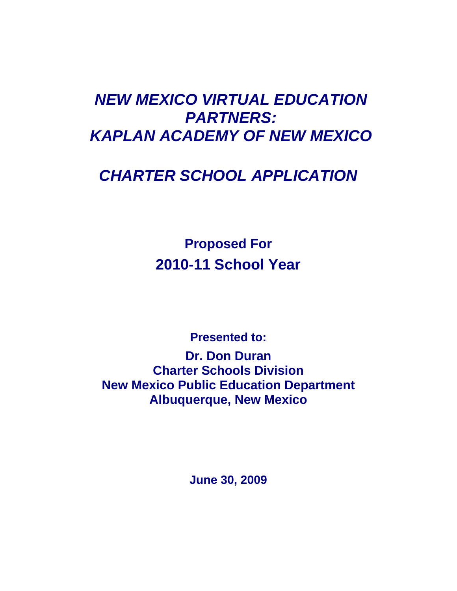# *NEW MEXICO VIRTUAL EDUCATION PARTNERS: KAPLAN ACADEMY OF NEW MEXICO*

# *CHARTER SCHOOL APPLICATION*

**Proposed For 2010-11 School Year** 

**Presented to:** 

**Dr. Don Duran Charter Schools Division New Mexico Public Education Department Albuquerque, New Mexico**

**June 30, 2009**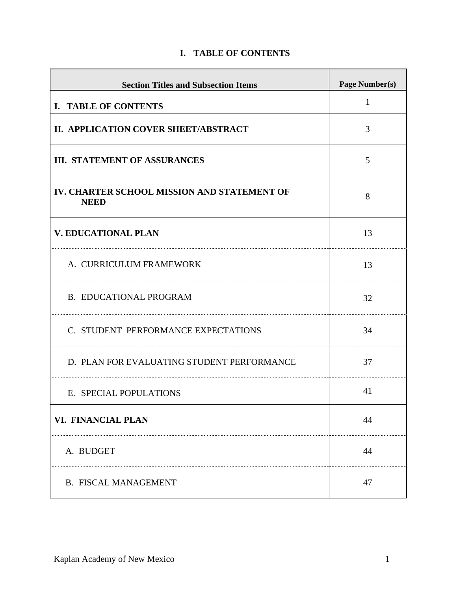| <b>Section Titles and Subsection Items</b>                 | <b>Page Number(s)</b> |
|------------------------------------------------------------|-----------------------|
| I. TABLE OF CONTENTS                                       | $\mathbf{1}$          |
| II. APPLICATION COVER SHEET/ABSTRACT                       | 3                     |
| <b>III. STATEMENT OF ASSURANCES</b>                        | 5                     |
| IV. CHARTER SCHOOL MISSION AND STATEMENT OF<br><b>NEED</b> | 8                     |
| <b>V. EDUCATIONAL PLAN</b>                                 | 13                    |
| A. CURRICULUM FRAMEWORK                                    | 13                    |
| <b>B. EDUCATIONAL PROGRAM</b>                              | 32                    |
| C. STUDENT PERFORMANCE EXPECTATIONS                        | 34                    |
| D. PLAN FOR EVALUATING STUDENT PERFORMANCE                 | 37                    |
| E. SPECIAL POPULATIONS                                     | 41                    |
| VI. FINANCIAL PLAN                                         | 44                    |
| A. BUDGET                                                  | 44                    |
| <b>B. FISCAL MANAGEMENT</b>                                | 47                    |

# **I. TABLE OF CONTENTS**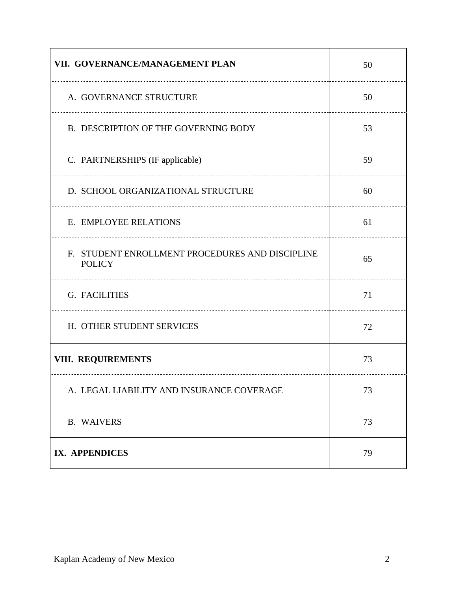| VII. GOVERNANCE/MANAGEMENT PLAN                                  | 50 |
|------------------------------------------------------------------|----|
| A. GOVERNANCE STRUCTURE                                          | 50 |
| B. DESCRIPTION OF THE GOVERNING BODY                             | 53 |
| C. PARTNERSHIPS (IF applicable)                                  | 59 |
| D. SCHOOL ORGANIZATIONAL STRUCTURE                               | 60 |
| E. EMPLOYEE RELATIONS                                            | 61 |
| F. STUDENT ENROLLMENT PROCEDURES AND DISCIPLINE<br><b>POLICY</b> | 65 |
| <b>G. FACILITIES</b>                                             | 71 |
| H. OTHER STUDENT SERVICES                                        | 72 |
| <b>VIII. REQUIREMENTS</b>                                        | 73 |
| A. LEGAL LIABILITY AND INSURANCE COVERAGE                        | 73 |
| <b>B. WAIVERS</b>                                                | 73 |
| IX. APPENDICES                                                   | 79 |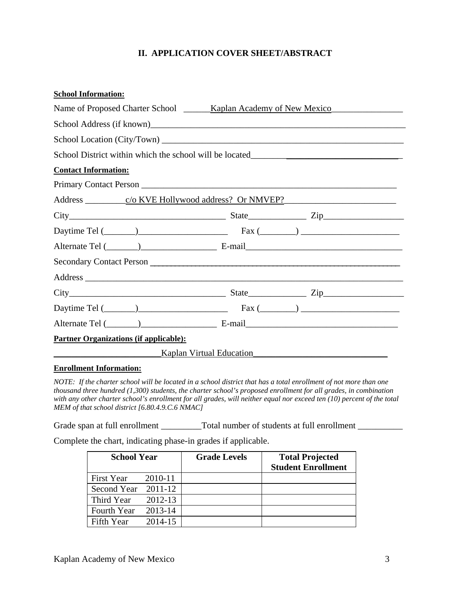# **II. APPLICATION COVER SHEET/ABSTRACT**

| <b>School Information:</b>                    |                                                                                                                                                                                                                                |  |  |  |
|-----------------------------------------------|--------------------------------------------------------------------------------------------------------------------------------------------------------------------------------------------------------------------------------|--|--|--|
|                                               |                                                                                                                                                                                                                                |  |  |  |
|                                               |                                                                                                                                                                                                                                |  |  |  |
|                                               |                                                                                                                                                                                                                                |  |  |  |
|                                               | School District within which the school will be located__________________________                                                                                                                                              |  |  |  |
| <b>Contact Information:</b>                   |                                                                                                                                                                                                                                |  |  |  |
|                                               | Primary Contact Person                                                                                                                                                                                                         |  |  |  |
|                                               |                                                                                                                                                                                                                                |  |  |  |
|                                               | $City$ $City$ $Zip$ $Zip$                                                                                                                                                                                                      |  |  |  |
|                                               | Daytime Tel $(\_\_\_\_)$                                                                                                                                                                                                       |  |  |  |
|                                               |                                                                                                                                                                                                                                |  |  |  |
|                                               |                                                                                                                                                                                                                                |  |  |  |
|                                               |                                                                                                                                                                                                                                |  |  |  |
|                                               | $City$ $City$ $Zip$ $Step$ $Zip$                                                                                                                                                                                               |  |  |  |
|                                               | Daytime Tel $(\_\_\_\_)$                                                                                                                                                                                                       |  |  |  |
|                                               | Alternate Tel (Champion Communication E-mail E-mail E-mail Communication Communication Communication Communication Communication Communication Communication Communication Communication Communication Communication Communica |  |  |  |
| <b>Partner Organizations (if applicable):</b> |                                                                                                                                                                                                                                |  |  |  |
|                                               | Kaplan Virtual Education                                                                                                                                                                                                       |  |  |  |
|                                               |                                                                                                                                                                                                                                |  |  |  |

#### **Enrollment Information:**

*NOTE: If the charter school will be located in a school district that has a total enrollment of not more than one thousand three hundred (1,300) students, the charter school's proposed enrollment for all grades, in combination with any other charter school's enrollment for all grades, will neither equal nor exceed ten (10) percent of the total MEM of that school district [6.80.4.9.C.6 NMAC]* 

Grade span at full enrollment \_\_\_\_\_\_\_\_\_Total number of students at full enrollment \_\_\_\_\_\_\_\_\_\_

Complete the chart, indicating phase-in grades if applicable.

| <b>School Year</b>  |         | <b>Grade Levels</b> | <b>Total Projected</b><br><b>Student Enrollment</b> |
|---------------------|---------|---------------------|-----------------------------------------------------|
| First Year          | 2010-11 |                     |                                                     |
| Second Year 2011-12 |         |                     |                                                     |
| Third Year          | 2012-13 |                     |                                                     |
| Fourth Year         | 2013-14 |                     |                                                     |
| Fifth Year          | 2014-15 |                     |                                                     |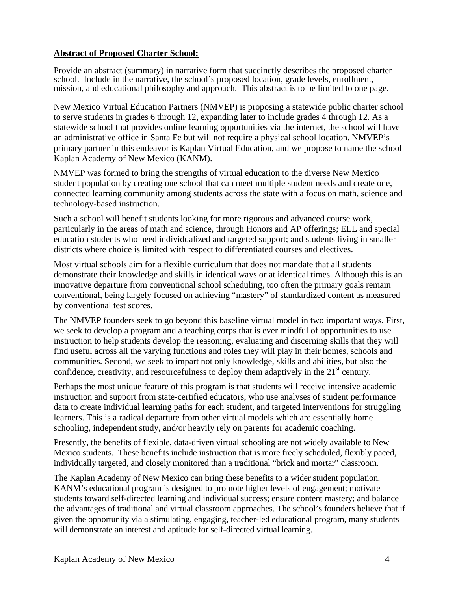## **Abstract of Proposed Charter School:**

Provide an abstract (summary) in narrative form that succinctly describes the proposed charter school. Include in the narrative, the school's proposed location, grade levels, enrollment, mission, and educational philosophy and approach. This abstract is to be limited to one page.

New Mexico Virtual Education Partners (NMVEP) is proposing a statewide public charter school to serve students in grades 6 through 12, expanding later to include grades 4 through 12. As a statewide school that provides online learning opportunities via the internet, the school will have an administrative office in Santa Fe but will not require a physical school location. NMVEP's primary partner in this endeavor is Kaplan Virtual Education, and we propose to name the school Kaplan Academy of New Mexico (KANM).

NMVEP was formed to bring the strengths of virtual education to the diverse New Mexico student population by creating one school that can meet multiple student needs and create one, connected learning community among students across the state with a focus on math, science and technology-based instruction.

Such a school will benefit students looking for more rigorous and advanced course work, particularly in the areas of math and science, through Honors and AP offerings; ELL and special education students who need individualized and targeted support; and students living in smaller districts where choice is limited with respect to differentiated courses and electives.

Most virtual schools aim for a flexible curriculum that does not mandate that all students demonstrate their knowledge and skills in identical ways or at identical times. Although this is an innovative departure from conventional school scheduling, too often the primary goals remain conventional, being largely focused on achieving "mastery" of standardized content as measured by conventional test scores.

The NMVEP founders seek to go beyond this baseline virtual model in two important ways. First, we seek to develop a program and a teaching corps that is ever mindful of opportunities to use instruction to help students develop the reasoning, evaluating and discerning skills that they will find useful across all the varying functions and roles they will play in their homes, schools and communities. Second, we seek to impart not only knowledge, skills and abilities, but also the confidence, creativity, and resourcefulness to deploy them adaptively in the  $21<sup>st</sup>$  century.

Perhaps the most unique feature of this program is that students will receive intensive academic instruction and support from state-certified educators, who use analyses of student performance data to create individual learning paths for each student, and targeted interventions for struggling learners. This is a radical departure from other virtual models which are essentially home schooling, independent study, and/or heavily rely on parents for academic coaching.

Presently, the benefits of flexible, data-driven virtual schooling are not widely available to New Mexico students. These benefits include instruction that is more freely scheduled, flexibly paced, individually targeted, and closely monitored than a traditional "brick and mortar" classroom.

The Kaplan Academy of New Mexico can bring these benefits to a wider student population. KANM's educational program is designed to promote higher levels of engagement; motivate students toward self-directed learning and individual success; ensure content mastery; and balance the advantages of traditional and virtual classroom approaches. The school's founders believe that if given the opportunity via a stimulating, engaging, teacher-led educational program, many students will demonstrate an interest and aptitude for self-directed virtual learning.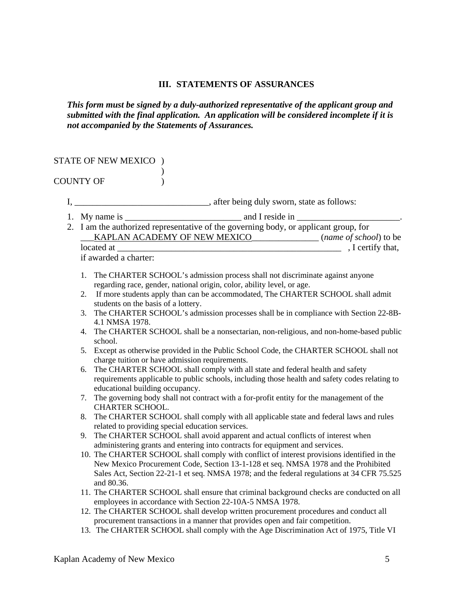#### **III. STATEMENTS OF ASSURANCES**

*This form must be signed by a duly-authorized representative of the applicant group and submitted with the final application. An application will be considered incomplete if it is not accompanied by the Statements of Assurances.* 

#### STATE OF NEW MEXICO )

 $\overline{\phantom{a}}$ COUNTY OF  $\qquad$  )

- I, \_\_\_\_\_\_\_\_\_\_\_\_\_\_\_\_\_\_\_\_\_\_\_\_\_\_\_\_\_\_\_, after being duly sworn, state as follows:
- 1. My name is  $\frac{1}{\sqrt{1-\frac{1}{2}}}\$  and I reside in  $\frac{1}{\sqrt{1-\frac{1}{2}}}\$
- 2. I am the authorized representative of the governing body, or applicant group, for \_\_\_KAPLAN ACADEMY OF NEW MEXICO\_\_\_\_\_\_\_\_\_\_\_\_\_\_\_ (*name of school*) to be located at \_\_\_\_\_\_\_\_\_\_\_\_\_\_\_\_\_\_\_\_\_\_\_\_\_\_\_\_\_\_\_\_\_\_\_\_\_\_\_\_\_\_\_\_\_\_\_\_\_\_ , I certify that,

if awarded a charter:

- 1. The CHARTER SCHOOL's admission process shall not discriminate against anyone regarding race, gender, national origin, color, ability level, or age.
- 2. If more students apply than can be accommodated, The CHARTER SCHOOL shall admit students on the basis of a lottery.
- 3. The CHARTER SCHOOL's admission processes shall be in compliance with Section 22-8B-4.1 NMSA 1978.
- 4. The CHARTER SCHOOL shall be a nonsectarian, non-religious, and non-home-based public school.
- 5. Except as otherwise provided in the Public School Code, the CHARTER SCHOOL shall not charge tuition or have admission requirements.
- 6. The CHARTER SCHOOL shall comply with all state and federal health and safety requirements applicable to public schools, including those health and safety codes relating to educational building occupancy.
- 7. The governing body shall not contract with a for-profit entity for the management of the CHARTER SCHOOL.
- 8. The CHARTER SCHOOL shall comply with all applicable state and federal laws and rules related to providing special education services.
- 9. The CHARTER SCHOOL shall avoid apparent and actual conflicts of interest when administering grants and entering into contracts for equipment and services.
- 10. The CHARTER SCHOOL shall comply with conflict of interest provisions identified in the New Mexico Procurement Code, Section 13-1-128 et seq. NMSA 1978 and the Prohibited Sales Act, Section 22-21-1 et seq. NMSA 1978; and the federal regulations at 34 CFR 75.525 and 80.36.
- 11. The CHARTER SCHOOL shall ensure that criminal background checks are conducted on all employees in accordance with Section 22-10A-5 NMSA 1978.
- 12. The CHARTER SCHOOL shall develop written procurement procedures and conduct all procurement transactions in a manner that provides open and fair competition.
- 13. The CHARTER SCHOOL shall comply with the Age Discrimination Act of 1975, Title VI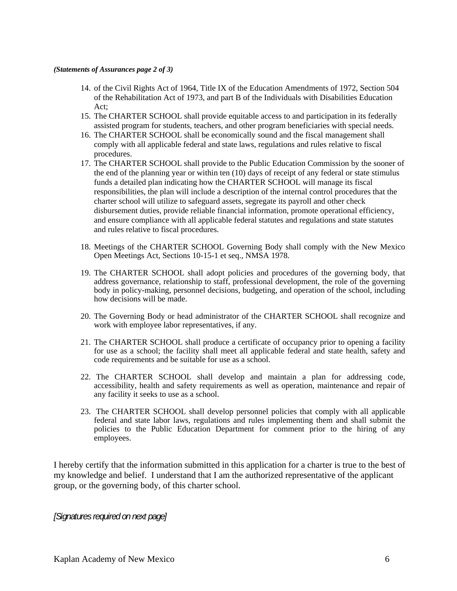#### *(Statements of Assurances page 2 of 3)*

- 14. of the Civil Rights Act of 1964, Title IX of the Education Amendments of 1972, Section 504 of the Rehabilitation Act of 1973, and part B of the Individuals with Disabilities Education Act;
- 15. The CHARTER SCHOOL shall provide equitable access to and participation in its federally assisted program for students, teachers, and other program beneficiaries with special needs.
- 16. The CHARTER SCHOOL shall be economically sound and the fiscal management shall comply with all applicable federal and state laws, regulations and rules relative to fiscal procedures.
- 17. The CHARTER SCHOOL shall provide to the Public Education Commission by the sooner of the end of the planning year or within ten (10) days of receipt of any federal or state stimulus funds a detailed plan indicating how the CHARTER SCHOOL will manage its fiscal responsibilities, the plan will include a description of the internal control procedures that the charter school will utilize to safeguard assets, segregate its payroll and other check disbursement duties, provide reliable financial information, promote operational efficiency, and ensure compliance with all applicable federal statutes and regulations and state statutes and rules relative to fiscal procedures.
- 18. Meetings of the CHARTER SCHOOL Governing Body shall comply with the New Mexico Open Meetings Act, Sections 10-15-1 et seq., NMSA 1978.
- 19. The CHARTER SCHOOL shall adopt policies and procedures of the governing body, that address governance, relationship to staff, professional development, the role of the governing body in policy-making, personnel decisions, budgeting, and operation of the school, including how decisions will be made.
- 20. The Governing Body or head administrator of the CHARTER SCHOOL shall recognize and work with employee labor representatives, if any.
- 21. The CHARTER SCHOOL shall produce a certificate of occupancy prior to opening a facility for use as a school; the facility shall meet all applicable federal and state health, safety and code requirements and be suitable for use as a school.
- 22. The CHARTER SCHOOL shall develop and maintain a plan for addressing code, accessibility, health and safety requirements as well as operation, maintenance and repair of any facility it seeks to use as a school.
- 23. The CHARTER SCHOOL shall develop personnel policies that comply with all applicable federal and state labor laws, regulations and rules implementing them and shall submit the policies to the Public Education Department for comment prior to the hiring of any employees.

I hereby certify that the information submitted in this application for a charter is true to the best of my knowledge and belief. I understand that I am the authorized representative of the applicant group, or the governing body, of this charter school.

*[Signatures required on next page]*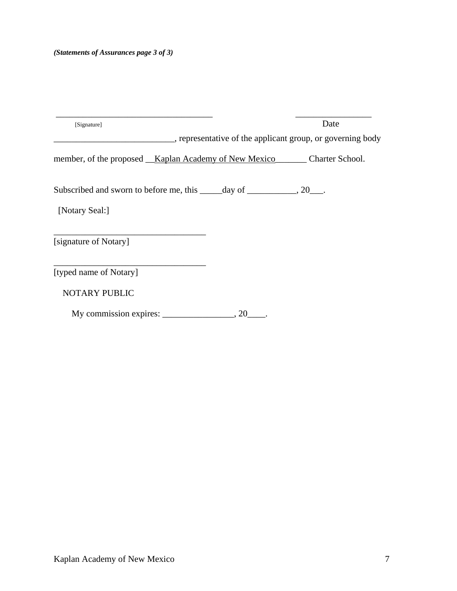| [Signature]                                                                   | Date |
|-------------------------------------------------------------------------------|------|
| _, representative of the applicant group, or governing body                   |      |
| member, of the proposed __Kaplan Academy of New Mexico________Charter School. |      |
| Subscribed and sworn to before me, this ______ day of ____________, 20___.    |      |
| [Notary Seal:]                                                                |      |
| [signature of Notary]                                                         |      |
| [typed name of Notary]                                                        |      |
| NOTARY PUBLIC                                                                 |      |
| My commission expires:<br>, 20                                                |      |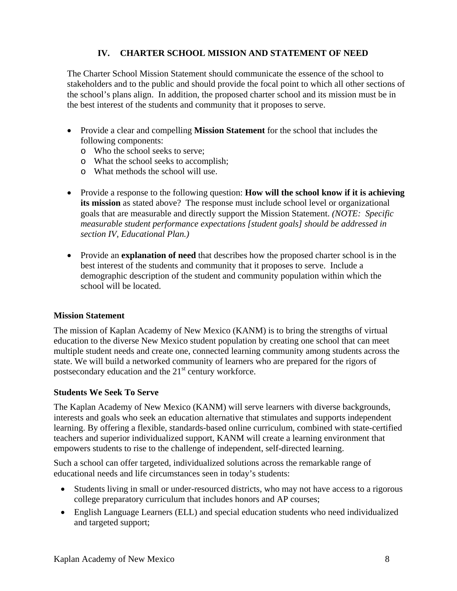# **IV. CHARTER SCHOOL MISSION AND STATEMENT OF NEED**

The Charter School Mission Statement should communicate the essence of the school to stakeholders and to the public and should provide the focal point to which all other sections of the school's plans align. In addition, the proposed charter school and its mission must be in the best interest of the students and community that it proposes to serve.

- Provide a clear and compelling **Mission Statement** for the school that includes the following components:
	- o Who the school seeks to serve;
	- o What the school seeks to accomplish;
	- o What methods the school will use.
- Provide a response to the following question: **How will the school know if it is achieving its mission** as stated above? The response must include school level or organizational goals that are measurable and directly support the Mission Statement. *(NOTE: Specific measurable student performance expectations [student goals] should be addressed in section IV, Educational Plan.)*
- Provide an **explanation of need** that describes how the proposed charter school is in the best interest of the students and community that it proposes to serve. Include a demographic description of the student and community population within which the school will be located.

## **Mission Statement**

The mission of Kaplan Academy of New Mexico (KANM) is to bring the strengths of virtual education to the diverse New Mexico student population by creating one school that can meet multiple student needs and create one, connected learning community among students across the state. We will build a networked community of learners who are prepared for the rigors of postsecondary education and the  $21<sup>st</sup>$  century workforce.

## **Students We Seek To Serve**

The Kaplan Academy of New Mexico (KANM) will serve learners with diverse backgrounds, interests and goals who seek an education alternative that stimulates and supports independent learning. By offering a flexible, standards-based online curriculum, combined with state-certified teachers and superior individualized support, KANM will create a learning environment that empowers students to rise to the challenge of independent, self-directed learning.

Such a school can offer targeted, individualized solutions across the remarkable range of educational needs and life circumstances seen in today's students:

- Students living in small or under-resourced districts, who may not have access to a rigorous college preparatory curriculum that includes honors and AP courses;
- English Language Learners (ELL) and special education students who need individualized and targeted support;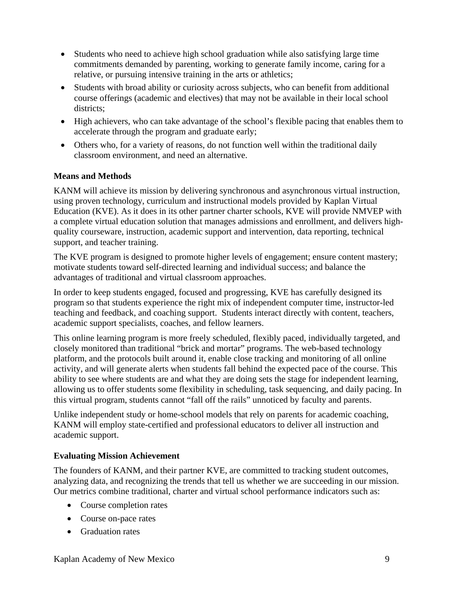- Students who need to achieve high school graduation while also satisfying large time commitments demanded by parenting, working to generate family income, caring for a relative, or pursuing intensive training in the arts or athletics;
- Students with broad ability or curiosity across subjects, who can benefit from additional course offerings (academic and electives) that may not be available in their local school districts:
- High achievers, who can take advantage of the school's flexible pacing that enables them to accelerate through the program and graduate early;
- Others who, for a variety of reasons, do not function well within the traditional daily classroom environment, and need an alternative.

# **Means and Methods**

KANM will achieve its mission by delivering synchronous and asynchronous virtual instruction, using proven technology, curriculum and instructional models provided by Kaplan Virtual Education (KVE). As it does in its other partner charter schools, KVE will provide NMVEP with a complete virtual education solution that manages admissions and enrollment, and delivers highquality courseware, instruction, academic support and intervention, data reporting, technical support, and teacher training.

The KVE program is designed to promote higher levels of engagement; ensure content mastery; motivate students toward self-directed learning and individual success; and balance the advantages of traditional and virtual classroom approaches.

In order to keep students engaged, focused and progressing, KVE has carefully designed its program so that students experience the right mix of independent computer time, instructor-led teaching and feedback, and coaching support. Students interact directly with content, teachers, academic support specialists, coaches, and fellow learners.

This online learning program is more freely scheduled, flexibly paced, individually targeted, and closely monitored than traditional "brick and mortar" programs. The web-based technology platform, and the protocols built around it, enable close tracking and monitoring of all online activity, and will generate alerts when students fall behind the expected pace of the course. This ability to see where students are and what they are doing sets the stage for independent learning, allowing us to offer students some flexibility in scheduling, task sequencing, and daily pacing. In this virtual program, students cannot "fall off the rails" unnoticed by faculty and parents.

Unlike independent study or home-school models that rely on parents for academic coaching, KANM will employ state-certified and professional educators to deliver all instruction and academic support.

# **Evaluating Mission Achievement**

The founders of KANM, and their partner KVE, are committed to tracking student outcomes, analyzing data, and recognizing the trends that tell us whether we are succeeding in our mission. Our metrics combine traditional, charter and virtual school performance indicators such as:

- Course completion rates
- Course on-pace rates
- Graduation rates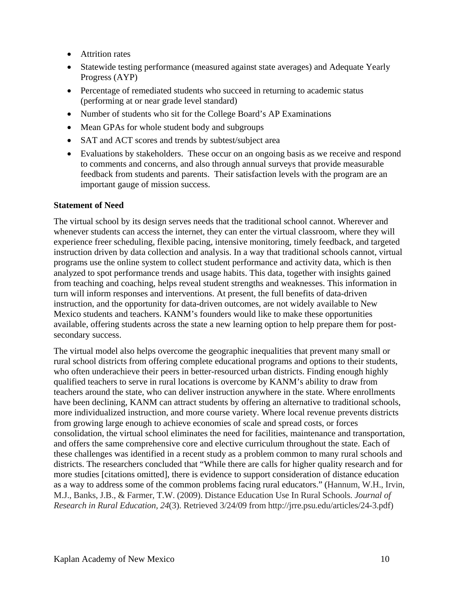- Attrition rates
- Statewide testing performance (measured against state averages) and Adequate Yearly Progress (AYP)
- Percentage of remediated students who succeed in returning to academic status (performing at or near grade level standard)
- Number of students who sit for the College Board's AP Examinations
- Mean GPAs for whole student body and subgroups
- SAT and ACT scores and trends by subtest/subject area
- Evaluations by stakeholders. These occur on an ongoing basis as we receive and respond to comments and concerns, and also through annual surveys that provide measurable feedback from students and parents. Their satisfaction levels with the program are an important gauge of mission success.

#### **Statement of Need**

The virtual school by its design serves needs that the traditional school cannot. Wherever and whenever students can access the internet, they can enter the virtual classroom, where they will experience freer scheduling, flexible pacing, intensive monitoring, timely feedback, and targeted instruction driven by data collection and analysis. In a way that traditional schools cannot, virtual programs use the online system to collect student performance and activity data, which is then analyzed to spot performance trends and usage habits. This data, together with insights gained from teaching and coaching, helps reveal student strengths and weaknesses. This information in turn will inform responses and interventions. At present, the full benefits of data-driven instruction, and the opportunity for data-driven outcomes, are not widely available to New Mexico students and teachers. KANM's founders would like to make these opportunities available, offering students across the state a new learning option to help prepare them for postsecondary success.

The virtual model also helps overcome the geographic inequalities that prevent many small or rural school districts from offering complete educational programs and options to their students, who often underachieve their peers in better-resourced urban districts. Finding enough highly qualified teachers to serve in rural locations is overcome by KANM's ability to draw from teachers around the state, who can deliver instruction anywhere in the state. Where enrollments have been declining, KANM can attract students by offering an alternative to traditional schools, more individualized instruction, and more course variety. Where local revenue prevents districts from growing large enough to achieve economies of scale and spread costs, or forces consolidation, the virtual school eliminates the need for facilities, maintenance and transportation, and offers the same comprehensive core and elective curriculum throughout the state. Each of these challenges was identified in a recent study as a problem common to many rural schools and districts. The researchers concluded that "While there are calls for higher quality research and for more studies [citations omitted], there is evidence to support consideration of distance education as a way to address some of the common problems facing rural educators." (Hannum, W.H., Irvin, M.J., Banks, J.B., & Farmer, T.W. (2009). Distance Education Use In Rural Schools. *Journal of Research in Rural Education, 24*(3). Retrieved 3/24/09 from http://jrre.psu.edu/articles/24-3.pdf)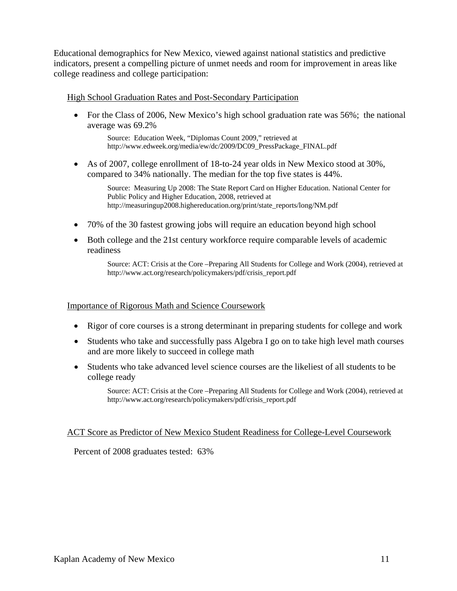Educational demographics for New Mexico, viewed against national statistics and predictive indicators, present a compelling picture of unmet needs and room for improvement in areas like college readiness and college participation:

#### High School Graduation Rates and Post-Secondary Participation

• For the Class of 2006, New Mexico's high school graduation rate was 56%; the national average was 69.2%

Source: Education Week, "Diplomas Count 2009," retrieved at http://www.edweek.org/media/ew/dc/2009/DC09\_PressPackage\_FINAL.pdf

• As of 2007, college enrollment of 18-to-24 year olds in New Mexico stood at 30%, compared to 34% nationally. The median for the top five states is 44%.

> Source: Measuring Up 2008: The State Report Card on Higher Education. National Center for Public Policy and Higher Education, 2008, retrieved at http://measuringup2008.highereducation.org/print/state\_reports/long/NM.pdf

- 70% of the 30 fastest growing jobs will require an education beyond high school
- Both college and the 21st century workforce require comparable levels of academic readiness

Source: ACT: Crisis at the Core –Preparing All Students for College and Work (2004), retrieved at http://www.act.org/research/policymakers/pdf/crisis\_report.pdf

#### Importance of Rigorous Math and Science Coursework

- Rigor of core courses is a strong determinant in preparing students for college and work
- Students who take and successfully pass Algebra I go on to take high level math courses and are more likely to succeed in college math
- Students who take advanced level science courses are the likeliest of all students to be college ready

Source: ACT: Crisis at the Core –Preparing All Students for College and Work (2004), retrieved at http://www.act.org/research/policymakers/pdf/crisis\_report.pdf

#### ACT Score as Predictor of New Mexico Student Readiness for College-Level Coursework

Percent of 2008 graduates tested: 63%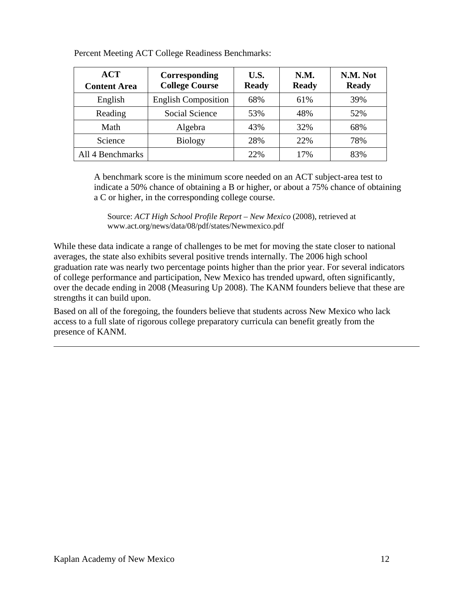| ACT<br><b>Content Area</b> | Corresponding<br><b>College Course</b> | U.S.<br><b>Ready</b> | N.M.<br><b>Ready</b> | N.M. Not<br><b>Ready</b> |
|----------------------------|----------------------------------------|----------------------|----------------------|--------------------------|
| English                    | <b>English Composition</b>             | 68%                  | 61%                  | 39%                      |
| Reading                    | Social Science                         | 53%                  | 48%                  | 52%                      |
| Math                       | Algebra                                | 43%                  | 32%                  | 68%                      |
| Science                    | <b>Biology</b>                         | 28%                  | 22%                  | 78%                      |
| All 4 Benchmarks           |                                        | 22%                  | 17%                  | 83%                      |

Percent Meeting ACT College Readiness Benchmarks:

A benchmark score is the minimum score needed on an ACT subject-area test to indicate a 50% chance of obtaining a B or higher, or about a 75% chance of obtaining a C or higher, in the corresponding college course.

Source: *ACT High School Profile Report – New Mexico* (2008), retrieved at www.act.org/news/data/08/pdf/states/Newmexico.pdf

While these data indicate a range of challenges to be met for moving the state closer to national averages, the state also exhibits several positive trends internally. The 2006 high school graduation rate was nearly two percentage points higher than the prior year. For several indicators of college performance and participation, New Mexico has trended upward, often significantly, over the decade ending in 2008 (Measuring Up 2008). The KANM founders believe that these are strengths it can build upon.

Based on all of the foregoing, the founders believe that students across New Mexico who lack access to a full slate of rigorous college preparatory curricula can benefit greatly from the presence of KANM.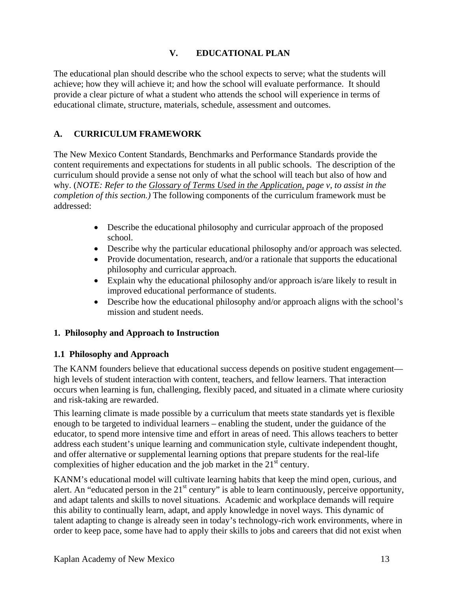# **V. EDUCATIONAL PLAN**

The educational plan should describe who the school expects to serve; what the students will achieve; how they will achieve it; and how the school will evaluate performance. It should provide a clear picture of what a student who attends the school will experience in terms of educational climate, structure, materials, schedule, assessment and outcomes.

# **A. CURRICULUM FRAMEWORK**

The New Mexico Content Standards, Benchmarks and Performance Standards provide the content requirements and expectations for students in all public schools. The description of the curriculum should provide a sense not only of what the school will teach but also of how and why. (*NOTE: Refer to the Glossary of Terms Used in the Application, page v, to assist in the completion of this section.)* The following components of the curriculum framework must be addressed:

- Describe the educational philosophy and curricular approach of the proposed school.
- Describe why the particular educational philosophy and/or approach was selected.
- Provide documentation, research, and/or a rationale that supports the educational philosophy and curricular approach.
- Explain why the educational philosophy and/or approach is/are likely to result in improved educational performance of students.
- Describe how the educational philosophy and/or approach aligns with the school's mission and student needs.

## **1. Philosophy and Approach to Instruction**

## **1.1 Philosophy and Approach**

The KANM founders believe that educational success depends on positive student engagement high levels of student interaction with content, teachers, and fellow learners. That interaction occurs when learning is fun, challenging, flexibly paced, and situated in a climate where curiosity and risk-taking are rewarded.

This learning climate is made possible by a curriculum that meets state standards yet is flexible enough to be targeted to individual learners – enabling the student, under the guidance of the educator, to spend more intensive time and effort in areas of need. This allows teachers to better address each student's unique learning and communication style, cultivate independent thought, and offer alternative or supplemental learning options that prepare students for the real-life complexities of higher education and the job market in the  $21<sup>st</sup>$  century.

KANM's educational model will cultivate learning habits that keep the mind open, curious, and alert. An "educated person in the  $21<sup>st</sup>$  century" is able to learn continuously, perceive opportunity, and adapt talents and skills to novel situations. Academic and workplace demands will require this ability to continually learn, adapt, and apply knowledge in novel ways. This dynamic of talent adapting to change is already seen in today's technology-rich work environments, where in order to keep pace, some have had to apply their skills to jobs and careers that did not exist when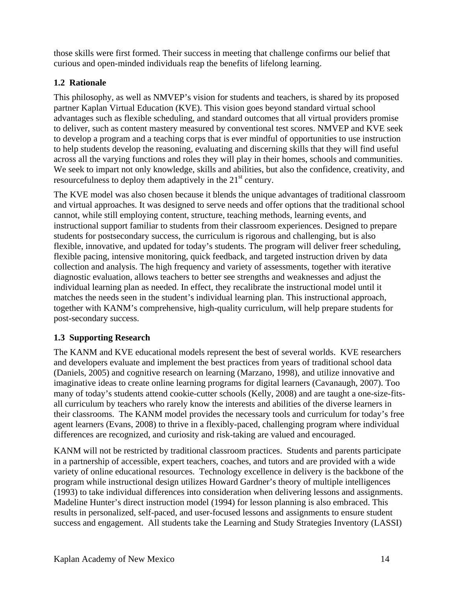those skills were first formed. Their success in meeting that challenge confirms our belief that curious and open-minded individuals reap the benefits of lifelong learning.

# **1.2 Rationale**

This philosophy, as well as NMVEP's vision for students and teachers, is shared by its proposed partner Kaplan Virtual Education (KVE). This vision goes beyond standard virtual school advantages such as flexible scheduling, and standard outcomes that all virtual providers promise to deliver, such as content mastery measured by conventional test scores. NMVEP and KVE seek to develop a program and a teaching corps that is ever mindful of opportunities to use instruction to help students develop the reasoning, evaluating and discerning skills that they will find useful across all the varying functions and roles they will play in their homes, schools and communities. We seek to impart not only knowledge, skills and abilities, but also the confidence, creativity, and resourcefulness to deploy them adaptively in the 21<sup>st</sup> century.

The KVE model was also chosen because it blends the unique advantages of traditional classroom and virtual approaches. It was designed to serve needs and offer options that the traditional school cannot, while still employing content, structure, teaching methods, learning events, and instructional support familiar to students from their classroom experiences. Designed to prepare students for postsecondary success, the curriculum is rigorous and challenging, but is also flexible, innovative, and updated for today's students. The program will deliver freer scheduling, flexible pacing, intensive monitoring, quick feedback, and targeted instruction driven by data collection and analysis. The high frequency and variety of assessments, together with iterative diagnostic evaluation, allows teachers to better see strengths and weaknesses and adjust the individual learning plan as needed. In effect, they recalibrate the instructional model until it matches the needs seen in the student's individual learning plan. This instructional approach, together with KANM's comprehensive, high-quality curriculum, will help prepare students for post-secondary success.

# **1.3 Supporting Research**

The KANM and KVE educational models represent the best of several worlds. KVE researchers and developers evaluate and implement the best practices from years of traditional school data (Daniels, 2005) and cognitive research on learning (Marzano, 1998), and utilize innovative and imaginative ideas to create online learning programs for digital learners (Cavanaugh, 2007). Too many of today's students attend cookie-cutter schools (Kelly, 2008) and are taught a one-size-fitsall curriculum by teachers who rarely know the interests and abilities of the diverse learners in their classrooms. The KANM model provides the necessary tools and curriculum for today's free agent learners (Evans, 2008) to thrive in a flexibly-paced, challenging program where individual differences are recognized, and curiosity and risk-taking are valued and encouraged.

KANM will not be restricted by traditional classroom practices. Students and parents participate in a partnership of accessible, expert teachers, coaches, and tutors and are provided with a wide variety of online educational resources. Technology excellence in delivery is the backbone of the program while instructional design utilizes Howard Gardner's theory of multiple intelligences (1993) to take individual differences into consideration when delivering lessons and assignments. Madeline Hunter's direct instruction model (1994) for lesson planning is also embraced. This results in personalized, self-paced, and user-focused lessons and assignments to ensure student success and engagement.All students take the Learning and Study Strategies Inventory (LASSI)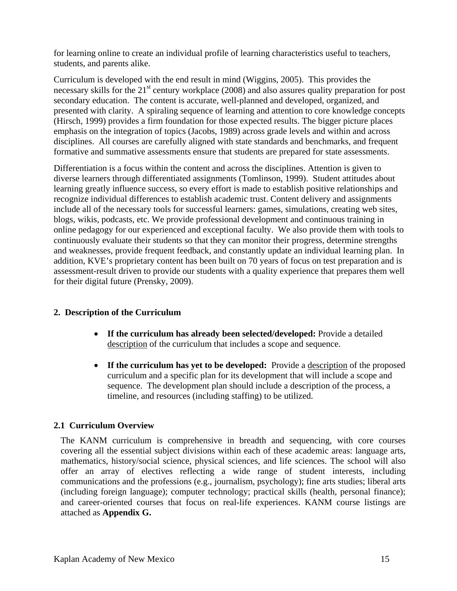for learning online to create an individual profile of learning characteristics useful to teachers, students, and parents alike.

Curriculum is developed with the end result in mind (Wiggins, 2005). This provides the necessary skills for the 21<sup>st</sup> century workplace (2008) and also assures quality preparation for post secondary education. The content is accurate, well-planned and developed, organized, and presented with clarity. A spiraling sequence of learning and attention to core knowledge concepts (Hirsch, 1999) provides a firm foundation for those expected results. The bigger picture places emphasis on the integration of topics (Jacobs, 1989) across grade levels and within and across disciplines. All courses are carefully aligned with state standards and benchmarks, and frequent formative and summative assessments ensure that students are prepared for state assessments.

Differentiation is a focus within the content and across the disciplines. Attention is given to diverse learners through differentiated assignments (Tomlinson, 1999). Student attitudes about learning greatly influence success, so every effort is made to establish positive relationships and recognize individual differences to establish academic trust. Content delivery and assignments include all of the necessary tools for successful learners: games, simulations, creating web sites, blogs, wikis, podcasts, etc. We provide professional development and continuous training in online pedagogy for our experienced and exceptional faculty. We also provide them with tools to continuously evaluate their students so that they can monitor their progress, determine strengths and weaknesses, provide frequent feedback, and constantly update an individual learning plan. In addition, KVE's proprietary content has been built on 70 years of focus on test preparation and is assessment-result driven to provide our students with a quality experience that prepares them well for their digital future (Prensky, 2009).

# **2. Description of the Curriculum**

- **If the curriculum has already been selected/developed:** Provide a detailed description of the curriculum that includes a scope and sequence.
- **If the curriculum has yet to be developed:** Provide a description of the proposed curriculum and a specific plan for its development that will include a scope and sequence. The development plan should include a description of the process, a timeline, and resources (including staffing) to be utilized.

## **2.1 Curriculum Overview**

The KANM curriculum is comprehensive in breadth and sequencing, with core courses covering all the essential subject divisions within each of these academic areas: language arts, mathematics, history/social science, physical sciences, and life sciences. The school will also offer an array of electives reflecting a wide range of student interests, including communications and the professions (e.g., journalism, psychology); fine arts studies; liberal arts (including foreign language); computer technology; practical skills (health, personal finance); and career-oriented courses that focus on real-life experiences. KANM course listings are attached as **Appendix G.**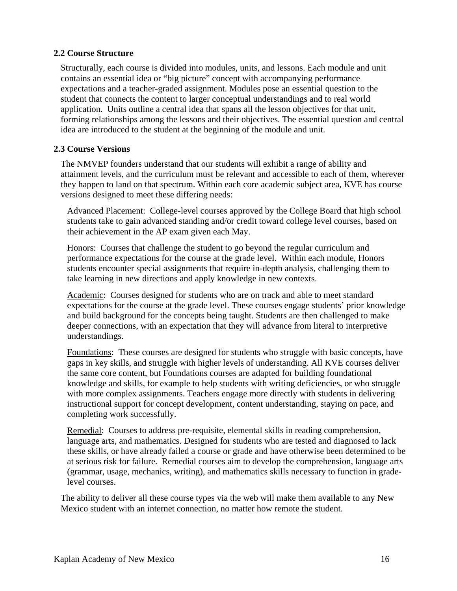## **2.2 Course Structure**

Structurally, each course is divided into modules, units, and lessons. Each module and unit contains an essential idea or "big picture" concept with accompanying performance expectations and a teacher-graded assignment. Modules pose an essential question to the student that connects the content to larger conceptual understandings and to real world application. Units outline a central idea that spans all the lesson objectives for that unit, forming relationships among the lessons and their objectives. The essential question and central idea are introduced to the student at the beginning of the module and unit.

## **2.3 Course Versions**

The NMVEP founders understand that our students will exhibit a range of ability and attainment levels, and the curriculum must be relevant and accessible to each of them, wherever they happen to land on that spectrum. Within each core academic subject area, KVE has course versions designed to meet these differing needs:

Advanced Placement: College-level courses approved by the College Board that high school students take to gain advanced standing and/or credit toward college level courses, based on their achievement in the AP exam given each May.

Honors: Courses that challenge the student to go beyond the regular curriculum and performance expectations for the course at the grade level. Within each module, Honors students encounter special assignments that require in-depth analysis, challenging them to take learning in new directions and apply knowledge in new contexts.

Academic: Courses designed for students who are on track and able to meet standard expectations for the course at the grade level. These courses engage students' prior knowledge and build background for the concepts being taught. Students are then challenged to make deeper connections, with an expectation that they will advance from literal to interpretive understandings.

Foundations: These courses are designed for students who struggle with basic concepts, have gaps in key skills, and struggle with higher levels of understanding. All KVE courses deliver the same core content, but Foundations courses are adapted for building foundational knowledge and skills, for example to help students with writing deficiencies, or who struggle with more complex assignments. Teachers engage more directly with students in delivering instructional support for concept development, content understanding, staying on pace, and completing work successfully.

Remedial: Courses to address pre-requisite, elemental skills in reading comprehension, language arts, and mathematics. Designed for students who are tested and diagnosed to lack these skills, or have already failed a course or grade and have otherwise been determined to be at serious risk for failure. Remedial courses aim to develop the comprehension, language arts (grammar, usage, mechanics, writing), and mathematics skills necessary to function in gradelevel courses.

The ability to deliver all these course types via the web will make them available to any New Mexico student with an internet connection, no matter how remote the student.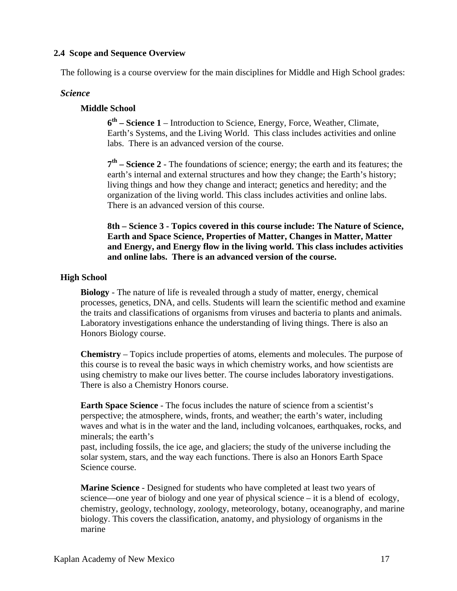## **2.4 Scope and Sequence Overview**

The following is a course overview for the main disciplines for Middle and High School grades:

## *Science*

## **Middle School**

**6th – Science 1** – Introduction to Science, Energy, Force, Weather, Climate, Earth's Systems, and the Living World. This class includes activities and online labs. There is an advanced version of the course.

**7th – Science 2** - The foundations of science; energy; the earth and its features; the earth's internal and external structures and how they change; the Earth's history; living things and how they change and interact; genetics and heredity; and the organization of the living world. This class includes activities and online labs. There is an advanced version of this course.

**8th – Science 3 - Topics covered in this course include: The Nature of Science, Earth and Space Science, Properties of Matter, Changes in Matter, Matter and Energy, and Energy flow in the living world. This class includes activities and online labs. There is an advanced version of the course.** 

## **High School**

**Biology** - The nature of life is revealed through a study of matter, energy, chemical processes, genetics, DNA, and cells. Students will learn the scientific method and examine the traits and classifications of organisms from viruses and bacteria to plants and animals. Laboratory investigations enhance the understanding of living things. There is also an Honors Biology course.

**Chemistry** – Topics include properties of atoms, elements and molecules. The purpose of this course is to reveal the basic ways in which chemistry works, and how scientists are using chemistry to make our lives better. The course includes laboratory investigations. There is also a Chemistry Honors course.

**Earth Space Science** - The focus includes the nature of science from a scientist's perspective; the atmosphere, winds, fronts, and weather; the earth's water, including waves and what is in the water and the land, including volcanoes, earthquakes, rocks, and minerals; the earth's

past, including fossils, the ice age, and glaciers; the study of the universe including the solar system, stars, and the way each functions. There is also an Honors Earth Space Science course.

**Marine Science** - Designed for students who have completed at least two years of science—one year of biology and one year of physical science – it is a blend of ecology, chemistry, geology, technology, zoology, meteorology, botany, oceanography, and marine biology. This covers the classification, anatomy, and physiology of organisms in the marine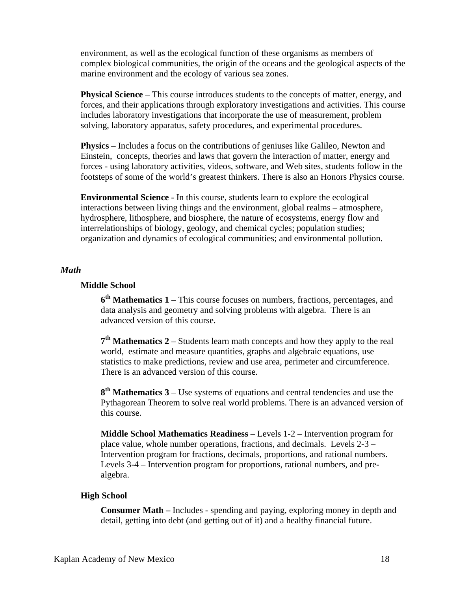environment, as well as the ecological function of these organisms as members of complex biological communities, the origin of the oceans and the geological aspects of the marine environment and the ecology of various sea zones.

**Physical Science** – This course introduces students to the concepts of matter, energy, and forces, and their applications through exploratory investigations and activities. This course includes laboratory investigations that incorporate the use of measurement, problem solving, laboratory apparatus, safety procedures, and experimental procedures.

**Physics** – Includes a focus on the contributions of geniuses like Galileo, Newton and Einstein, concepts, theories and laws that govern the interaction of matter, energy and forces - using laboratory activities, videos, software, and Web sites, students follow in the footsteps of some of the world's greatest thinkers. There is also an Honors Physics course.

**Environmental Science** - In this course, students learn to explore the ecological interactions between living things and the environment, global realms – atmosphere, hydrosphere, lithosphere, and biosphere, the nature of ecosystems, energy flow and interrelationships of biology, geology, and chemical cycles; population studies; organization and dynamics of ecological communities; and environmental pollution.

#### *Math*

#### **Middle School**

**6th Mathematics 1** – This course focuses on numbers, fractions, percentages, and data analysis and geometry and solving problems with algebra. There is an advanced version of this course.

**7th Mathematics 2** – Students learn math concepts and how they apply to the real world, estimate and measure quantities, graphs and algebraic equations, use statistics to make predictions, review and use area, perimeter and circumference. There is an advanced version of this course.

**8th Mathematics 3** – Use systems of equations and central tendencies and use the Pythagorean Theorem to solve real world problems. There is an advanced version of this course.

**Middle School Mathematics Readiness** – Levels 1-2 – Intervention program for place value, whole number operations, fractions, and decimals. Levels 2-3 – Intervention program for fractions, decimals, proportions, and rational numbers. Levels 3-4 – Intervention program for proportions, rational numbers, and prealgebra.

#### **High School**

**Consumer Math –** Includes - spending and paying, exploring money in depth and detail, getting into debt (and getting out of it) and a healthy financial future.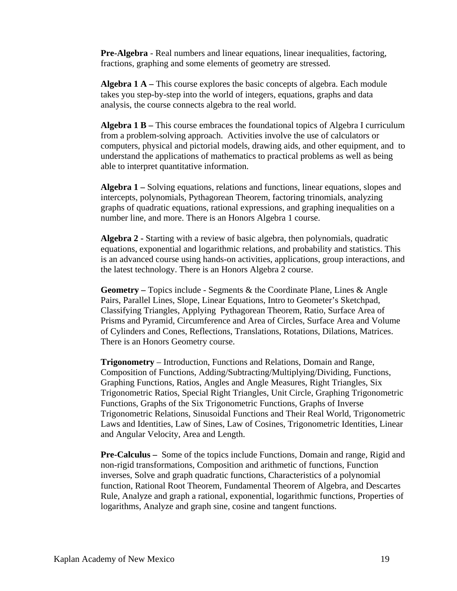**Pre-Algebra** - Real numbers and linear equations, linear inequalities, factoring, fractions, graphing and some elements of geometry are stressed.

**Algebra 1 A –** This course explores the basic concepts of algebra. Each module takes you step-by-step into the world of integers, equations, graphs and data analysis, the course connects algebra to the real world.

**Algebra 1 B –** This course embraces the foundational topics of Algebra I curriculum from a problem-solving approach. Activities involve the use of calculators or computers, physical and pictorial models, drawing aids, and other equipment, and to understand the applications of mathematics to practical problems as well as being able to interpret quantitative information.

**Algebra 1 –** Solving equations, relations and functions, linear equations, slopes and intercepts, polynomials, Pythagorean Theorem, factoring trinomials, analyzing graphs of quadratic equations, rational expressions, and graphing inequalities on a number line, and more. There is an Honors Algebra 1 course.

**Algebra 2 -** Starting with a review of basic algebra, then polynomials, quadratic equations, exponential and logarithmic relations, and probability and statistics. This is an advanced course using hands-on activities, applications, group interactions, and the latest technology. There is an Honors Algebra 2 course.

**Geometry –** Topics include - Segments & the Coordinate Plane, Lines & Angle Pairs, Parallel Lines, Slope, Linear Equations, Intro to Geometer's Sketchpad, Classifying Triangles, Applying Pythagorean Theorem, Ratio, Surface Area of Prisms and Pyramid, Circumference and Area of Circles, Surface Area and Volume of Cylinders and Cones, Reflections, Translations, Rotations, Dilations, Matrices. There is an Honors Geometry course.

**Trigonometry** – Introduction, Functions and Relations, Domain and Range, Composition of Functions, Adding/Subtracting/Multiplying/Dividing, Functions, Graphing Functions, Ratios, Angles and Angle Measures, Right Triangles, Six Trigonometric Ratios, Special Right Triangles, Unit Circle, Graphing Trigonometric Functions, Graphs of the Six Trigonometric Functions, Graphs of Inverse Trigonometric Relations, Sinusoidal Functions and Their Real World, Trigonometric Laws and Identities, Law of Sines, Law of Cosines, Trigonometric Identities, Linear and Angular Velocity, Area and Length.

**Pre-Calculus –** Some of the topics include Functions, Domain and range, Rigid and non-rigid transformations, Composition and arithmetic of functions, Function inverses, Solve and graph quadratic functions, Characteristics of a polynomial function, Rational Root Theorem, Fundamental Theorem of Algebra, and Descartes Rule, Analyze and graph a rational, exponential, logarithmic functions, Properties of logarithms, Analyze and graph sine, cosine and tangent functions.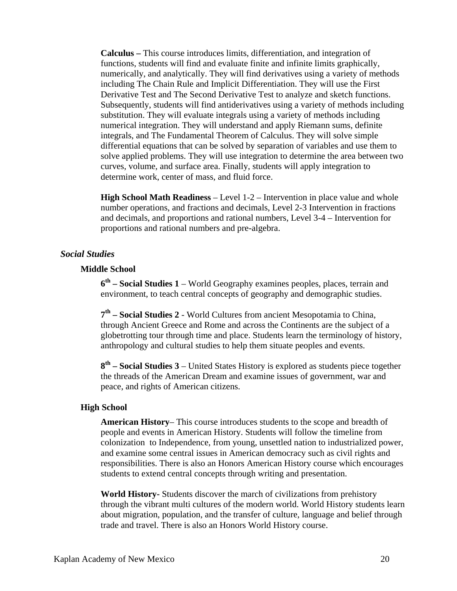**Calculus –** This course introduces limits, differentiation, and integration of functions, students will find and evaluate finite and infinite limits graphically, numerically, and analytically. They will find derivatives using a variety of methods including The Chain Rule and Implicit Differentiation. They will use the First Derivative Test and The Second Derivative Test to analyze and sketch functions. Subsequently, students will find antiderivatives using a variety of methods including substitution. They will evaluate integrals using a variety of methods including numerical integration. They will understand and apply Riemann sums, definite integrals, and The Fundamental Theorem of Calculus. They will solve simple differential equations that can be solved by separation of variables and use them to solve applied problems. They will use integration to determine the area between two curves, volume, and surface area. Finally, students will apply integration to determine work, center of mass, and fluid force.

**High School Math Readiness** – Level 1-2 – Intervention in place value and whole number operations, and fractions and decimals, Level 2-3 Intervention in fractions and decimals, and proportions and rational numbers, Level 3-4 – Intervention for proportions and rational numbers and pre-algebra.

## *Social Studies*

#### **Middle School**

**6th – Social Studies 1** – World Geography examines peoples, places, terrain and environment, to teach central concepts of geography and demographic studies.

**7th – Social Studies 2** - World Cultures from ancient Mesopotamia to China, through Ancient Greece and Rome and across the Continents are the subject of a globetrotting tour through time and place. Students learn the terminology of history, anthropology and cultural studies to help them situate peoples and events.

**8th – Social Studies 3** – United States History is explored as students piece together the threads of the American Dream and examine issues of government, war and peace, and rights of American citizens.

#### **High School**

**American History**– This course introduces students to the scope and breadth of people and events in American History. Students will follow the timeline from colonization to Independence, from young, unsettled nation to industrialized power, and examine some central issues in American democracy such as civil rights and responsibilities. There is also an Honors American History course which encourages students to extend central concepts through writing and presentation.

**World History-** Students discover the march of civilizations from prehistory through the vibrant multi cultures of the modern world. World History students learn about migration, population, and the transfer of culture, language and belief through trade and travel. There is also an Honors World History course.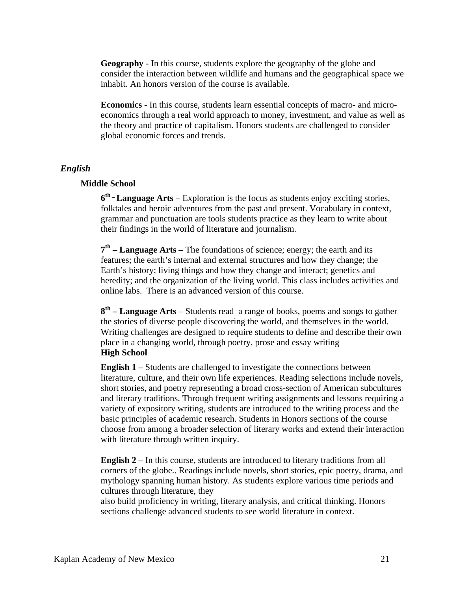**Geography** - In this course, students explore the geography of the globe and consider the interaction between wildlife and humans and the geographical space we inhabit. An honors version of the course is available.

**Economics** - In this course, students learn essential concepts of macro- and microeconomics through a real world approach to money, investment, and value as well as the theory and practice of capitalism. Honors students are challenged to consider global economic forces and trends.

#### *English*

#### **Middle School**

**6th \_ Language Arts** – Exploration is the focus as students enjoy exciting stories, folktales and heroic adventures from the past and present. Vocabulary in context, grammar and punctuation are tools students practice as they learn to write about their findings in the world of literature and journalism.

**7th – Language Arts –** The foundations of science; energy; the earth and its features; the earth's internal and external structures and how they change; the Earth's history; living things and how they change and interact; genetics and heredity; and the organization of the living world. This class includes activities and online labs. There is an advanced version of this course.

**8th – Language Arts** – Students read a range of books, poems and songs to gather the stories of diverse people discovering the world, and themselves in the world. Writing challenges are designed to require students to define and describe their own place in a changing world, through poetry, prose and essay writing **High School** 

**English 1** – Students are challenged to investigate the connections between literature, culture, and their own life experiences. Reading selections include novels, short stories, and poetry representing a broad cross-section of American subcultures and literary traditions. Through frequent writing assignments and lessons requiring a variety of expository writing, students are introduced to the writing process and the basic principles of academic research. Students in Honors sections of the course choose from among a broader selection of literary works and extend their interaction with literature through written inquiry.

**English 2** – In this course, students are introduced to literary traditions from all corners of the globe.. Readings include novels, short stories, epic poetry, drama, and mythology spanning human history. As students explore various time periods and cultures through literature, they

also build proficiency in writing, literary analysis, and critical thinking. Honors sections challenge advanced students to see world literature in context.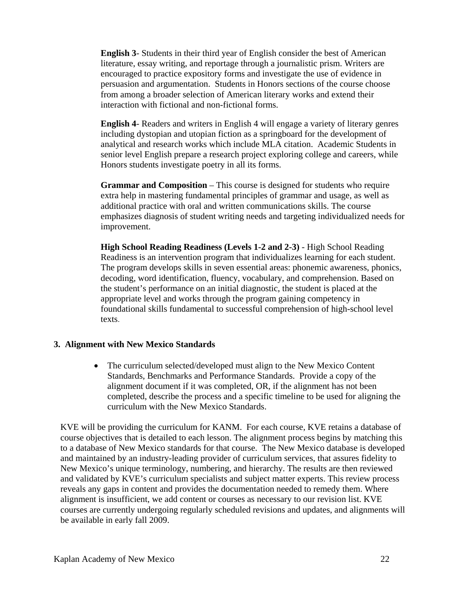**English 3**- Students in their third year of English consider the best of American literature, essay writing, and reportage through a journalistic prism. Writers are encouraged to practice expository forms and investigate the use of evidence in persuasion and argumentation. Students in Honors sections of the course choose from among a broader selection of American literary works and extend their interaction with fictional and non-fictional forms.

**English 4**- Readers and writers in English 4 will engage a variety of literary genres including dystopian and utopian fiction as a springboard for the development of analytical and research works which include MLA citation. Academic Students in senior level English prepare a research project exploring college and careers, while Honors students investigate poetry in all its forms.

**Grammar and Composition** – This course is designed for students who require extra help in mastering fundamental principles of grammar and usage, as well as additional practice with oral and written communications skills. The course emphasizes diagnosis of student writing needs and targeting individualized needs for improvement.

**High School Reading Readiness (Levels 1-2 and 2-3)** - High School Reading Readiness is an intervention program that individualizes learning for each student. The program develops skills in seven essential areas: phonemic awareness, phonics, decoding, word identification, fluency, vocabulary, and comprehension. Based on the student's performance on an initial diagnostic, the student is placed at the appropriate level and works through the program gaining competency in foundational skills fundamental to successful comprehension of high-school level texts.

#### **3. Alignment with New Mexico Standards**

• The curriculum selected/developed must align to the New Mexico Content Standards, Benchmarks and Performance Standards. Provide a copy of the alignment document if it was completed, OR, if the alignment has not been completed, describe the process and a specific timeline to be used for aligning the curriculum with the New Mexico Standards.

KVE will be providing the curriculum for KANM. For each course, KVE retains a database of course objectives that is detailed to each lesson. The alignment process begins by matching this to a database of New Mexico standards for that course. The New Mexico database is developed and maintained by an industry-leading provider of curriculum services, that assures fidelity to New Mexico's unique terminology, numbering, and hierarchy. The results are then reviewed and validated by KVE's curriculum specialists and subject matter experts. This review process reveals any gaps in content and provides the documentation needed to remedy them. Where alignment is insufficient, we add content or courses as necessary to our revision list. KVE courses are currently undergoing regularly scheduled revisions and updates, and alignments will be available in early fall 2009.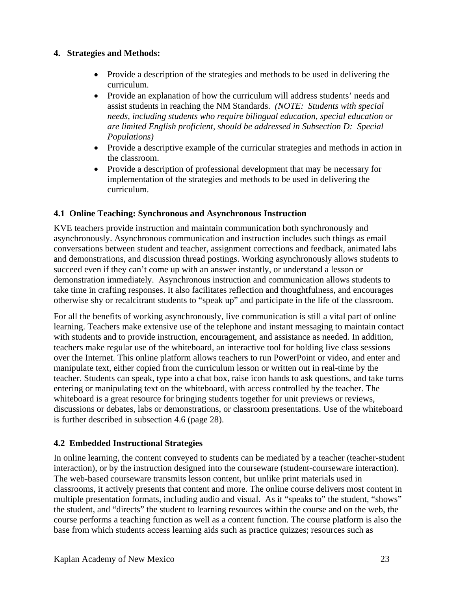## **4. Strategies and Methods:**

- Provide a description of the strategies and methods to be used in delivering the curriculum.
- Provide an explanation of how the curriculum will address students' needs and assist students in reaching the NM Standards. *(NOTE: Students with special needs, including students who require bilingual education, special education or are limited English proficient, should be addressed in Subsection D: Special Populations)*
- Provide a descriptive example of the curricular strategies and methods in action in the classroom.
- Provide a description of professional development that may be necessary for implementation of the strategies and methods to be used in delivering the curriculum.

# **4.1 Online Teaching: Synchronous and Asynchronous Instruction**

KVE teachers provide instruction and maintain communication both synchronously and asynchronously. Asynchronous communication and instruction includes such things as email conversations between student and teacher, assignment corrections and feedback, animated labs and demonstrations, and discussion thread postings. Working asynchronously allows students to succeed even if they can't come up with an answer instantly, or understand a lesson or demonstration immediately. Asynchronous instruction and communication allows students to take time in crafting responses. It also facilitates reflection and thoughtfulness, and encourages otherwise shy or recalcitrant students to "speak up" and participate in the life of the classroom.

For all the benefits of working asynchronously, live communication is still a vital part of online learning. Teachers make extensive use of the telephone and instant messaging to maintain contact with students and to provide instruction, encouragement, and assistance as needed. In addition, teachers make regular use of the whiteboard, an interactive tool for holding live class sessions over the Internet. This online platform allows teachers to run PowerPoint or video, and enter and manipulate text, either copied from the curriculum lesson or written out in real-time by the teacher. Students can speak, type into a chat box, raise icon hands to ask questions, and take turns entering or manipulating text on the whiteboard, with access controlled by the teacher. The whiteboard is a great resource for bringing students together for unit previews or reviews, discussions or debates, labs or demonstrations, or classroom presentations. Use of the whiteboard is further described in subsection 4.6 (page 28).

# **4.2 Embedded Instructional Strategies**

In online learning, the content conveyed to students can be mediated by a teacher (teacher-student interaction), or by the instruction designed into the courseware (student-courseware interaction). The web-based courseware transmits lesson content, but unlike print materials used in classrooms, it actively presents that content and more. The online course delivers most content in multiple presentation formats, including audio and visual. As it "speaks to" the student, "shows" the student, and "directs" the student to learning resources within the course and on the web, the course performs a teaching function as well as a content function. The course platform is also the base from which students access learning aids such as practice quizzes; resources such as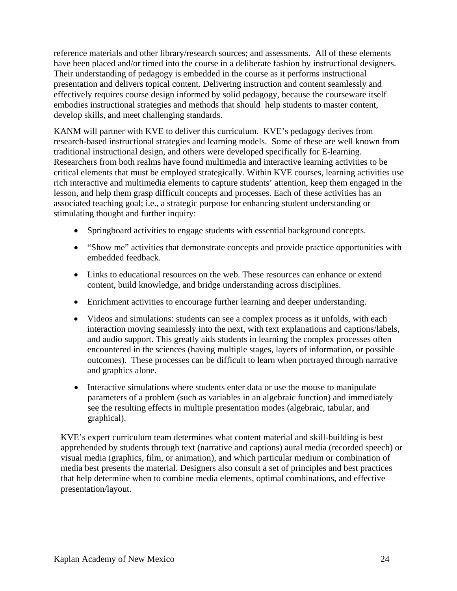reference materials and other library/research sources; and assessments. All of these elements have been placed and/or timed into the course in a deliberate fashion by instructional designers. Their understanding of pedagogy is embedded in the course as it performs instructional presentation and delivers topical content. Delivering instruction and content seamlessly and effectively requires course design informed by solid pedagogy, because the courseware itself embodies instructional strategies and methods that should help students to master content, develop skills, and meet challenging standards.

KANM will partner with KVE to deliver this curriculum. KVE's pedagogy derives from research-based instructional strategies and learning models. Some of these are well known from traditional instructional design, and others were developed specifically for E-learning. Researchers from both realms have found multimedia and interactive learning activities to be critical elements that must be employed strategically. Within KVE courses, learning activities use rich interactive and multimedia elements to capture students' attention, keep them engaged in the lesson, and help them grasp difficult concepts and processes. Each of these activities has an associated teaching goal; i.e., a strategic purpose for enhancing student understanding or stimulating thought and further inquiry:

- Springboard activities to engage students with essential background concepts.
- "Show me" activities that demonstrate concepts and provide practice opportunities with embedded feedback.
- Links to educational resources on the web. These resources can enhance or extend content, build knowledge, and bridge understanding across disciplines.
- Enrichment activities to encourage further learning and deeper understanding.
- Videos and simulations: students can see a complex process as it unfolds, with each interaction moving seamlessly into the next, with text explanations and captions/labels, and audio support. This greatly aids students in learning the complex processes often encountered in the sciences (having multiple stages, layers of information, or possible outcomes). These processes can be difficult to learn when portrayed through narrative and graphics alone.
- Interactive simulations where students enter data or use the mouse to manipulate parameters of a problem (such as variables in an algebraic function) and immediately see the resulting effects in multiple presentation modes (algebraic, tabular, and graphical).

KVE's expert curriculum team determines what content material and skill-building is best apprehended by students through text (narrative and captions) aural media (recorded speech) or visual media (graphics, film, or animation), and which particular medium or combination of media best presents the material. Designers also consult a set of principles and best practices that help determine when to combine media elements, optimal combinations, and effective presentation/layout.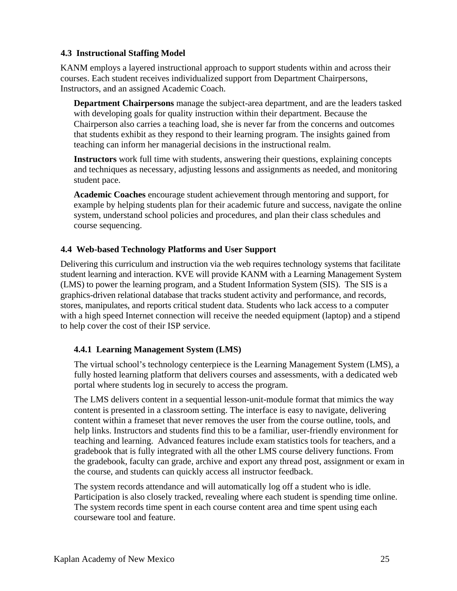## **4.3 Instructional Staffing Model**

KANM employs a layered instructional approach to support students within and across their courses. Each student receives individualized support from Department Chairpersons, Instructors, and an assigned Academic Coach.

**Department Chairpersons** manage the subject-area department, and are the leaders tasked with developing goals for quality instruction within their department. Because the Chairperson also carries a teaching load, she is never far from the concerns and outcomes that students exhibit as they respond to their learning program. The insights gained from teaching can inform her managerial decisions in the instructional realm.

**Instructors** work full time with students, answering their questions, explaining concepts and techniques as necessary, adjusting lessons and assignments as needed, and monitoring student pace.

**Academic Coaches** encourage student achievement through mentoring and support, for example by helping students plan for their academic future and success, navigate the online system, understand school policies and procedures, and plan their class schedules and course sequencing.

## **4.4 Web-based Technology Platforms and User Support**

Delivering this curriculum and instruction via the web requires technology systems that facilitate student learning and interaction. KVE will provide KANM with a Learning Management System (LMS) to power the learning program, and a Student Information System (SIS). The SIS is a graphics-driven relational database that tracks student activity and performance, and records, stores, manipulates, and reports critical student data. Students who lack access to a computer with a high speed Internet connection will receive the needed equipment (laptop) and a stipend to help cover the cost of their ISP service.

## **4.4.1 Learning Management System (LMS)**

The virtual school's technology centerpiece is the Learning Management System (LMS), a fully hosted learning platform that delivers courses and assessments, with a dedicated web portal where students log in securely to access the program.

The LMS delivers content in a sequential lesson-unit-module format that mimics the way content is presented in a classroom setting. The interface is easy to navigate, delivering content within a frameset that never removes the user from the course outline, tools, and help links. Instructors and students find this to be a familiar, user-friendly environment for teaching and learning. Advanced features include exam statistics tools for teachers, and a gradebook that is fully integrated with all the other LMS course delivery functions. From the gradebook, faculty can grade, archive and export any thread post, assignment or exam in the course, and students can quickly access all instructor feedback.

The system records attendance and will automatically log off a student who is idle. Participation is also closely tracked, revealing where each student is spending time online. The system records time spent in each course content area and time spent using each courseware tool and feature.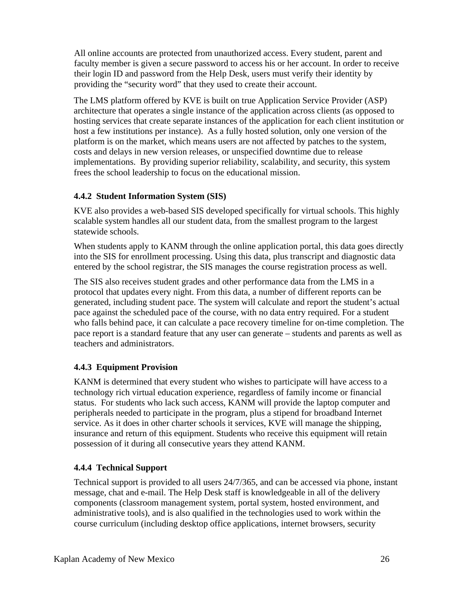All online accounts are protected from unauthorized access. Every student, parent and faculty member is given a secure password to access his or her account. In order to receive their login ID and password from the Help Desk, users must verify their identity by providing the "security word" that they used to create their account.

The LMS platform offered by KVE is built on true Application Service Provider (ASP) architecture that operates a single instance of the application across clients (as opposed to hosting services that create separate instances of the application for each client institution or host a few institutions per instance). As a fully hosted solution, only one version of the platform is on the market, which means users are not affected by patches to the system, costs and delays in new version releases, or unspecified downtime due to release implementations. By providing superior reliability, scalability, and security, this system frees the school leadership to focus on the educational mission.

# **4.4.2 Student Information System (SIS)**

KVE also provides a web-based SIS developed specifically for virtual schools. This highly scalable system handles all our student data, from the smallest program to the largest statewide schools.

When students apply to KANM through the online application portal, this data goes directly into the SIS for enrollment processing. Using this data, plus transcript and diagnostic data entered by the school registrar, the SIS manages the course registration process as well.

The SIS also receives student grades and other performance data from the LMS in a protocol that updates every night. From this data, a number of different reports can be generated, including student pace. The system will calculate and report the student's actual pace against the scheduled pace of the course, with no data entry required. For a student who falls behind pace, it can calculate a pace recovery timeline for on-time completion. The pace report is a standard feature that any user can generate – students and parents as well as teachers and administrators.

# **4.4.3 Equipment Provision**

KANM is determined that every student who wishes to participate will have access to a technology rich virtual education experience, regardless of family income or financial status. For students who lack such access, KANM will provide the laptop computer and peripherals needed to participate in the program, plus a stipend for broadband Internet service. As it does in other charter schools it services, KVE will manage the shipping, insurance and return of this equipment. Students who receive this equipment will retain possession of it during all consecutive years they attend KANM.

# **4.4.4 Technical Support**

Technical support is provided to all users 24/7/365, and can be accessed via phone, instant message, chat and e-mail. The Help Desk staff is knowledgeable in all of the delivery components (classroom management system, portal system, hosted environment, and administrative tools), and is also qualified in the technologies used to work within the course curriculum (including desktop office applications, internet browsers, security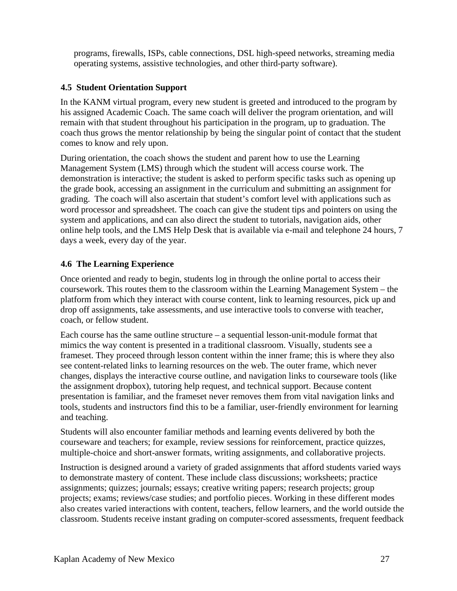programs, firewalls, ISPs, cable connections, DSL high-speed networks, streaming media operating systems, assistive technologies, and other third-party software).

# **4.5 Student Orientation Support**

In the KANM virtual program, every new student is greeted and introduced to the program by his assigned Academic Coach. The same coach will deliver the program orientation, and will remain with that student throughout his participation in the program, up to graduation. The coach thus grows the mentor relationship by being the singular point of contact that the student comes to know and rely upon.

During orientation, the coach shows the student and parent how to use the Learning Management System (LMS) through which the student will access course work. The demonstration is interactive; the student is asked to perform specific tasks such as opening up the grade book, accessing an assignment in the curriculum and submitting an assignment for grading. The coach will also ascertain that student's comfort level with applications such as word processor and spreadsheet. The coach can give the student tips and pointers on using the system and applications, and can also direct the student to tutorials, navigation aids, other online help tools, and the LMS Help Desk that is available via e-mail and telephone 24 hours, 7 days a week, every day of the year.

# **4.6 The Learning Experience**

Once oriented and ready to begin, students log in through the online portal to access their coursework. This routes them to the classroom within the Learning Management System – the platform from which they interact with course content, link to learning resources, pick up and drop off assignments, take assessments, and use interactive tools to converse with teacher, coach, or fellow student.

Each course has the same outline structure – a sequential lesson-unit-module format that mimics the way content is presented in a traditional classroom. Visually, students see a frameset. They proceed through lesson content within the inner frame; this is where they also see content-related links to learning resources on the web. The outer frame, which never changes, displays the interactive course outline, and navigation links to courseware tools (like the assignment dropbox), tutoring help request, and technical support. Because content presentation is familiar, and the frameset never removes them from vital navigation links and tools, students and instructors find this to be a familiar, user-friendly environment for learning and teaching.

Students will also encounter familiar methods and learning events delivered by both the courseware and teachers; for example, review sessions for reinforcement, practice quizzes, multiple-choice and short-answer formats, writing assignments, and collaborative projects.

Instruction is designed around a variety of graded assignments that afford students varied ways to demonstrate mastery of content. These include class discussions; worksheets; practice assignments; quizzes; journals; essays; creative writing papers; research projects; group projects; exams; reviews/case studies; and portfolio pieces. Working in these different modes also creates varied interactions with content, teachers, fellow learners, and the world outside the classroom. Students receive instant grading on computer-scored assessments, frequent feedback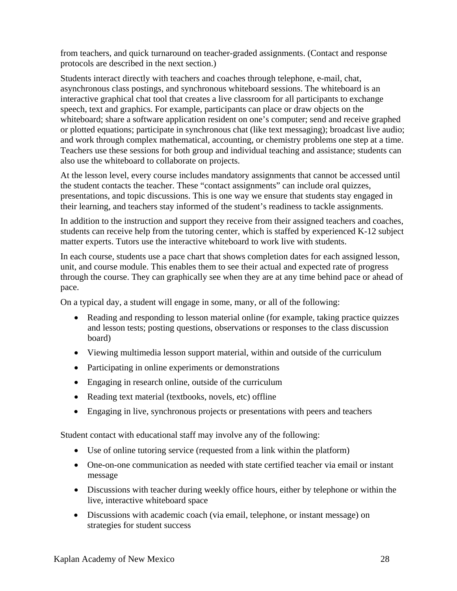from teachers, and quick turnaround on teacher-graded assignments. (Contact and response protocols are described in the next section.)

Students interact directly with teachers and coaches through telephone, e-mail, chat, asynchronous class postings, and synchronous whiteboard sessions. The whiteboard is an interactive graphical chat tool that creates a live classroom for all participants to exchange speech, text and graphics. For example, participants can place or draw objects on the whiteboard; share a software application resident on one's computer; send and receive graphed or plotted equations; participate in synchronous chat (like text messaging); broadcast live audio; and work through complex mathematical, accounting, or chemistry problems one step at a time. Teachers use these sessions for both group and individual teaching and assistance; students can also use the whiteboard to collaborate on projects.

At the lesson level, every course includes mandatory assignments that cannot be accessed until the student contacts the teacher. These "contact assignments" can include oral quizzes, presentations, and topic discussions. This is one way we ensure that students stay engaged in their learning, and teachers stay informed of the student's readiness to tackle assignments.

In addition to the instruction and support they receive from their assigned teachers and coaches, students can receive help from the tutoring center, which is staffed by experienced K-12 subject matter experts. Tutors use the interactive whiteboard to work live with students.

In each course, students use a pace chart that shows completion dates for each assigned lesson, unit, and course module. This enables them to see their actual and expected rate of progress through the course. They can graphically see when they are at any time behind pace or ahead of pace.

On a typical day, a student will engage in some, many, or all of the following:

- Reading and responding to lesson material online (for example, taking practice quizzes and lesson tests; posting questions, observations or responses to the class discussion board)
- Viewing multimedia lesson support material, within and outside of the curriculum
- Participating in online experiments or demonstrations
- Engaging in research online, outside of the curriculum
- Reading text material (textbooks, novels, etc) offline
- Engaging in live, synchronous projects or presentations with peers and teachers

Student contact with educational staff may involve any of the following:

- Use of online tutoring service (requested from a link within the platform)
- One-on-one communication as needed with state certified teacher via email or instant message
- Discussions with teacher during weekly office hours, either by telephone or within the live, interactive whiteboard space
- Discussions with academic coach (via email, telephone, or instant message) on strategies for student success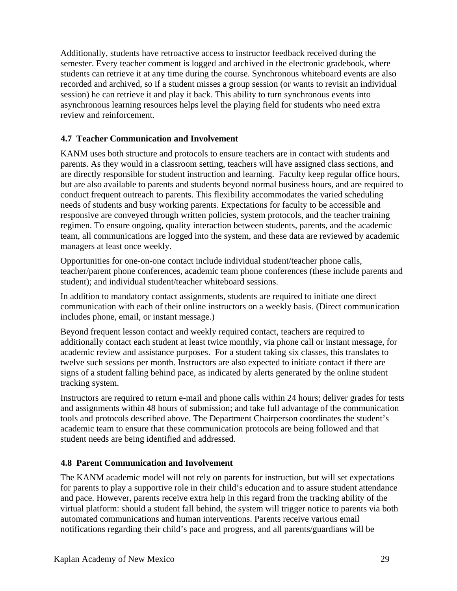Additionally, students have retroactive access to instructor feedback received during the semester. Every teacher comment is logged and archived in the electronic gradebook, where students can retrieve it at any time during the course. Synchronous whiteboard events are also recorded and archived, so if a student misses a group session (or wants to revisit an individual session) he can retrieve it and play it back. This ability to turn synchronous events into asynchronous learning resources helps level the playing field for students who need extra review and reinforcement.

# **4.7 Teacher Communication and Involvement**

KANM uses both structure and protocols to ensure teachers are in contact with students and parents. As they would in a classroom setting, teachers will have assigned class sections, and are directly responsible for student instruction and learning. Faculty keep regular office hours, but are also available to parents and students beyond normal business hours, and are required to conduct frequent outreach to parents. This flexibility accommodates the varied scheduling needs of students and busy working parents. Expectations for faculty to be accessible and responsive are conveyed through written policies, system protocols, and the teacher training regimen. To ensure ongoing, quality interaction between students, parents, and the academic team, all communications are logged into the system, and these data are reviewed by academic managers at least once weekly.

Opportunities for one-on-one contact include individual student/teacher phone calls, teacher/parent phone conferences, academic team phone conferences (these include parents and student); and individual student/teacher whiteboard sessions.

In addition to mandatory contact assignments, students are required to initiate one direct communication with each of their online instructors on a weekly basis. (Direct communication includes phone, email, or instant message.)

Beyond frequent lesson contact and weekly required contact, teachers are required to additionally contact each student at least twice monthly, via phone call or instant message, for academic review and assistance purposes. For a student taking six classes, this translates to twelve such sessions per month. Instructors are also expected to initiate contact if there are signs of a student falling behind pace, as indicated by alerts generated by the online student tracking system.

Instructors are required to return e-mail and phone calls within 24 hours; deliver grades for tests and assignments within 48 hours of submission; and take full advantage of the communication tools and protocols described above. The Department Chairperson coordinates the student's academic team to ensure that these communication protocols are being followed and that student needs are being identified and addressed.

## **4.8 Parent Communication and Involvement**

The KANM academic model will not rely on parents for instruction, but will set expectations for parents to play a supportive role in their child's education and to assure student attendance and pace. However, parents receive extra help in this regard from the tracking ability of the virtual platform: should a student fall behind, the system will trigger notice to parents via both automated communications and human interventions. Parents receive various email notifications regarding their child's pace and progress, and all parents/guardians will be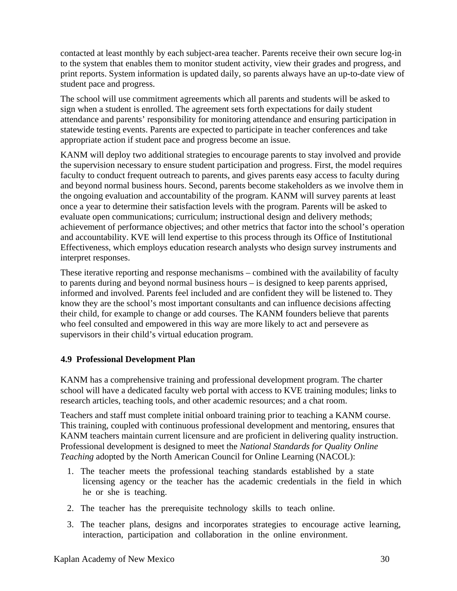contacted at least monthly by each subject-area teacher. Parents receive their own secure log-in to the system that enables them to monitor student activity, view their grades and progress, and print reports. System information is updated daily, so parents always have an up-to-date view of student pace and progress.

The school will use commitment agreements which all parents and students will be asked to sign when a student is enrolled. The agreement sets forth expectations for daily student attendance and parents' responsibility for monitoring attendance and ensuring participation in statewide testing events. Parents are expected to participate in teacher conferences and take appropriate action if student pace and progress become an issue.

KANM will deploy two additional strategies to encourage parents to stay involved and provide the supervision necessary to ensure student participation and progress. First, the model requires faculty to conduct frequent outreach to parents, and gives parents easy access to faculty during and beyond normal business hours. Second, parents become stakeholders as we involve them in the ongoing evaluation and accountability of the program. KANM will survey parents at least once a year to determine their satisfaction levels with the program. Parents will be asked to evaluate open communications; curriculum; instructional design and delivery methods; achievement of performance objectives; and other metrics that factor into the school's operation and accountability. KVE will lend expertise to this process through its Office of Institutional Effectiveness, which employs education research analysts who design survey instruments and interpret responses.

These iterative reporting and response mechanisms – combined with the availability of faculty to parents during and beyond normal business hours – is designed to keep parents apprised, informed and involved. Parents feel included and are confident they will be listened to. They know they are the school's most important consultants and can influence decisions affecting their child, for example to change or add courses. The KANM founders believe that parents who feel consulted and empowered in this way are more likely to act and persevere as supervisors in their child's virtual education program.

## **4.9 Professional Development Plan**

KANM has a comprehensive training and professional development program. The charter school will have a dedicated faculty web portal with access to KVE training modules; links to research articles, teaching tools, and other academic resources; and a chat room.

Teachers and staff must complete initial onboard training prior to teaching a KANM course. This training, coupled with continuous professional development and mentoring, ensures that KANM teachers maintain current licensure and are proficient in delivering quality instruction. Professional development is designed to meet the *National Standards for Quality Online Teaching* adopted by the North American Council for Online Learning (NACOL):

- 1. The teacher meets the professional teaching standards established by a state licensing agency or the teacher has the academic credentials in the field in which he or she is teaching.
- 2. The teacher has the prerequisite technology skills to teach online.
- 3. The teacher plans, designs and incorporates strategies to encourage active learning, interaction, participation and collaboration in the online environment.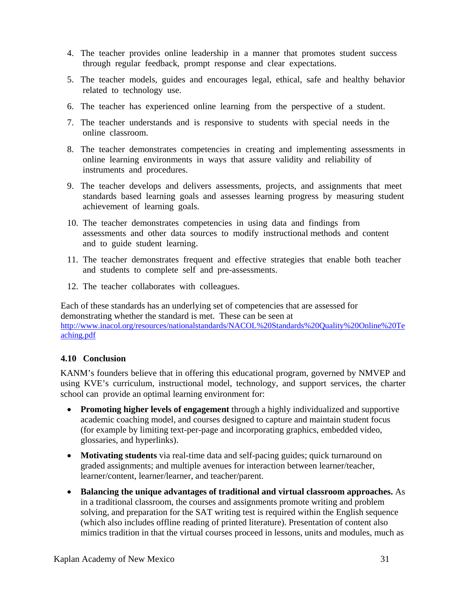- 4. The teacher provides online leadership in a manner that promotes student success through regular feedback, prompt response and clear expectations.
- 5. The teacher models, guides and encourages legal, ethical, safe and healthy behavior related to technology use.
- 6. The teacher has experienced online learning from the perspective of a student.
- 7. The teacher understands and is responsive to students with special needs in the online classroom.
- 8. The teacher demonstrates competencies in creating and implementing assessments in online learning environments in ways that assure validity and reliability of instruments and procedures.
- 9. The teacher develops and delivers assessments, projects, and assignments that meet standards based learning goals and assesses learning progress by measuring student achievement of learning goals.
- 10. The teacher demonstrates competencies in using data and findings from assessments and other data sources to modify instructional methods and content and to guide student learning.
- 11. The teacher demonstrates frequent and effective strategies that enable both teacher and students to complete self and pre-assessments.
- 12. The teacher collaborates with colleagues.

Each of these standards has an underlying set of competencies that are assessed for demonstrating whether the standard is met. These can be seen at http://www.inacol.org/resources/nationalstandards/NACOL%20Standards%20Quality%20Online%20Te aching.pdf

## **4.10 Conclusion**

KANM's founders believe that in offering this educational program, governed by NMVEP and using KVE's curriculum, instructional model, technology, and support services, the charter school can provide an optimal learning environment for:

- **Promoting higher levels of engagement** through a highly individualized and supportive academic coaching model, and courses designed to capture and maintain student focus (for example by limiting text-per-page and incorporating graphics, embedded video, glossaries, and hyperlinks).
- **Motivating students** via real-time data and self-pacing guides; quick turnaround on graded assignments; and multiple avenues for interaction between learner/teacher, learner/content, learner/learner, and teacher/parent.
- **Balancing the unique advantages of traditional and virtual classroom approaches.** As in a traditional classroom, the courses and assignments promote writing and problem solving, and preparation for the SAT writing test is required within the English sequence (which also includes offline reading of printed literature). Presentation of content also mimics tradition in that the virtual courses proceed in lessons, units and modules, much as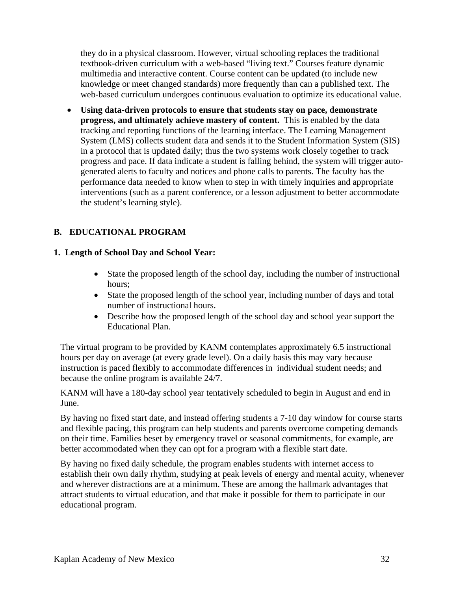they do in a physical classroom. However, virtual schooling replaces the traditional textbook-driven curriculum with a web-based "living text." Courses feature dynamic multimedia and interactive content. Course content can be updated (to include new knowledge or meet changed standards) more frequently than can a published text. The web-based curriculum undergoes continuous evaluation to optimize its educational value.

• **Using data-driven protocols to ensure that students stay on pace, demonstrate progress, and ultimately achieve mastery of content.** This is enabled by the data tracking and reporting functions of the learning interface. The Learning Management System (LMS) collects student data and sends it to the Student Information System (SIS) in a protocol that is updated daily; thus the two systems work closely together to track progress and pace. If data indicate a student is falling behind, the system will trigger autogenerated alerts to faculty and notices and phone calls to parents. The faculty has the performance data needed to know when to step in with timely inquiries and appropriate interventions (such as a parent conference, or a lesson adjustment to better accommodate the student's learning style).

# **B. EDUCATIONAL PROGRAM**

## **1. Length of School Day and School Year:**

- State the proposed length of the school day, including the number of instructional hours;
- State the proposed length of the school year, including number of days and total number of instructional hours.
- Describe how the proposed length of the school day and school year support the Educational Plan.

The virtual program to be provided by KANM contemplates approximately 6.5 instructional hours per day on average (at every grade level). On a daily basis this may vary because instruction is paced flexibly to accommodate differences in individual student needs; and because the online program is available 24/7.

KANM will have a 180-day school year tentatively scheduled to begin in August and end in June.

By having no fixed start date, and instead offering students a 7-10 day window for course starts and flexible pacing, this program can help students and parents overcome competing demands on their time. Families beset by emergency travel or seasonal commitments, for example, are better accommodated when they can opt for a program with a flexible start date.

By having no fixed daily schedule, the program enables students with internet access to establish their own daily rhythm, studying at peak levels of energy and mental acuity, whenever and wherever distractions are at a minimum. These are among the hallmark advantages that attract students to virtual education, and that make it possible for them to participate in our educational program.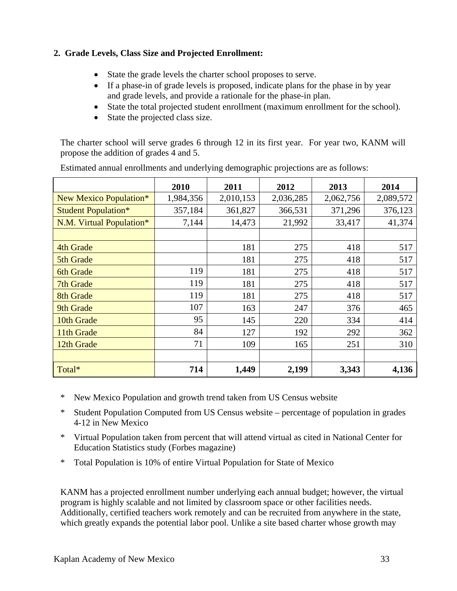# **2. Grade Levels, Class Size and Projected Enrollment:**

- State the grade levels the charter school proposes to serve.
- If a phase-in of grade levels is proposed, indicate plans for the phase in by year and grade levels, and provide a rationale for the phase-in plan.
- State the total projected student enrollment (maximum enrollment for the school).
- State the projected class size.

The charter school will serve grades 6 through 12 in its first year. For year two, KANM will propose the addition of grades 4 and 5.

|                            | 2010      | 2011      | 2012      | 2013      | 2014      |
|----------------------------|-----------|-----------|-----------|-----------|-----------|
| New Mexico Population*     | 1,984,356 | 2,010,153 | 2,036,285 | 2,062,756 | 2,089,572 |
| <b>Student Population*</b> | 357,184   | 361,827   | 366,531   | 371,296   | 376,123   |
| N.M. Virtual Population*   | 7,144     | 14,473    | 21,992    | 33,417    | 41,374    |
|                            |           |           |           |           |           |
| 4th Grade                  |           | 181       | 275       | 418       | 517       |
| 5th Grade                  |           | 181       | 275       | 418       | 517       |
| <b>6th Grade</b>           | 119       | 181       | 275       | 418       | 517       |
| 7th Grade                  | 119       | 181       | 275       | 418       | 517       |
| 8th Grade                  | 119       | 181       | 275       | 418       | 517       |
| 9th Grade                  | 107       | 163       | 247       | 376       | 465       |
| 10th Grade                 | 95        | 145       | 220       | 334       | 414       |
| 11th Grade                 | 84        | 127       | 192       | 292       | 362       |
| 12th Grade                 | 71        | 109       | 165       | 251       | 310       |
|                            |           |           |           |           |           |
| Total*                     | 714       | 1,449     | 2,199     | 3,343     | 4,136     |

Estimated annual enrollments and underlying demographic projections are as follows:

- \* New Mexico Population and growth trend taken from US Census website
- \* Student Population Computed from US Census website percentage of population in grades 4-12 in New Mexico
- \* Virtual Population taken from percent that will attend virtual as cited in National Center for Education Statistics study (Forbes magazine)
- \* Total Population is 10% of entire Virtual Population for State of Mexico

KANM has a projected enrollment number underlying each annual budget; however, the virtual program is highly scalable and not limited by classroom space or other facilities needs. Additionally, certified teachers work remotely and can be recruited from anywhere in the state, which greatly expands the potential labor pool. Unlike a site based charter whose growth may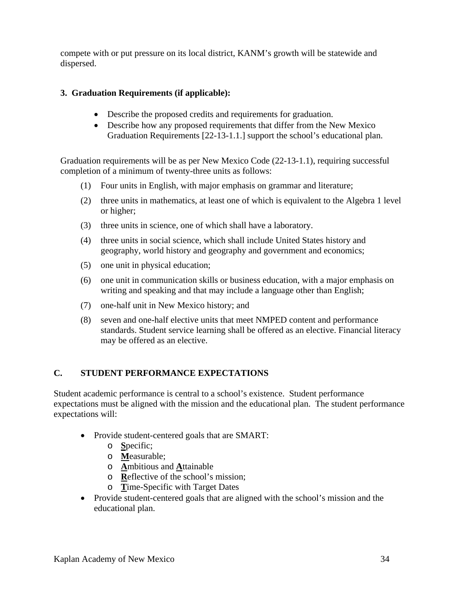compete with or put pressure on its local district, KANM's growth will be statewide and dispersed.

# **3. Graduation Requirements (if applicable):**

- Describe the proposed credits and requirements for graduation.
- Describe how any proposed requirements that differ from the New Mexico Graduation Requirements [22-13-1.1.] support the school's educational plan.

Graduation requirements will be as per New Mexico Code (22-13-1.1), requiring successful completion of a minimum of twenty-three units as follows:

- (1) Four units in English, with major emphasis on grammar and literature;
- (2) three units in mathematics, at least one of which is equivalent to the Algebra 1 level or higher;
- (3) three units in science, one of which shall have a laboratory.
- (4) three units in social science, which shall include United States history and geography, world history and geography and government and economics;
- (5) one unit in physical education;
- (6) one unit in communication skills or business education, with a major emphasis on writing and speaking and that may include a language other than English;
- (7) one-half unit in New Mexico history; and
- (8) seven and one-half elective units that meet NMPED content and performance standards. Student service learning shall be offered as an elective. Financial literacy may be offered as an elective.

## **C. STUDENT PERFORMANCE EXPECTATIONS**

Student academic performance is central to a school's existence. Student performance expectations must be aligned with the mission and the educational plan. The student performance expectations will:

- Provide student-centered goals that are SMART:
	- o **S**pecific;
	- o **M**easurable;
	- o **A**mbitious and **A**ttainable
	- o **R**eflective of the school's mission;
	- o **T**ime-Specific with Target Dates
- Provide student-centered goals that are aligned with the school's mission and the educational plan.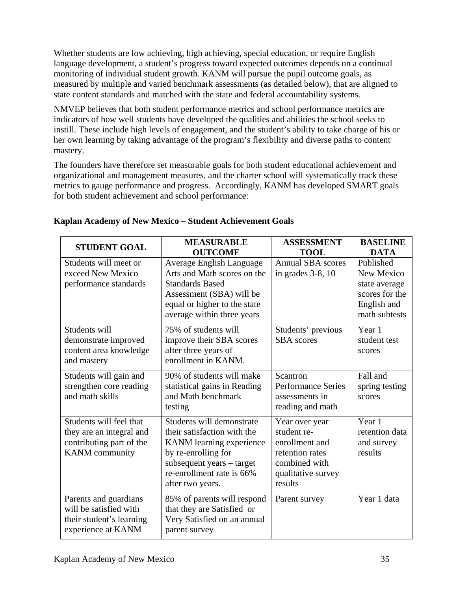Whether students are low achieving, high achieving, special education, or require English language development, a student's progress toward expected outcomes depends on a continual monitoring of individual student growth. KANM will pursue the pupil outcome goals, as measured by multiple and varied benchmark assessments (as detailed below), that are aligned to state content standards and matched with the state and federal accountability systems.

NMVEP believes that both student performance metrics and school performance metrics are indicators of how well students have developed the qualities and abilities the school seeks to instill. These include high levels of engagement, and the student's ability to take charge of his or her own learning by taking advantage of the program's flexibility and diverse paths to content mastery.

The founders have therefore set measurable goals for both student educational achievement and organizational and management measures, and the charter school will systematically track these metrics to gauge performance and progress. Accordingly, KANM has developed SMART goals for both student achievement and school performance:

| <b>STUDENT GOAL</b>                                                                                      | <b>MEASURABLE</b>                                                                                                                                                                                    | <b>ASSESSMENT</b>                                                                                                    | <b>BASELINE</b>                                                                                           |
|----------------------------------------------------------------------------------------------------------|------------------------------------------------------------------------------------------------------------------------------------------------------------------------------------------------------|----------------------------------------------------------------------------------------------------------------------|-----------------------------------------------------------------------------------------------------------|
| Students will meet or<br>exceed New Mexico<br>performance standards                                      | <b>OUTCOME</b><br><b>Average English Language</b><br>Arts and Math scores on the<br><b>Standards Based</b><br>Assessment (SBA) will be<br>equal or higher to the state<br>average within three years | <b>TOOL</b><br><b>Annual SBA</b> scores<br>in grades $3-8$ , 10                                                      | <b>DATA</b><br>Published<br>New Mexico<br>state average<br>scores for the<br>English and<br>math subtests |
| Students will<br>demonstrate improved<br>content area knowledge<br>and mastery                           | 75% of students will<br>improve their SBA scores<br>after three years of<br>enrollment in KANM.                                                                                                      | Students' previous<br><b>SBA</b> scores                                                                              | Year 1<br>student test<br>scores                                                                          |
| Students will gain and<br>strengthen core reading<br>and math skills                                     | 90% of students will make<br>statistical gains in Reading<br>and Math benchmark<br>testing                                                                                                           | Scantron<br><b>Performance Series</b><br>assessments in<br>reading and math                                          | Fall and<br>spring testing<br>scores                                                                      |
| Students will feel that<br>they are an integral and<br>contributing part of the<br><b>KANM</b> community | Students will demonstrate<br>their satisfaction with the<br>KANM learning experience<br>by re-enrolling for<br>subsequent years – target<br>re-enrollment rate is 66%<br>after two years.            | Year over year<br>student re-<br>enrollment and<br>retention rates<br>combined with<br>qualitative survey<br>results | Year 1<br>retention data<br>and survey<br>results                                                         |
| Parents and guardians<br>will be satisfied with<br>their student's learning<br>experience at KANM        | 85% of parents will respond<br>that they are Satisfied or<br>Very Satisfied on an annual<br>parent survey                                                                                            | Parent survey                                                                                                        | Year 1 data                                                                                               |

# **Kaplan Academy of New Mexico – Student Achievement Goals**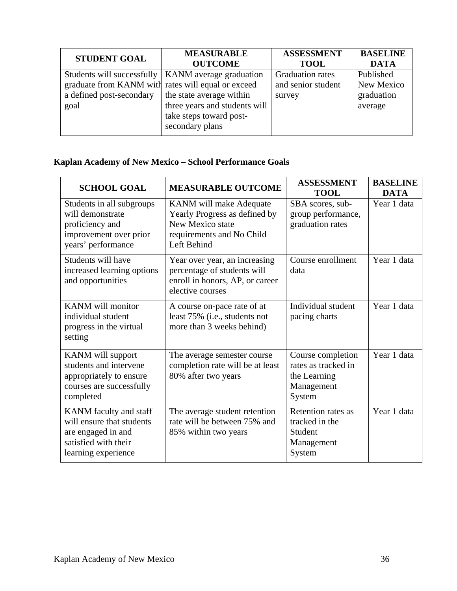| <b>STUDENT GOAL</b>                                                            | <b>MEASURABLE</b><br><b>OUTCOME</b>                                              | <b>ASSESSMENT</b><br><b>TOOL</b>                        | <b>BASELINE</b><br><b>DATA</b>        |
|--------------------------------------------------------------------------------|----------------------------------------------------------------------------------|---------------------------------------------------------|---------------------------------------|
| graduate from KANM with rates will equal or exceed<br>a defined post-secondary | Students will successfully   KANM average graduation<br>the state average within | <b>Graduation rates</b><br>and senior student<br>survey | Published<br>New Mexico<br>graduation |
| goal                                                                           | three years and students will<br>take steps toward post-<br>secondary plans      |                                                         | average                               |

# **Kaplan Academy of New Mexico – School Performance Goals**

| <b>SCHOOL GOAL</b>                                                                                                       | <b>MEASURABLE OUTCOME</b>                                                                                                | <b>ASSESSMENT</b><br><b>TOOL</b>                                                 | <b>BASELINE</b><br><b>DATA</b> |
|--------------------------------------------------------------------------------------------------------------------------|--------------------------------------------------------------------------------------------------------------------------|----------------------------------------------------------------------------------|--------------------------------|
| Students in all subgroups<br>will demonstrate<br>proficiency and<br>improvement over prior<br>years' performance         | KANM will make Adequate<br>Yearly Progress as defined by<br>New Mexico state<br>requirements and No Child<br>Left Behind | SBA scores, sub-<br>group performance,<br>graduation rates                       | Year 1 data                    |
| Students will have<br>increased learning options<br>and opportunities                                                    | Year over year, an increasing<br>percentage of students will<br>enroll in honors, AP, or career<br>elective courses      | Course enrollment<br>data                                                        | Year 1 data                    |
| KANM will monitor<br>individual student<br>progress in the virtual<br>setting                                            | A course on-pace rate of at<br>least 75% (i.e., students not<br>more than 3 weeks behind)                                | Individual student<br>pacing charts                                              | Year 1 data                    |
| KANM will support<br>students and intervene<br>appropriately to ensure<br>courses are successfully<br>completed          | The average semester course<br>completion rate will be at least<br>80% after two years                                   | Course completion<br>rates as tracked in<br>the Learning<br>Management<br>System | Year 1 data                    |
| KANM faculty and staff<br>will ensure that students<br>are engaged in and<br>satisfied with their<br>learning experience | The average student retention<br>rate will be between 75% and<br>85% within two years                                    | Retention rates as<br>tracked in the<br>Student<br>Management<br>System          | Year 1 data                    |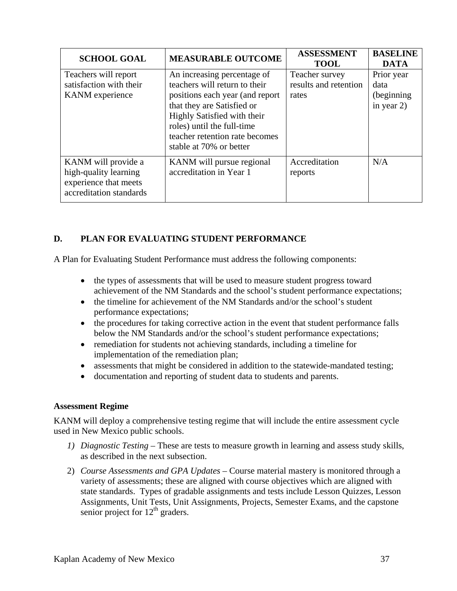| <b>SCHOOL GOAL</b>                                                                               | <b>MEASURABLE OUTCOME</b>                                                                                                                                                                                                                                | <b>ASSESSMENT</b><br><b>TOOL</b>                 | <b>BASELINE</b><br><b>DATA</b>                     |
|--------------------------------------------------------------------------------------------------|----------------------------------------------------------------------------------------------------------------------------------------------------------------------------------------------------------------------------------------------------------|--------------------------------------------------|----------------------------------------------------|
| Teachers will report<br>satisfaction with their<br><b>KANM</b> experience                        | An increasing percentage of<br>teachers will return to their<br>positions each year (and report)<br>that they are Satisfied or<br>Highly Satisfied with their<br>roles) until the full-time<br>teacher retention rate becomes<br>stable at 70% or better | Teacher survey<br>results and retention<br>rates | Prior year<br>data<br>(beginning)<br>in year $2$ ) |
| KANM will provide a<br>high-quality learning<br>experience that meets<br>accreditation standards | KANM will pursue regional<br>accreditation in Year 1                                                                                                                                                                                                     | Accreditation<br>reports                         | N/A                                                |

## **D. PLAN FOR EVALUATING STUDENT PERFORMANCE**

A Plan for Evaluating Student Performance must address the following components:

- the types of assessments that will be used to measure student progress toward achievement of the NM Standards and the school's student performance expectations;
- the timeline for achievement of the NM Standards and/or the school's student performance expectations;
- the procedures for taking corrective action in the event that student performance falls below the NM Standards and/or the school's student performance expectations;
- remediation for students not achieving standards, including a timeline for implementation of the remediation plan;
- assessments that might be considered in addition to the statewide-mandated testing;
- documentation and reporting of student data to students and parents.

#### **Assessment Regime**

KANM will deploy a comprehensive testing regime that will include the entire assessment cycle used in New Mexico public schools.

- *1) Diagnostic Testing –* These are tests to measure growth in learning and assess study skills, as described in the next subsection.
- 2) *Course Assessments and GPA Updates* Course material mastery is monitored through a variety of assessments; these are aligned with course objectives which are aligned with state standards. Types of gradable assignments and tests include Lesson Quizzes, Lesson Assignments, Unit Tests, Unit Assignments, Projects, Semester Exams, and the capstone senior project for  $12<sup>th</sup>$  graders.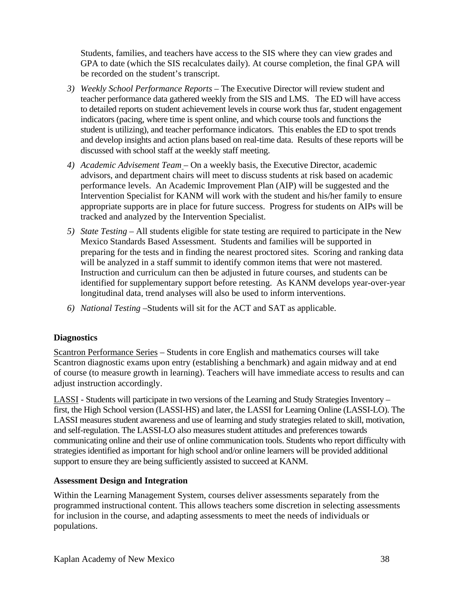Students, families, and teachers have access to the SIS where they can view grades and GPA to date (which the SIS recalculates daily). At course completion, the final GPA will be recorded on the student's transcript.

- *3) Weekly School Performance Reports* The Executive Director will review student and teacher performance data gathered weekly from the SIS and LMS. The ED will have access to detailed reports on student achievement levels in course work thus far, student engagement indicators (pacing, where time is spent online, and which course tools and functions the student is utilizing), and teacher performance indicators. This enables the ED to spot trends and develop insights and action plans based on real-time data. Results of these reports will be discussed with school staff at the weekly staff meeting.
- *4) Academic Advisement Team* On a weekly basis, the Executive Director, academic advisors, and department chairs will meet to discuss students at risk based on academic performance levels. An Academic Improvement Plan (AIP) will be suggested and the Intervention Specialist for KANM will work with the student and his/her family to ensure appropriate supports are in place for future success. Progress for students on AIPs will be tracked and analyzed by the Intervention Specialist.
- *5) State Testing* All students eligible for state testing are required to participate in the New Mexico Standards Based Assessment. Students and families will be supported in preparing for the tests and in finding the nearest proctored sites. Scoring and ranking data will be analyzed in a staff summit to identify common items that were not mastered. Instruction and curriculum can then be adjusted in future courses, and students can be identified for supplementary support before retesting. As KANM develops year-over-year longitudinal data, trend analyses will also be used to inform interventions.
- *6) National Testing –*Students will sit for the ACT and SAT as applicable.

## **Diagnostics**

Scantron Performance Series *–* Students in core English and mathematics courses will take Scantron diagnostic exams upon entry (establishing a benchmark) and again midway and at end of course (to measure growth in learning). Teachers will have immediate access to results and can adjust instruction accordingly.

LASSI - Students will participate in two versions of the Learning and Study Strategies Inventory – first, the High School version (LASSI-HS) and later, the LASSI for Learning Online (LASSI-LO). The LASSI measures student awareness and use of learning and study strategies related to skill, motivation, and self-regulation. The LASSI-LO also measures student attitudes and preferences towards communicating online and their use of online communication tools. Students who report difficulty with strategies identified as important for high school and/or online learners will be provided additional support to ensure they are being sufficiently assisted to succeed at KANM.

### **Assessment Design and Integration**

Within the Learning Management System, courses deliver assessments separately from the programmed instructional content. This allows teachers some discretion in selecting assessments for inclusion in the course, and adapting assessments to meet the needs of individuals or populations.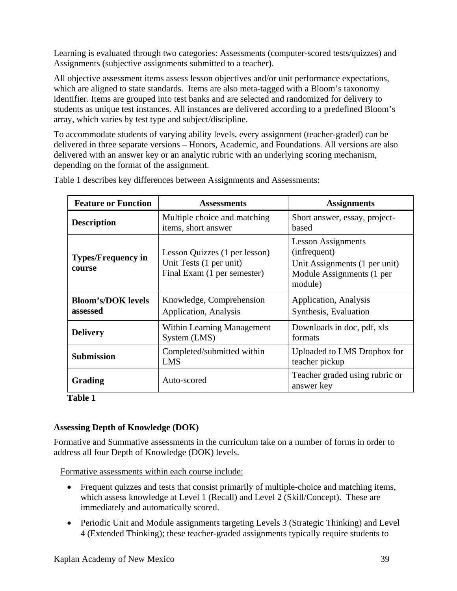Learning is evaluated through two categories: Assessments (computer-scored tests/quizzes) and Assignments (subjective assignments submitted to a teacher).

All objective assessment items assess lesson objectives and/or unit performance expectations, which are aligned to state standards. Items are also meta-tagged with a Bloom's taxonomy identifier. Items are grouped into test banks and are selected and randomized for delivery to students as unique test instances. All instances are delivered according to a predefined Bloom's array, which varies by test type and subject/discipline.

To accommodate students of varying ability levels, every assignment (teacher-graded) can be delivered in three separate versions – Honors, Academic, and Foundations. All versions are also delivered with an answer key or an analytic rubric with an underlying scoring mechanism, depending on the format of the assignment.

| <b>Feature or Function</b>            | <b>Assessments</b>                                                                      | <b>Assignments</b>                                                                                                 |  |
|---------------------------------------|-----------------------------------------------------------------------------------------|--------------------------------------------------------------------------------------------------------------------|--|
| <b>Description</b>                    | Multiple choice and matching<br>items, short answer                                     | Short answer, essay, project-<br>based                                                                             |  |
| <b>Types/Frequency in</b><br>course   | Lesson Quizzes (1 per lesson)<br>Unit Tests (1 per unit)<br>Final Exam (1 per semester) | <b>Lesson Assignments</b><br>(infrequent)<br>Unit Assignments (1 per unit)<br>Module Assignments (1 per<br>module) |  |
| <b>Bloom's/DOK</b> levels<br>assessed | Knowledge, Comprehension<br>Application, Analysis                                       | Application, Analysis<br>Synthesis, Evaluation                                                                     |  |
| <b>Delivery</b>                       | Within Learning Management<br>System (LMS)                                              | Downloads in doc, pdf, xls<br>formats                                                                              |  |
| <b>Submission</b>                     | Completed/submitted within<br><b>LMS</b>                                                | Uploaded to LMS Dropbox for<br>teacher pickup                                                                      |  |
| Grading                               | Auto-scored                                                                             | Teacher graded using rubric or<br>answer key                                                                       |  |

Table 1 describes key differences between Assignments and Assessments:

**Table 1** 

## **Assessing Depth of Knowledge (DOK)**

Formative and Summative assessments in the curriculum take on a number of forms in order to address all four Depth of Knowledge (DOK) levels.

Formative assessments within each course include:

- Frequent quizzes and tests that consist primarily of multiple-choice and matching items, which assess knowledge at Level 1 (Recall) and Level 2 (Skill/Concept). These are immediately and automatically scored.
- Periodic Unit and Module assignments targeting Levels 3 (Strategic Thinking) and Level 4 (Extended Thinking); these teacher-graded assignments typically require students to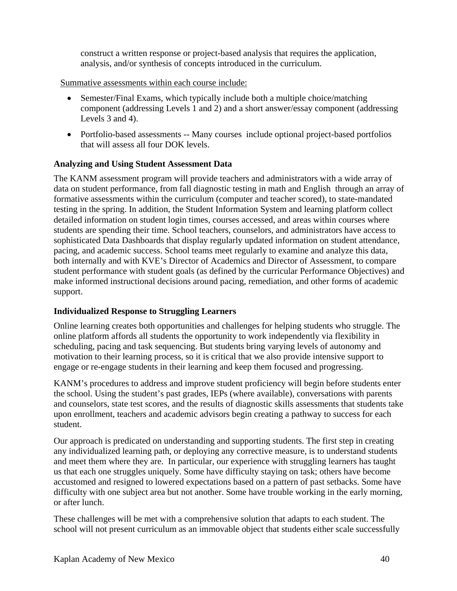construct a written response or project-based analysis that requires the application, analysis, and/or synthesis of concepts introduced in the curriculum.

#### Summative assessments within each course include:

- Semester/Final Exams, which typically include both a multiple choice/matching component (addressing Levels 1 and 2) and a short answer/essay component (addressing Levels 3 and 4).
- Portfolio-based assessments -- Many courses include optional project-based portfolios that will assess all four DOK levels.

### **Analyzing and Using Student Assessment Data**

The KANM assessment program will provide teachers and administrators with a wide array of data on student performance, from fall diagnostic testing in math and English through an array of formative assessments within the curriculum (computer and teacher scored), to state-mandated testing in the spring. In addition, the Student Information System and learning platform collect detailed information on student login times, courses accessed, and areas within courses where students are spending their time. School teachers, counselors, and administrators have access to sophisticated Data Dashboards that display regularly updated information on student attendance, pacing, and academic success. School teams meet regularly to examine and analyze this data, both internally and with KVE's Director of Academics and Director of Assessment, to compare student performance with student goals (as defined by the curricular Performance Objectives) and make informed instructional decisions around pacing, remediation, and other forms of academic support.

### **Individualized Response to Struggling Learners**

Online learning creates both opportunities and challenges for helping students who struggle. The online platform affords all students the opportunity to work independently via flexibility in scheduling, pacing and task sequencing. But students bring varying levels of autonomy and motivation to their learning process, so it is critical that we also provide intensive support to engage or re-engage students in their learning and keep them focused and progressing.

KANM's procedures to address and improve student proficiency will begin before students enter the school. Using the student's past grades, IEPs (where available), conversations with parents and counselors, state test scores, and the results of diagnostic skills assessments that students take upon enrollment, teachers and academic advisors begin creating a pathway to success for each student.

Our approach is predicated on understanding and supporting students. The first step in creating any individualized learning path, or deploying any corrective measure, is to understand students and meet them where they are. In particular, our experience with struggling learners has taught us that each one struggles uniquely. Some have difficulty staying on task; others have become accustomed and resigned to lowered expectations based on a pattern of past setbacks. Some have difficulty with one subject area but not another. Some have trouble working in the early morning, or after lunch.

These challenges will be met with a comprehensive solution that adapts to each student. The school will not present curriculum as an immovable object that students either scale successfully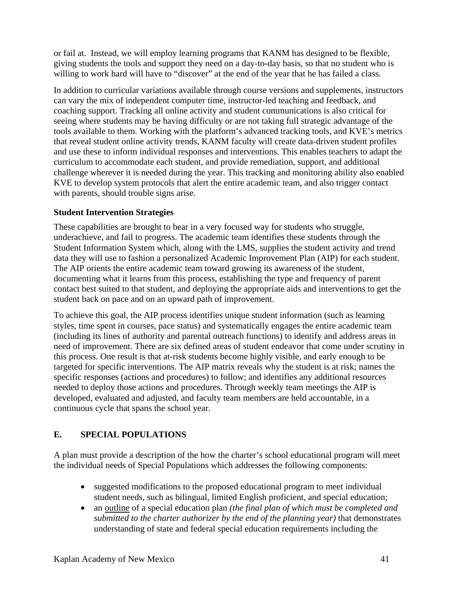or fail at. Instead, we will employ learning programs that KANM has designed to be flexible, giving students the tools and support they need on a day-to-day basis, so that no student who is willing to work hard will have to "discover" at the end of the year that he has failed a class.

In addition to curricular variations available through course versions and supplements, instructors can vary the mix of independent computer time, instructor-led teaching and feedback, and coaching support. Tracking all online activity and student communications is also critical for seeing where students may be having difficulty or are not taking full strategic advantage of the tools available to them. Working with the platform's advanced tracking tools, and KVE's metrics that reveal student online activity trends, KANM faculty will create data-driven student profiles and use these to inform individual responses and interventions. This enables teachers to adapt the curriculum to accommodate each student, and provide remediation, support, and additional challenge wherever it is needed during the year. This tracking and monitoring ability also enabled KVE to develop system protocols that alert the entire academic team, and also trigger contact with parents, should trouble signs arise.

### **Student Intervention Strategies**

These capabilities are brought to bear in a very focused way for students who struggle, underachieve, and fail to progress. The academic team identifies these students through the Student Information System which, along with the LMS, supplies the student activity and trend data they will use to fashion a personalized Academic Improvement Plan (AIP) for each student. The AIP orients the entire academic team toward growing its awareness of the student, documenting what it learns from this process, establishing the type and frequency of parent contact best suited to that student, and deploying the appropriate aids and interventions to get the student back on pace and on an upward path of improvement.

To achieve this goal, the AIP process identifies unique student information (such as learning styles, time spent in courses, pace status) and systematically engages the entire academic team (including its lines of authority and parental outreach functions) to identify and address areas in need of improvement. There are six defined areas of student endeavor that come under scrutiny in this process. One result is that at-risk students become highly visible, and early enough to be targeted for specific interventions. The AIP matrix reveals why the student is at risk; names the specific responses (actions and procedures) to follow; and identifies any additional resources needed to deploy those actions and procedures. Through weekly team meetings the AIP is developed, evaluated and adjusted, and faculty team members are held accountable, in a continuous cycle that spans the school year.

## **E. SPECIAL POPULATIONS**

A plan must provide a description of the how the charter's school educational program will meet the individual needs of Special Populations which addresses the following components:

- suggested modifications to the proposed educational program to meet individual student needs, such as bilingual, limited English proficient, and special education;
- an outline of a special education plan *(the final plan of which must be completed and submitted to the charter authorizer by the end of the planning year)* that demonstrates understanding of state and federal special education requirements including the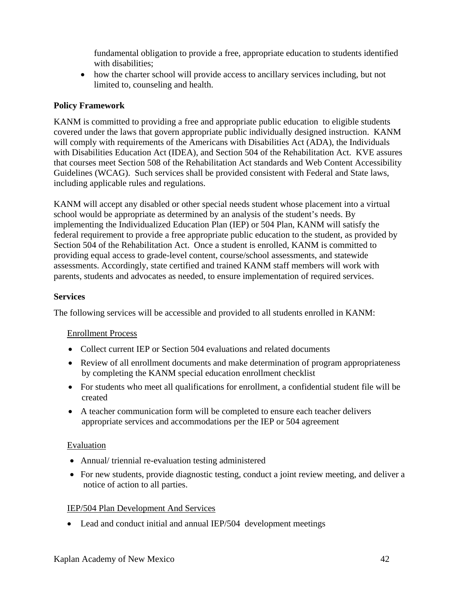fundamental obligation to provide a free, appropriate education to students identified with disabilities;

• how the charter school will provide access to ancillary services including, but not limited to, counseling and health.

### **Policy Framework**

KANM is committed to providing a free and appropriate public education to eligible students covered under the laws that govern appropriate public individually designed instruction. KANM will comply with requirements of the Americans with Disabilities Act (ADA), the Individuals with Disabilities Education Act (IDEA), and Section 504 of the Rehabilitation Act. KVE assures that courses meet Section 508 of the Rehabilitation Act standards and Web Content Accessibility Guidelines (WCAG). Such services shall be provided consistent with Federal and State laws, including applicable rules and regulations.

KANM will accept any disabled or other special needs student whose placement into a virtual school would be appropriate as determined by an analysis of the student's needs. By implementing the Individualized Education Plan (IEP) or 504 Plan, KANM will satisfy the federal requirement to provide a free appropriate public education to the student, as provided by Section 504 of the Rehabilitation Act.Once a student is enrolled, KANM is committed to providing equal access to grade-level content, course/school assessments, and statewide assessments. Accordingly, state certified and trained KANM staff members will work with parents, students and advocates as needed, to ensure implementation of required services.

### **Services**

The following services will be accessible and provided to all students enrolled in KANM:

### Enrollment Process

- Collect current IEP or Section 504 evaluations and related documents
- Review of all enrollment documents and make determination of program appropriateness by completing the KANM special education enrollment checklist
- For students who meet all qualifications for enrollment, a confidential student file will be created
- A teacher communication form will be completed to ensure each teacher delivers appropriate services and accommodations per the IEP or 504 agreement

### Evaluation

- Annual/ triennial re-evaluation testing administered
- For new students, provide diagnostic testing, conduct a joint review meeting, and deliver a notice of action to all parties.

### IEP/504 Plan Development And Services

• Lead and conduct initial and annual IEP/504 development meetings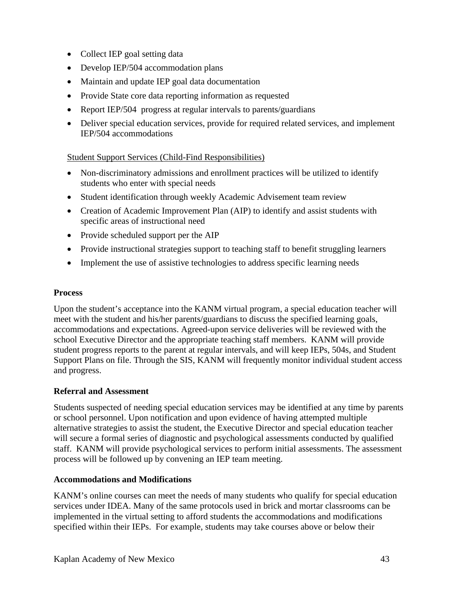- Collect IEP goal setting data
- Develop IEP/504 accommodation plans
- Maintain and update IEP goal data documentation
- Provide State core data reporting information as requested
- Report IEP/504 progress at regular intervals to parents/guardians
- Deliver special education services, provide for required related services, and implement IEP/504 accommodations

### Student Support Services (Child-Find Responsibilities)

- Non-discriminatory admissions and enrollment practices will be utilized to identify students who enter with special needs
- Student identification through weekly Academic Advisement team review
- Creation of Academic Improvement Plan (AIP) to identify and assist students with specific areas of instructional need
- Provide scheduled support per the AIP
- Provide instructional strategies support to teaching staff to benefit struggling learners
- Implement the use of assistive technologies to address specific learning needs

### **Process**

Upon the student's acceptance into the KANM virtual program, a special education teacher will meet with the student and his/her parents/guardians to discuss the specified learning goals, accommodations and expectations. Agreed-upon service deliveries will be reviewed with the school Executive Director and the appropriate teaching staff members. KANM will provide student progress reports to the parent at regular intervals, and will keep IEPs, 504s, and Student Support Plans on file. Through the SIS, KANM will frequently monitor individual student access and progress.

### **Referral and Assessment**

Students suspected of needing special education services may be identified at any time by parents or school personnel. Upon notification and upon evidence of having attempted multiple alternative strategies to assist the student, the Executive Director and special education teacher will secure a formal series of diagnostic and psychological assessments conducted by qualified staff. KANM will provide psychological services to perform initial assessments. The assessment process will be followed up by convening an IEP team meeting.

### **Accommodations and Modifications**

KANM's online courses can meet the needs of many students who qualify for special education services under IDEA. Many of the same protocols used in brick and mortar classrooms can be implemented in the virtual setting to afford students the accommodations and modifications specified within their IEPs. For example, students may take courses above or below their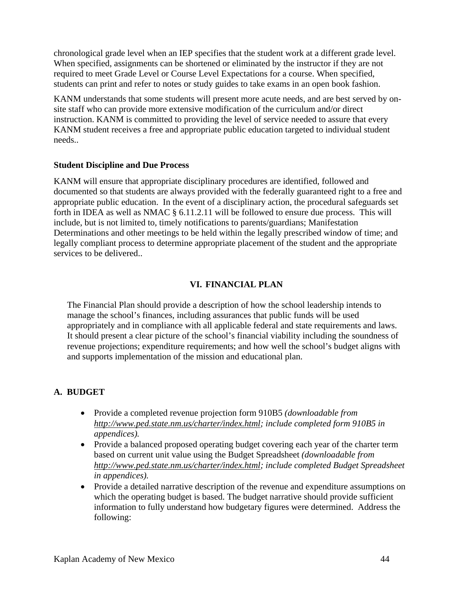chronological grade level when an IEP specifies that the student work at a different grade level. When specified, assignments can be shortened or eliminated by the instructor if they are not required to meet Grade Level or Course Level Expectations for a course. When specified, students can print and refer to notes or study guides to take exams in an open book fashion.

KANM understands that some students will present more acute needs, and are best served by onsite staff who can provide more extensive modification of the curriculum and/or direct instruction. KANM is committed to providing the level of service needed to assure that every KANM student receives a free and appropriate public education targeted to individual student needs..

#### **Student Discipline and Due Process**

KANM will ensure that appropriate disciplinary procedures are identified, followed and documented so that students are always provided with the federally guaranteed right to a free and appropriate public education. In the event of a disciplinary action, the procedural safeguards set forth in IDEA as well as NMAC § 6.11.2.11 will be followed to ensure due process. This will include, but is not limited to, timely notifications to parents/guardians; Manifestation Determinations and other meetings to be held within the legally prescribed window of time; and legally compliant process to determine appropriate placement of the student and the appropriate services to be delivered..

### **VI. FINANCIAL PLAN**

The Financial Plan should provide a description of how the school leadership intends to manage the school's finances, including assurances that public funds will be used appropriately and in compliance with all applicable federal and state requirements and laws. It should present a clear picture of the school's financial viability including the soundness of revenue projections; expenditure requirements; and how well the school's budget aligns with and supports implementation of the mission and educational plan.

## **A. BUDGET**

- Provide a completed revenue projection form 910B5 *(downloadable from http://www.ped.state.nm.us/charter/index.html; include completed form 910B5 in appendices).*
- Provide a balanced proposed operating budget covering each year of the charter term based on current unit value using the Budget Spreadsheet *(downloadable from http://www.ped.state.nm.us/charter/index.html; include completed Budget Spreadsheet in appendices).*
- Provide a detailed narrative description of the revenue and expenditure assumptions on which the operating budget is based. The budget narrative should provide sufficient information to fully understand how budgetary figures were determined. Address the following: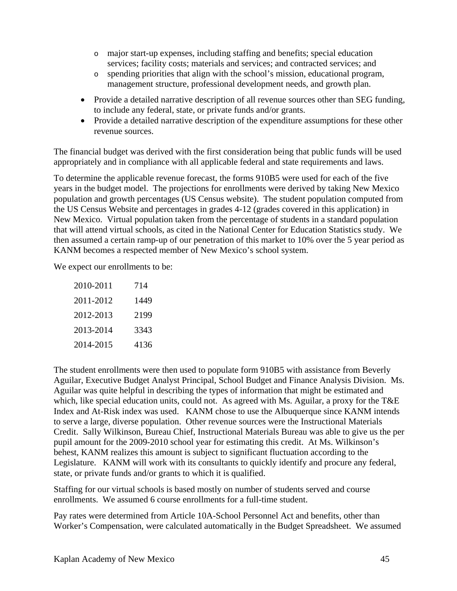- o major start-up expenses, including staffing and benefits; special education services; facility costs; materials and services; and contracted services; and
- o spending priorities that align with the school's mission, educational program, management structure, professional development needs, and growth plan.
- Provide a detailed narrative description of all revenue sources other than SEG funding, to include any federal, state, or private funds and/or grants.
- Provide a detailed narrative description of the expenditure assumptions for these other revenue sources.

The financial budget was derived with the first consideration being that public funds will be used appropriately and in compliance with all applicable federal and state requirements and laws.

To determine the applicable revenue forecast, the forms 910B5 were used for each of the five years in the budget model. The projections for enrollments were derived by taking New Mexico population and growth percentages (US Census website). The student population computed from the US Census Website and percentages in grades 4-12 (grades covered in this application) in New Mexico. Virtual population taken from the percentage of students in a standard population that will attend virtual schools, as cited in the National Center for Education Statistics study. We then assumed a certain ramp-up of our penetration of this market to 10% over the 5 year period as KANM becomes a respected member of New Mexico's school system.

We expect our enrollments to be:

| 2010-2011 | 714  |
|-----------|------|
| 2011-2012 | 1449 |
| 2012-2013 | 2199 |
| 2013-2014 | 3343 |
| 2014-2015 | 4136 |

The student enrollments were then used to populate form 910B5 with assistance from Beverly Aguilar, Executive Budget Analyst Principal, School Budget and Finance Analysis Division. Ms. Aguilar was quite helpful in describing the types of information that might be estimated and which, like special education units, could not. As agreed with Ms. Aguilar, a proxy for the T&E Index and At-Risk index was used. KANM chose to use the Albuquerque since KANM intends to serve a large, diverse population. Other revenue sources were the Instructional Materials Credit. Sally Wilkinson, Bureau Chief, Instructional Materials Bureau was able to give us the per pupil amount for the 2009-2010 school year for estimating this credit. At Ms. Wilkinson's behest, KANM realizes this amount is subject to significant fluctuation according to the Legislature. KANM will work with its consultants to quickly identify and procure any federal, state, or private funds and/or grants to which it is qualified.

Staffing for our virtual schools is based mostly on number of students served and course enrollments. We assumed 6 course enrollments for a full-time student.

Pay rates were determined from Article 10A-School Personnel Act and benefits, other than Worker's Compensation, were calculated automatically in the Budget Spreadsheet. We assumed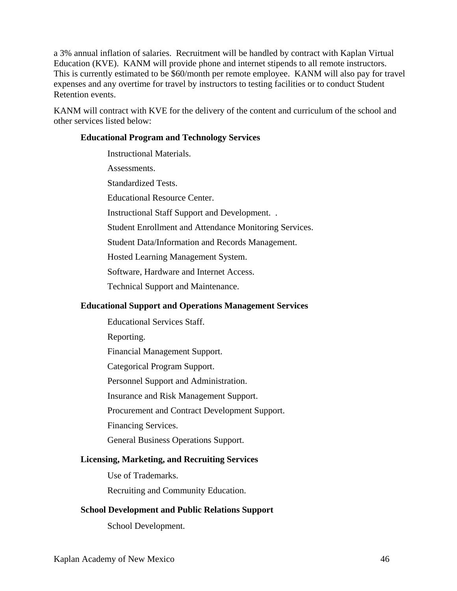a 3% annual inflation of salaries. Recruitment will be handled by contract with Kaplan Virtual Education (KVE). KANM will provide phone and internet stipends to all remote instructors. This is currently estimated to be \$60/month per remote employee. KANM will also pay for travel expenses and any overtime for travel by instructors to testing facilities or to conduct Student Retention events.

KANM will contract with KVE for the delivery of the content and curriculum of the school and other services listed below:

#### **Educational Program and Technology Services**

Instructional Materials. Assessments. Standardized Tests. Educational Resource Center. Instructional Staff Support and Development. . Student Enrollment and Attendance Monitoring Services. Student Data/Information and Records Management. Hosted Learning Management System. Software, Hardware and Internet Access. Technical Support and Maintenance.

### **Educational Support and Operations Management Services**

Educational Services Staff. Reporting. Financial Management Support. Categorical Program Support. Personnel Support and Administration. Insurance and Risk Management Support. Procurement and Contract Development Support. Financing Services. General Business Operations Support. **Licensing, Marketing, and Recruiting Services** 

Use of Trademarks.

Recruiting and Community Education.

## **School Development and Public Relations Support**

School Development.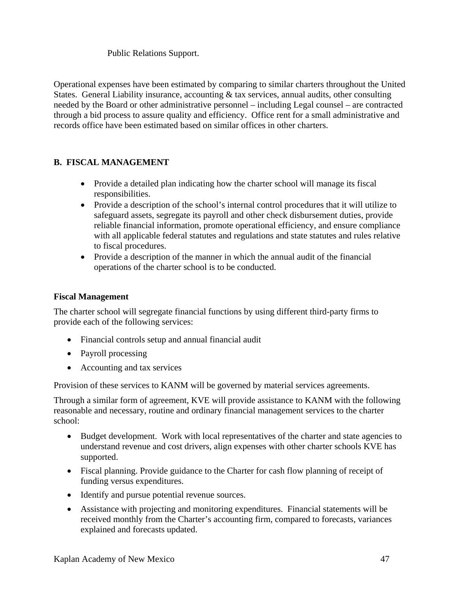### Public Relations Support.

Operational expenses have been estimated by comparing to similar charters throughout the United States. General Liability insurance, accounting & tax services, annual audits, other consulting needed by the Board or other administrative personnel – including Legal counsel – are contracted through a bid process to assure quality and efficiency. Office rent for a small administrative and records office have been estimated based on similar offices in other charters.

## **B. FISCAL MANAGEMENT**

- Provide a detailed plan indicating how the charter school will manage its fiscal responsibilities.
- Provide a description of the school's internal control procedures that it will utilize to safeguard assets, segregate its payroll and other check disbursement duties, provide reliable financial information, promote operational efficiency, and ensure compliance with all applicable federal statutes and regulations and state statutes and rules relative to fiscal procedures.
- Provide a description of the manner in which the annual audit of the financial operations of the charter school is to be conducted.

### **Fiscal Management**

The charter school will segregate financial functions by using different third-party firms to provide each of the following services:

- Financial controls setup and annual financial audit
- Payroll processing
- Accounting and tax services

Provision of these services to KANM will be governed by material services agreements.

Through a similar form of agreement, KVE will provide assistance to KANM with the following reasonable and necessary, routine and ordinary financial management services to the charter school:

- Budget development. Work with local representatives of the charter and state agencies to understand revenue and cost drivers, align expenses with other charter schools KVE has supported.
- Fiscal planning. Provide guidance to the Charter for cash flow planning of receipt of funding versus expenditures.
- Identify and pursue potential revenue sources.
- Assistance with projecting and monitoring expenditures. Financial statements will be received monthly from the Charter's accounting firm, compared to forecasts, variances explained and forecasts updated.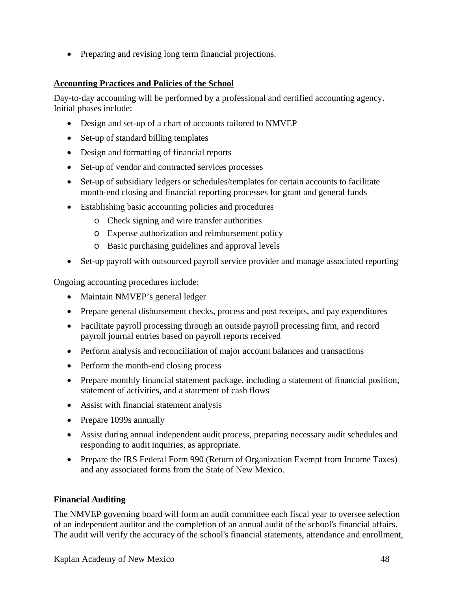• Preparing and revising long term financial projections.

### **Accounting Practices and Policies of the School**

Day-to-day accounting will be performed by a professional and certified accounting agency. Initial phases include:

- Design and set-up of a chart of accounts tailored to NMVEP
- Set-up of standard billing templates
- Design and formatting of financial reports
- Set-up of vendor and contracted services processes
- Set-up of subsidiary ledgers or schedules/templates for certain accounts to facilitate month-end closing and financial reporting processes for grant and general funds
- Establishing basic accounting policies and procedures
	- o Check signing and wire transfer authorities
	- o Expense authorization and reimbursement policy
	- o Basic purchasing guidelines and approval levels
- Set-up payroll with outsourced payroll service provider and manage associated reporting

Ongoing accounting procedures include:

- Maintain NMVEP's general ledger
- Prepare general disbursement checks, process and post receipts, and pay expenditures
- Facilitate payroll processing through an outside payroll processing firm, and record payroll journal entries based on payroll reports received
- Perform analysis and reconciliation of major account balances and transactions
- Perform the month-end closing process
- Prepare monthly financial statement package, including a statement of financial position, statement of activities, and a statement of cash flows
- Assist with financial statement analysis
- Prepare 1099s annually
- Assist during annual independent audit process, preparing necessary audit schedules and responding to audit inquiries, as appropriate.
- Prepare the IRS Federal Form 990 (Return of Organization Exempt from Income Taxes) and any associated forms from the State of New Mexico.

### **Financial Auditing**

The NMVEP governing board will form an audit committee each fiscal year to oversee selection of an independent auditor and the completion of an annual audit of the school's financial affairs. The audit will verify the accuracy of the school's financial statements, attendance and enrollment,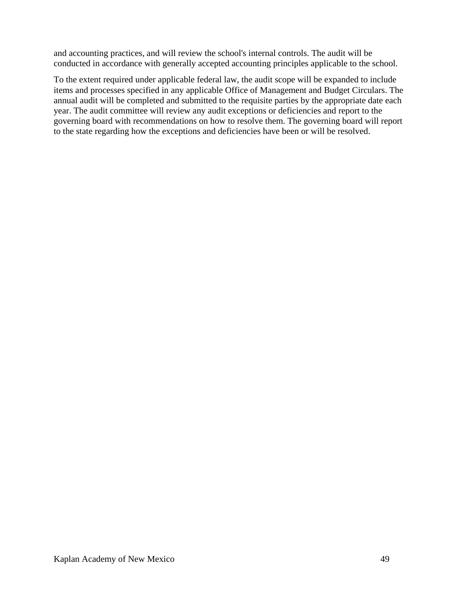and accounting practices, and will review the school's internal controls. The audit will be conducted in accordance with generally accepted accounting principles applicable to the school.

To the extent required under applicable federal law, the audit scope will be expanded to include items and processes specified in any applicable Office of Management and Budget Circulars. The annual audit will be completed and submitted to the requisite parties by the appropriate date each year. The audit committee will review any audit exceptions or deficiencies and report to the governing board with recommendations on how to resolve them. The governing board will report to the state regarding how the exceptions and deficiencies have been or will be resolved.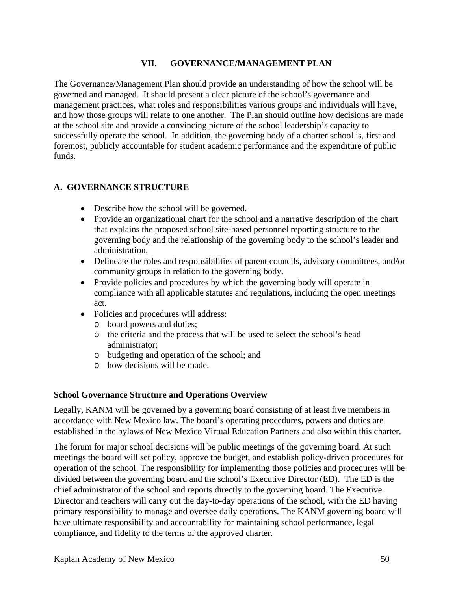### **VII. GOVERNANCE/MANAGEMENT PLAN**

The Governance/Management Plan should provide an understanding of how the school will be governed and managed. It should present a clear picture of the school's governance and management practices, what roles and responsibilities various groups and individuals will have, and how those groups will relate to one another. The Plan should outline how decisions are made at the school site and provide a convincing picture of the school leadership's capacity to successfully operate the school. In addition, the governing body of a charter school is, first and foremost, publicly accountable for student academic performance and the expenditure of public funds.

### **A. GOVERNANCE STRUCTURE**

- Describe how the school will be governed.
- Provide an organizational chart for the school and a narrative description of the chart that explains the proposed school site-based personnel reporting structure to the governing body and the relationship of the governing body to the school's leader and administration.
- Delineate the roles and responsibilities of parent councils, advisory committees, and/or community groups in relation to the governing body.
- Provide policies and procedures by which the governing body will operate in compliance with all applicable statutes and regulations, including the open meetings act.
- Policies and procedures will address:
	- o board powers and duties;
	- o the criteria and the process that will be used to select the school's head administrator;
	- o budgeting and operation of the school; and
	- o how decisions will be made.

#### **School Governance Structure and Operations Overview**

Legally, KANM will be governed by a governing board consisting of at least five members in accordance with New Mexico law. The board's operating procedures, powers and duties are established in the bylaws of New Mexico Virtual Education Partners and also within this charter.

The forum for major school decisions will be public meetings of the governing board. At such meetings the board will set policy, approve the budget, and establish policy-driven procedures for operation of the school. The responsibility for implementing those policies and procedures will be divided between the governing board and the school's Executive Director (ED). The ED is the chief administrator of the school and reports directly to the governing board. The Executive Director and teachers will carry out the day-to-day operations of the school, with the ED having primary responsibility to manage and oversee daily operations. The KANM governing board will have ultimate responsibility and accountability for maintaining school performance, legal compliance, and fidelity to the terms of the approved charter.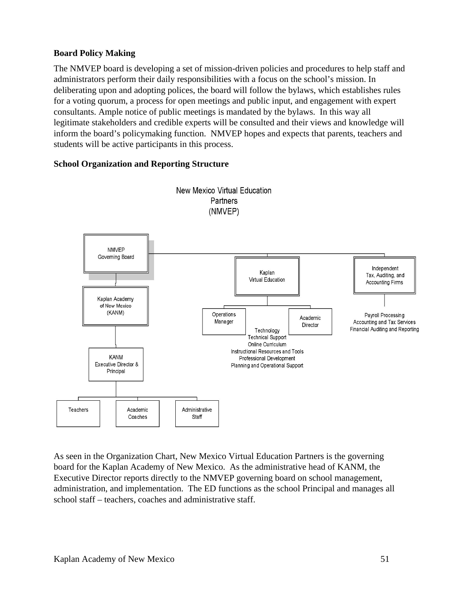### **Board Policy Making**

The NMVEP board is developing a set of mission-driven policies and procedures to help staff and administrators perform their daily responsibilities with a focus on the school's mission. In deliberating upon and adopting polices, the board will follow the bylaws, which establishes rules for a voting quorum, a process for open meetings and public input, and engagement with expert consultants. Ample notice of public meetings is mandated by the bylaws. In this way all legitimate stakeholders and credible experts will be consulted and their views and knowledge will inform the board's policymaking function. NMVEP hopes and expects that parents, teachers and students will be active participants in this process.

### **School Organization and Reporting Structure**



As seen in the Organization Chart, New Mexico Virtual Education Partners is the governing board for the Kaplan Academy of New Mexico. As the administrative head of KANM, the Executive Director reports directly to the NMVEP governing board on school management, administration, and implementation. The ED functions as the school Principal and manages all school staff – teachers, coaches and administrative staff.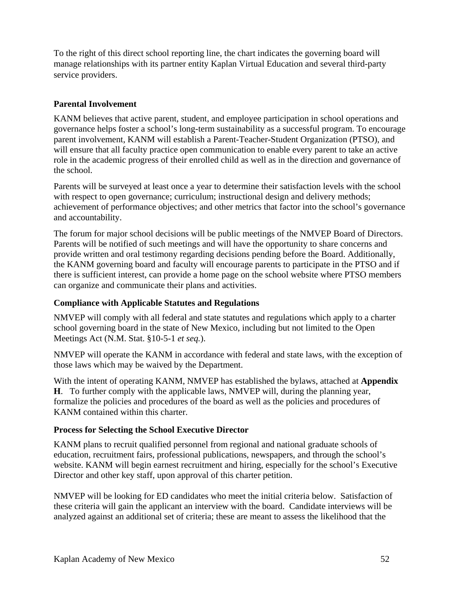To the right of this direct school reporting line, the chart indicates the governing board will manage relationships with its partner entity Kaplan Virtual Education and several third-party service providers.

### **Parental Involvement**

KANM believes that active parent, student, and employee participation in school operations and governance helps foster a school's long-term sustainability as a successful program. To encourage parent involvement, KANM will establish a Parent-Teacher-Student Organization (PTSO), and will ensure that all faculty practice open communication to enable every parent to take an active role in the academic progress of their enrolled child as well as in the direction and governance of the school.

Parents will be surveyed at least once a year to determine their satisfaction levels with the school with respect to open governance; curriculum; instructional design and delivery methods; achievement of performance objectives; and other metrics that factor into the school's governance and accountability.

The forum for major school decisions will be public meetings of the NMVEP Board of Directors. Parents will be notified of such meetings and will have the opportunity to share concerns and provide written and oral testimony regarding decisions pending before the Board. Additionally, the KANM governing board and faculty will encourage parents to participate in the PTSO and if there is sufficient interest, can provide a home page on the school website where PTSO members can organize and communicate their plans and activities.

### **Compliance with Applicable Statutes and Regulations**

NMVEP will comply with all federal and state statutes and regulations which apply to a charter school governing board in the state of New Mexico, including but not limited to the Open Meetings Act (N.M. Stat. §10-5-1 *et seq.*).

NMVEP will operate the KANM in accordance with federal and state laws, with the exception of those laws which may be waived by the Department.

With the intent of operating KANM, NMVEP has established the bylaws, attached at **Appendix H**. To further comply with the applicable laws, NMVEP will, during the planning year, formalize the policies and procedures of the board as well as the policies and procedures of KANM contained within this charter.

### **Process for Selecting the School Executive Director**

KANM plans to recruit qualified personnel from regional and national graduate schools of education, recruitment fairs, professional publications, newspapers, and through the school's website. KANM will begin earnest recruitment and hiring, especially for the school's Executive Director and other key staff, upon approval of this charter petition.

NMVEP will be looking for ED candidates who meet the initial criteria below. Satisfaction of these criteria will gain the applicant an interview with the board. Candidate interviews will be analyzed against an additional set of criteria; these are meant to assess the likelihood that the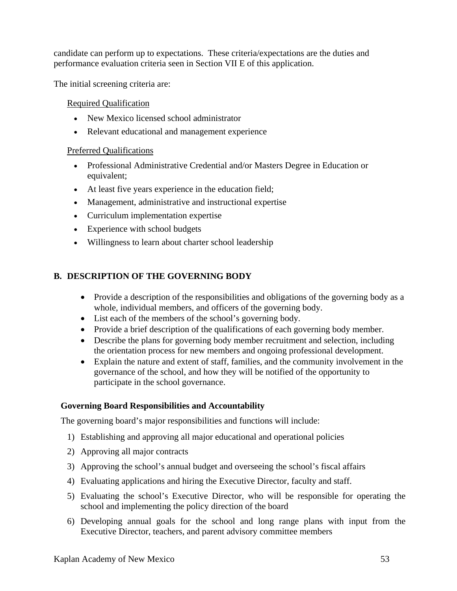candidate can perform up to expectations. These criteria/expectations are the duties and performance evaluation criteria seen in Section VII E of this application.

The initial screening criteria are:

### Required Qualification

- New Mexico licensed school administrator
- Relevant educational and management experience

### Preferred Qualifications

- Professional Administrative Credential and/or Masters Degree in Education or equivalent;
- At least five years experience in the education field;
- Management, administrative and instructional expertise
- Curriculum implementation expertise
- Experience with school budgets
- Willingness to learn about charter school leadership

## **B. DESCRIPTION OF THE GOVERNING BODY**

- Provide a description of the responsibilities and obligations of the governing body as a whole, individual members, and officers of the governing body.
- List each of the members of the school's governing body.
- Provide a brief description of the qualifications of each governing body member.
- Describe the plans for governing body member recruitment and selection, including the orientation process for new members and ongoing professional development.
- Explain the nature and extent of staff, families, and the community involvement in the governance of the school, and how they will be notified of the opportunity to participate in the school governance.

### **Governing Board Responsibilities and Accountability**

The governing board's major responsibilities and functions will include:

- 1) Establishing and approving all major educational and operational policies
- 2) Approving all major contracts
- 3) Approving the school's annual budget and overseeing the school's fiscal affairs
- 4) Evaluating applications and hiring the Executive Director, faculty and staff.
- 5) Evaluating the school's Executive Director, who will be responsible for operating the school and implementing the policy direction of the board
- 6) Developing annual goals for the school and long range plans with input from the Executive Director, teachers, and parent advisory committee members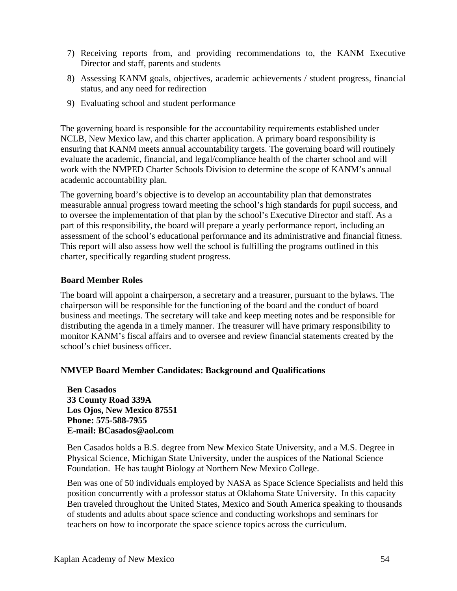- 7) Receiving reports from, and providing recommendations to, the KANM Executive Director and staff, parents and students
- 8) Assessing KANM goals, objectives, academic achievements / student progress, financial status, and any need for redirection
- 9) Evaluating school and student performance

The governing board is responsible for the accountability requirements established under NCLB, New Mexico law, and this charter application. A primary board responsibility is ensuring that KANM meets annual accountability targets. The governing board will routinely evaluate the academic, financial, and legal/compliance health of the charter school and will work with the NMPED Charter Schools Division to determine the scope of KANM's annual academic accountability plan.

The governing board's objective is to develop an accountability plan that demonstrates measurable annual progress toward meeting the school's high standards for pupil success, and to oversee the implementation of that plan by the school's Executive Director and staff. As a part of this responsibility, the board will prepare a yearly performance report, including an assessment of the school's educational performance and its administrative and financial fitness. This report will also assess how well the school is fulfilling the programs outlined in this charter, specifically regarding student progress.

#### **Board Member Roles**

The board will appoint a chairperson, a secretary and a treasurer, pursuant to the bylaws. The chairperson will be responsible for the functioning of the board and the conduct of board business and meetings. The secretary will take and keep meeting notes and be responsible for distributing the agenda in a timely manner. The treasurer will have primary responsibility to monitor KANM's fiscal affairs and to oversee and review financial statements created by the school's chief business officer.

### **NMVEP Board Member Candidates: Background and Qualifications**

**Ben Casados 33 County Road 339A Los Ojos, New Mexico 87551 Phone: 575-588-7955 E-mail: BCasados@aol.com** 

Ben Casados holds a B.S. degree from New Mexico State University, and a M.S. Degree in Physical Science, Michigan State University, under the auspices of the National Science Foundation. He has taught Biology at Northern New Mexico College.

Ben was one of 50 individuals employed by NASA as Space Science Specialists and held this position concurrently with a professor status at Oklahoma State University. In this capacity Ben traveled throughout the United States, Mexico and South America speaking to thousands of students and adults about space science and conducting workshops and seminars for teachers on how to incorporate the space science topics across the curriculum.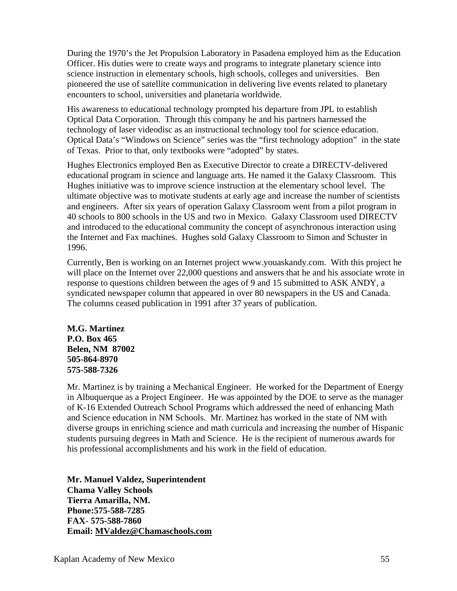During the 1970's the Jet Propulsion Laboratory in Pasadena employed him as the Education Officer. His duties were to create ways and programs to integrate planetary science into science instruction in elementary schools, high schools, colleges and universities. Ben pioneered the use of satellite communication in delivering live events related to planetary encounters to school, universities and planetaria worldwide.

His awareness to educational technology prompted his departure from JPL to establish Optical Data Corporation. Through this company he and his partners harnessed the technology of laser videodisc as an instructional technology tool for science education. Optical Data's "Windows on Science" series was the "first technology adoption" in the state of Texas. Prior to that, only textbooks were "adopted" by states.

Hughes Electronics employed Ben as Executive Director to create a DIRECTV-delivered educational program in science and language arts. He named it the Galaxy Classroom. This Hughes initiative was to improve science instruction at the elementary school level. The ultimate objective was to motivate students at early age and increase the number of scientists and engineers. After six years of operation Galaxy Classroom went from a pilot program in 40 schools to 800 schools in the US and two in Mexico. Galaxy Classroom used DIRECTV and introduced to the educational community the concept of asynchronous interaction using the Internet and Fax machines. Hughes sold Galaxy Classroom to Simon and Schuster in 1996.

Currently, Ben is working on an Internet project www.youaskandy.com. With this project he will place on the Internet over 22,000 questions and answers that he and his associate wrote in response to questions children between the ages of 9 and 15 submitted to ASK ANDY, a syndicated newspaper column that appeared in over 80 newspapers in the US and Canada. The columns ceased publication in 1991 after 37 years of publication.

**M.G. Martinez P.O. Box 465 Belen, NM 87002 505-864-8970 575-588-7326** 

Mr. Martinez is by training a Mechanical Engineer. He worked for the Department of Energy in Albuquerque as a Project Engineer. He was appointed by the DOE to serve as the manager of K-16 Extended Outreach School Programs which addressed the need of enhancing Math and Science education in NM Schools. Mr. Martinez has worked in the state of NM with diverse groups in enriching science and math curricula and increasing the number of Hispanic students pursuing degrees in Math and Science. He is the recipient of numerous awards for his professional accomplishments and his work in the field of education.

**Mr. Manuel Valdez, Superintendent Chama Valley Schools Tierra Amarilla, NM. Phone:575-588-7285 FAX- 575-588-7860 Email: MValdez@Chamaschools.com**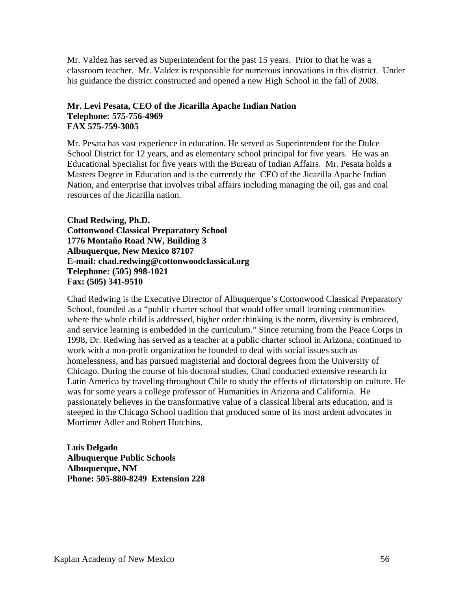Mr. Valdez has served as Superintendent for the past 15 years. Prior to that he was a classroom teacher. Mr. Valdez is responsible for numerous innovations in this district. Under his guidance the district constructed and opened a new High School in the fall of 2008.

#### **Mr. Levi Pesata, CEO of the Jicarilla Apache Indian Nation Telephone: 575-756-4969 FAX 575-759-3005**

Mr. Pesata has vast experience in education. He served as Superintendent for the Dulce School District for 12 years, and as elementary school principal for five years. He was an Educational Specialist for five years with the Bureau of Indian Affairs. Mr. Pesata holds a Masters Degree in Education and is the currently the CEO of the Jicarilla Apache Indian Nation, and enterprise that involves tribal affairs including managing the oil, gas and coal resources of the Jicarilla nation.

**Chad Redwing, Ph.D. Cottonwood Classical Preparatory School 1776 Montaño Road NW, Building 3 Albuquerque, New Mexico 87107 E-mail: chad.redwing@cottonwoodclassical.org Telephone: (505) 998-1021 Fax: (505) 341-9510** 

Chad Redwing is the Executive Director of Albuquerque's Cottonwood Classical Preparatory School, founded as a "public charter school that would offer small learning communities where the whole child is addressed, higher order thinking is the norm, diversity is embraced, and service learning is embedded in the curriculum." Since returning from the Peace Corps in 1998, Dr. Redwing has served as a teacher at a public charter school in Arizona, continued to work with a non-profit organization he founded to deal with social issues such as homelessness, and has pursued magisterial and doctoral degrees from the University of Chicago. During the course of his doctoral studies, Chad conducted extensive research in Latin America by traveling throughout Chile to study the effects of dictatorship on culture. He was for some years a college professor of Humanities in Arizona and California. He passionately believes in the transformative value of a classical liberal arts education, and is steeped in the Chicago School tradition that produced some of its most ardent advocates in Mortimer Adler and Robert Hutchins.

**Luis Delgado Albuquerque Public Schools Albuquerque, NM Phone: 505-880-8249 Extension 228**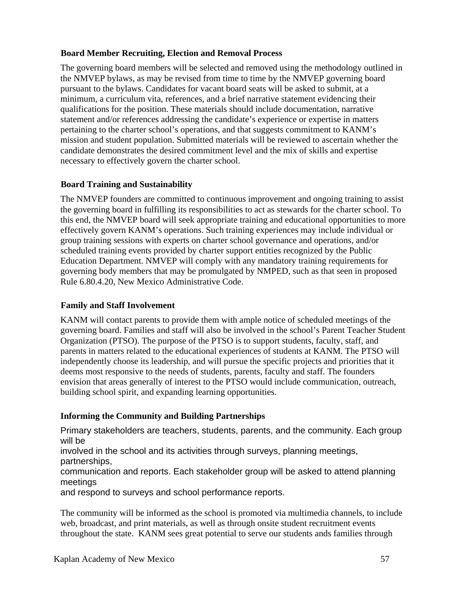### **Board Member Recruiting, Election and Removal Process**

The governing board members will be selected and removed using the methodology outlined in the NMVEP bylaws, as may be revised from time to time by the NMVEP governing board pursuant to the bylaws. Candidates for vacant board seats will be asked to submit, at a minimum, a curriculum vita, references, and a brief narrative statement evidencing their qualifications for the position. These materials should include documentation, narrative statement and/or references addressing the candidate's experience or expertise in matters pertaining to the charter school's operations, and that suggests commitment to KANM's mission and student population. Submitted materials will be reviewed to ascertain whether the candidate demonstrates the desired commitment level and the mix of skills and expertise necessary to effectively govern the charter school.

### **Board Training and Sustainability**

The NMVEP founders are committed to continuous improvement and ongoing training to assist the governing board in fulfilling its responsibilities to act as stewards for the charter school. To this end, the NMVEP board will seek appropriate training and educational opportunities to more effectively govern KANM's operations. Such training experiences may include individual or group training sessions with experts on charter school governance and operations, and/or scheduled training events provided by charter support entities recognized by the Public Education Department. NMVEP will comply with any mandatory training requirements for governing body members that may be promulgated by NMPED, such as that seen in proposed Rule 6.80.4.20, New Mexico Administrative Code.

### **Family and Staff Involvement**

KANM will contact parents to provide them with ample notice of scheduled meetings of the governing board. Families and staff will also be involved in the school's Parent Teacher Student Organization (PTSO). The purpose of the PTSO is to support students, faculty, staff, and parents in matters related to the educational experiences of students at KANM. The PTSO will independently choose its leadership, and will pursue the specific projects and priorities that it deems most responsive to the needs of students, parents, faculty and staff. The founders envision that areas generally of interest to the PTSO would include communication, outreach, building school spirit, and expanding learning opportunities.

## **Informing the Community and Building Partnerships**

Primary stakeholders are teachers, students, parents, and the community. Each group will be

involved in the school and its activities through surveys, planning meetings, partnerships,

communication and reports. Each stakeholder group will be asked to attend planning meetings

and respond to surveys and school performance reports.

The community will be informed as the school is promoted via multimedia channels, to include web, broadcast, and print materials, as well as through onsite student recruitment events throughout the state. KANM sees great potential to serve our students ands families through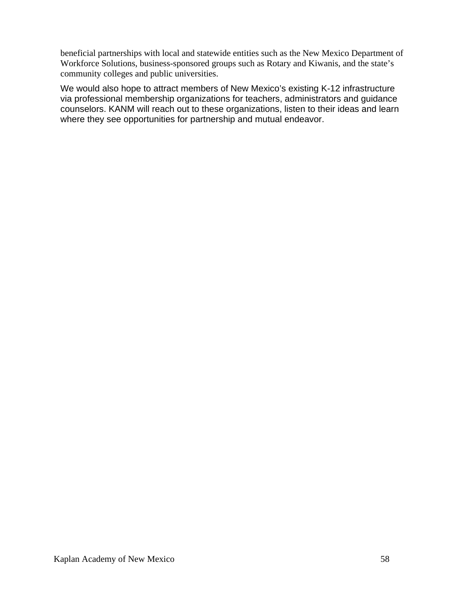beneficial partnerships with local and statewide entities such as the New Mexico Department of Workforce Solutions, business-sponsored groups such as Rotary and Kiwanis, and the state's community colleges and public universities.

We would also hope to attract members of New Mexico's existing K-12 infrastructure via professional membership organizations for teachers, administrators and guidance counselors. KANM will reach out to these organizations, listen to their ideas and learn where they see opportunities for partnership and mutual endeavor.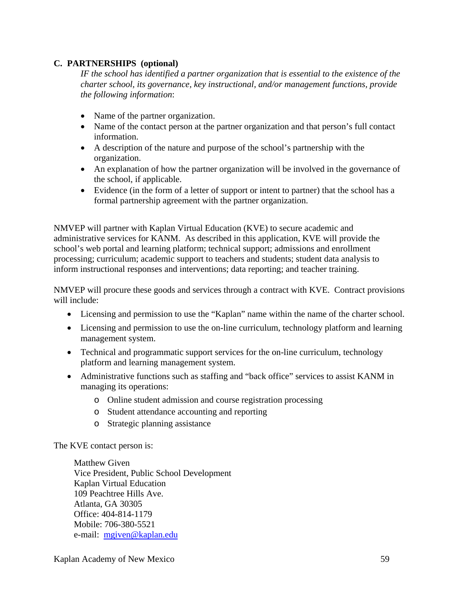### **C. PARTNERSHIPS (optional)**

*IF the school has identified a partner organization that is essential to the existence of the charter school, its governance, key instructional, and/or management functions, provide the following information*:

- Name of the partner organization.
- Name of the contact person at the partner organization and that person's full contact information.
- A description of the nature and purpose of the school's partnership with the organization.
- An explanation of how the partner organization will be involved in the governance of the school, if applicable.
- Evidence (in the form of a letter of support or intent to partner) that the school has a formal partnership agreement with the partner organization.

NMVEP will partner with Kaplan Virtual Education (KVE) to secure academic and administrative services for KANM. As described in this application, KVE will provide the school's web portal and learning platform; technical support; admissions and enrollment processing; curriculum; academic support to teachers and students; student data analysis to inform instructional responses and interventions; data reporting; and teacher training.

NMVEP will procure these goods and services through a contract with KVE. Contract provisions will include:

- Licensing and permission to use the "Kaplan" name within the name of the charter school.
- Licensing and permission to use the on-line curriculum, technology platform and learning management system.
- Technical and programmatic support services for the on-line curriculum, technology platform and learning management system.
- Administrative functions such as staffing and "back office" services to assist KANM in managing its operations:
	- o Online student admission and course registration processing
	- o Student attendance accounting and reporting
	- o Strategic planning assistance

#### The KVE contact person is:

Matthew Given Vice President, Public School Development Kaplan Virtual Education 109 Peachtree Hills Ave. Atlanta, GA 30305 Office: 404-814-1179 Mobile: 706-380-5521 e-mail: mgiven@kaplan.edu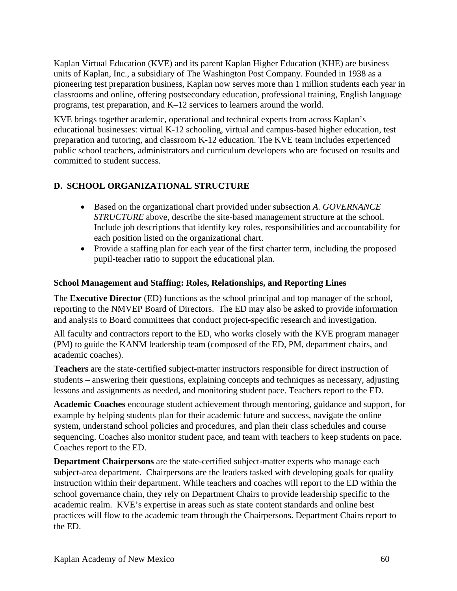Kaplan Virtual Education (KVE) and its parent Kaplan Higher Education (KHE) are business units of Kaplan, Inc., a subsidiary of The Washington Post Company. Founded in 1938 as a pioneering test preparation business, Kaplan now serves more than 1 million students each year in classrooms and online, offering postsecondary education, professional training, English language programs, test preparation, and K–12 services to learners around the world.

KVE brings together academic, operational and technical experts from across Kaplan's educational businesses: virtual K-12 schooling, virtual and campus-based higher education, test preparation and tutoring, and classroom K-12 education. The KVE team includes experienced public school teachers, administrators and curriculum developers who are focused on results and committed to student success.

## **D. SCHOOL ORGANIZATIONAL STRUCTURE**

- Based on the organizational chart provided under subsection *A. GOVERNANCE STRUCTURE* above, describe the site-based management structure at the school. Include job descriptions that identify key roles, responsibilities and accountability for each position listed on the organizational chart.
- Provide a staffing plan for each year of the first charter term, including the proposed pupil-teacher ratio to support the educational plan.

## **School Management and Staffing: Roles, Relationships, and Reporting Lines**

The **Executive Director** (ED) functions as the school principal and top manager of the school, reporting to the NMVEP Board of Directors. The ED may also be asked to provide information and analysis to Board committees that conduct project-specific research and investigation.

All faculty and contractors report to the ED, who works closely with the KVE program manager (PM) to guide the KANM leadership team (composed of the ED, PM, department chairs, and academic coaches).

**Teachers** are the state-certified subject-matter instructors responsible for direct instruction of students – answering their questions, explaining concepts and techniques as necessary, adjusting lessons and assignments as needed, and monitoring student pace. Teachers report to the ED.

**Academic Coaches** encourage student achievement through mentoring, guidance and support, for example by helping students plan for their academic future and success, navigate the online system, understand school policies and procedures, and plan their class schedules and course sequencing. Coaches also monitor student pace, and team with teachers to keep students on pace. Coaches report to the ED.

**Department Chairpersons** are the state-certified subject-matter experts who manage each subject-area department. Chairpersons are the leaders tasked with developing goals for quality instruction within their department. While teachers and coaches will report to the ED within the school governance chain, they rely on Department Chairs to provide leadership specific to the academic realm. KVE's expertise in areas such as state content standards and online best practices will flow to the academic team through the Chairpersons. Department Chairs report to the ED.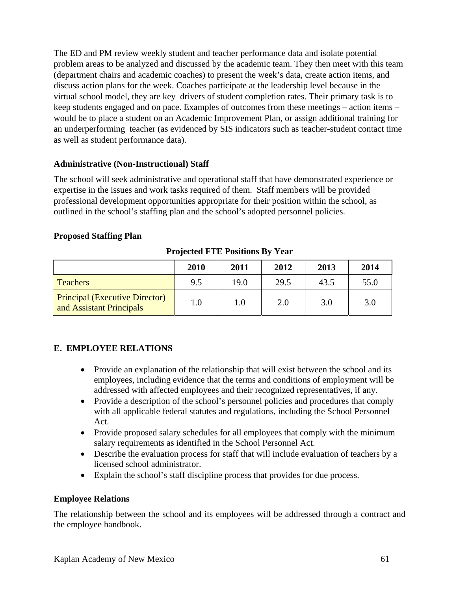The ED and PM review weekly student and teacher performance data and isolate potential problem areas to be analyzed and discussed by the academic team. They then meet with this team (department chairs and academic coaches) to present the week's data, create action items, and discuss action plans for the week. Coaches participate at the leadership level because in the virtual school model, they are key drivers of student completion rates. Their primary task is to keep students engaged and on pace. Examples of outcomes from these meetings – action items – would be to place a student on an Academic Improvement Plan, or assign additional training for an underperforming teacher (as evidenced by SIS indicators such as teacher-student contact time as well as student performance data).

### **Administrative (Non-Instructional) Staff**

The school will seek administrative and operational staff that have demonstrated experience or expertise in the issues and work tasks required of them. Staff members will be provided professional development opportunities appropriate for their position within the school, as outlined in the school's staffing plan and the school's adopted personnel policies.

### **Proposed Staffing Plan**

|                                                                   | 2010 | 2011 | 2012 | 2013 | 2014 |
|-------------------------------------------------------------------|------|------|------|------|------|
| <b>Teachers</b>                                                   | 9.5  | 19.0 | 29.5 | 43.5 | 55.0 |
| <b>Principal (Executive Director)</b><br>and Assistant Principals | 1.0  | 1.0  | 2.0  | 3.0  | 3.0  |

**Projected FTE Positions By Year** 

## **E. EMPLOYEE RELATIONS**

- Provide an explanation of the relationship that will exist between the school and its employees, including evidence that the terms and conditions of employment will be addressed with affected employees and their recognized representatives, if any.
- Provide a description of the school's personnel policies and procedures that comply with all applicable federal statutes and regulations, including the School Personnel Act.
- Provide proposed salary schedules for all employees that comply with the minimum salary requirements as identified in the School Personnel Act.
- Describe the evaluation process for staff that will include evaluation of teachers by a licensed school administrator.
- Explain the school's staff discipline process that provides for due process.

## **Employee Relations**

The relationship between the school and its employees will be addressed through a contract and the employee handbook.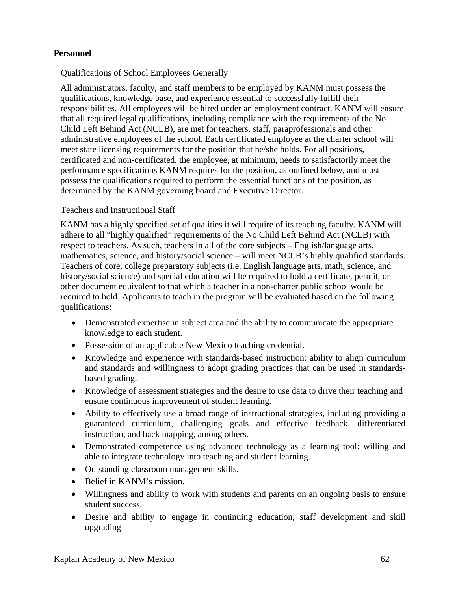### **Personnel**

### Qualifications of School Employees Generally

All administrators, faculty, and staff members to be employed by KANM must possess the qualifications, knowledge base, and experience essential to successfully fulfill their responsibilities. All employees will be hired under an employment contract. KANM will ensure that all required legal qualifications, including compliance with the requirements of the No Child Left Behind Act (NCLB), are met for teachers, staff, paraprofessionals and other administrative employees of the school. Each certificated employee at the charter school will meet state licensing requirements for the position that he/she holds. For all positions, certificated and non-certificated, the employee, at minimum, needs to satisfactorily meet the performance specifications KANM requires for the position, as outlined below, and must possess the qualifications required to perform the essential functions of the position, as determined by the KANM governing board and Executive Director.

#### Teachers and Instructional Staff

KANM has a highly specified set of qualities it will require of its teaching faculty. KANM will adhere to all "highly qualified" requirements of the No Child Left Behind Act (NCLB) with respect to teachers. As such, teachers in all of the core subjects – English/language arts, mathematics, science, and history/social science – will meet NCLB's highly qualified standards. Teachers of core, college preparatory subjects (i.e. English language arts, math, science, and history/social science) and special education will be required to hold a certificate, permit, or other document equivalent to that which a teacher in a non-charter public school would be required to hold. Applicants to teach in the program will be evaluated based on the following qualifications:

- Demonstrated expertise in subject area and the ability to communicate the appropriate knowledge to each student.
- Possession of an applicable New Mexico teaching credential.
- Knowledge and experience with standards-based instruction: ability to align curriculum and standards and willingness to adopt grading practices that can be used in standardsbased grading.
- Knowledge of assessment strategies and the desire to use data to drive their teaching and ensure continuous improvement of student learning.
- Ability to effectively use a broad range of instructional strategies, including providing a guaranteed curriculum, challenging goals and effective feedback, differentiated instruction, and back mapping, among others.
- Demonstrated competence using advanced technology as a learning tool: willing and able to integrate technology into teaching and student learning.
- Outstanding classroom management skills.
- Belief in KANM's mission.
- Willingness and ability to work with students and parents on an ongoing basis to ensure student success.
- Desire and ability to engage in continuing education, staff development and skill upgrading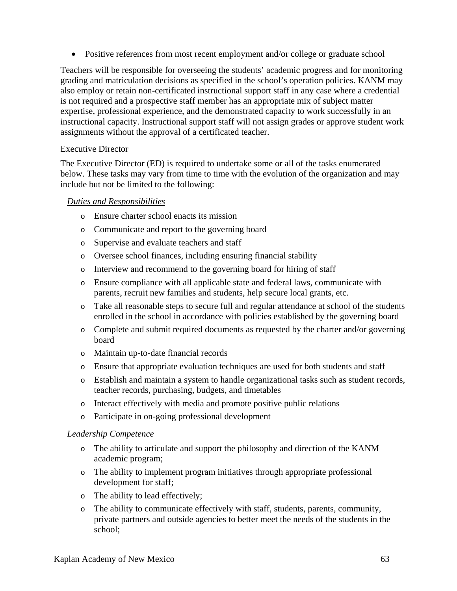• Positive references from most recent employment and/or college or graduate school

Teachers will be responsible for overseeing the students' academic progress and for monitoring grading and matriculation decisions as specified in the school's operation policies. KANM may also employ or retain non-certificated instructional support staff in any case where a credential is not required and a prospective staff member has an appropriate mix of subject matter expertise, professional experience, and the demonstrated capacity to work successfully in an instructional capacity. Instructional support staff will not assign grades or approve student work assignments without the approval of a certificated teacher.

#### Executive Director

The Executive Director (ED) is required to undertake some or all of the tasks enumerated below. These tasks may vary from time to time with the evolution of the organization and may include but not be limited to the following:

#### *Duties and Responsibilities*

- o Ensure charter school enacts its mission
- o Communicate and report to the governing board
- o Supervise and evaluate teachers and staff
- o Oversee school finances, including ensuring financial stability
- o Interview and recommend to the governing board for hiring of staff
- o Ensure compliance with all applicable state and federal laws, communicate with parents, recruit new families and students, help secure local grants, etc.
- o Take all reasonable steps to secure full and regular attendance at school of the students enrolled in the school in accordance with policies established by the governing board
- o Complete and submit required documents as requested by the charter and/or governing board
- o Maintain up-to-date financial records
- o Ensure that appropriate evaluation techniques are used for both students and staff
- o Establish and maintain a system to handle organizational tasks such as student records, teacher records, purchasing, budgets, and timetables
- o Interact effectively with media and promote positive public relations
- o Participate in on-going professional development

#### *Leadership Competence*

- o The ability to articulate and support the philosophy and direction of the KANM academic program;
- o The ability to implement program initiatives through appropriate professional development for staff;
- o The ability to lead effectively;
- o The ability to communicate effectively with staff, students, parents, community, private partners and outside agencies to better meet the needs of the students in the school;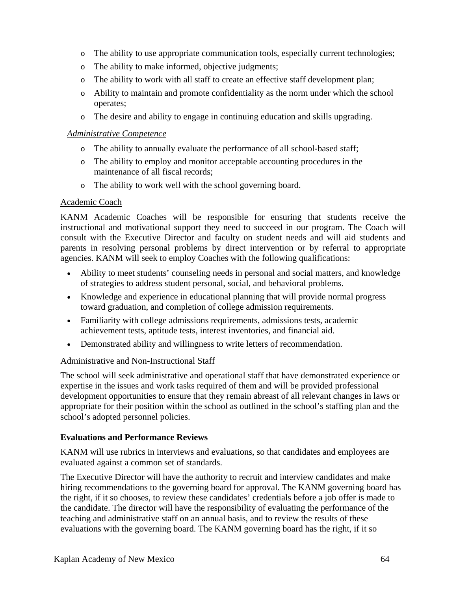- o The ability to use appropriate communication tools, especially current technologies;
- o The ability to make informed, objective judgments;
- o The ability to work with all staff to create an effective staff development plan;
- o Ability to maintain and promote confidentiality as the norm under which the school operates;
- o The desire and ability to engage in continuing education and skills upgrading.

#### *Administrative Competence*

- o The ability to annually evaluate the performance of all school-based staff;
- o The ability to employ and monitor acceptable accounting procedures in the maintenance of all fiscal records;
- o The ability to work well with the school governing board.

#### Academic Coach

KANM Academic Coaches will be responsible for ensuring that students receive the instructional and motivational support they need to succeed in our program. The Coach will consult with the Executive Director and faculty on student needs and will aid students and parents in resolving personal problems by direct intervention or by referral to appropriate agencies. KANM will seek to employ Coaches with the following qualifications:

- Ability to meet students' counseling needs in personal and social matters, and knowledge of strategies to address student personal, social, and behavioral problems.
- Knowledge and experience in educational planning that will provide normal progress toward graduation, and completion of college admission requirements.
- Familiarity with college admissions requirements, admissions tests, academic achievement tests, aptitude tests, interest inventories, and financial aid.
- Demonstrated ability and willingness to write letters of recommendation.

### Administrative and Non-Instructional Staff

The school will seek administrative and operational staff that have demonstrated experience or expertise in the issues and work tasks required of them and will be provided professional development opportunities to ensure that they remain abreast of all relevant changes in laws or appropriate for their position within the school as outlined in the school's staffing plan and the school's adopted personnel policies.

### **Evaluations and Performance Reviews**

KANM will use rubrics in interviews and evaluations, so that candidates and employees are evaluated against a common set of standards.

The Executive Director will have the authority to recruit and interview candidates and make hiring recommendations to the governing board for approval. The KANM governing board has the right, if it so chooses, to review these candidates' credentials before a job offer is made to the candidate. The director will have the responsibility of evaluating the performance of the teaching and administrative staff on an annual basis, and to review the results of these evaluations with the governing board. The KANM governing board has the right, if it so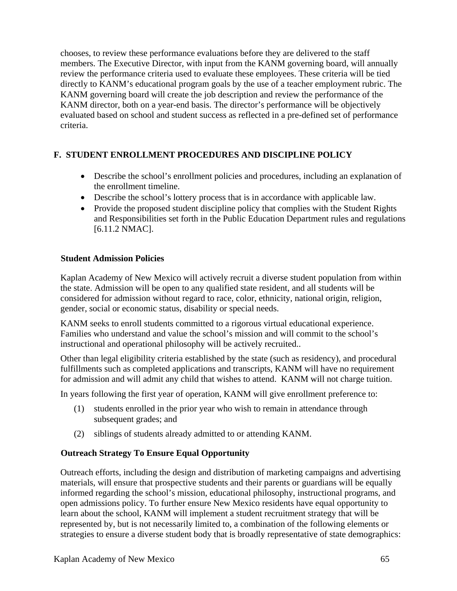chooses, to review these performance evaluations before they are delivered to the staff members. The Executive Director, with input from the KANM governing board, will annually review the performance criteria used to evaluate these employees. These criteria will be tied directly to KANM's educational program goals by the use of a teacher employment rubric. The KANM governing board will create the job description and review the performance of the KANM director, both on a year-end basis. The director's performance will be objectively evaluated based on school and student success as reflected in a pre-defined set of performance criteria.

## **F. STUDENT ENROLLMENT PROCEDURES AND DISCIPLINE POLICY**

- Describe the school's enrollment policies and procedures, including an explanation of the enrollment timeline.
- Describe the school's lottery process that is in accordance with applicable law.
- Provide the proposed student discipline policy that complies with the Student Rights and Responsibilities set forth in the Public Education Department rules and regulations [6.11.2 NMAC].

#### **Student Admission Policies**

Kaplan Academy of New Mexico will actively recruit a diverse student population from within the state. Admission will be open to any qualified state resident, and all students will be considered for admission without regard to race, color, ethnicity, national origin, religion, gender, social or economic status, disability or special needs.

KANM seeks to enroll students committed to a rigorous virtual educational experience. Families who understand and value the school's mission and will commit to the school's instructional and operational philosophy will be actively recruited..

Other than legal eligibility criteria established by the state (such as residency), and procedural fulfillments such as completed applications and transcripts, KANM will have no requirement for admission and will admit any child that wishes to attend. KANM will not charge tuition.

In years following the first year of operation, KANM will give enrollment preference to:

- (1) students enrolled in the prior year who wish to remain in attendance through subsequent grades; and
- (2) siblings of students already admitted to or attending KANM.

### **Outreach Strategy To Ensure Equal Opportunity**

Outreach efforts, including the design and distribution of marketing campaigns and advertising materials, will ensure that prospective students and their parents or guardians will be equally informed regarding the school's mission, educational philosophy, instructional programs, and open admissions policy. To further ensure New Mexico residents have equal opportunity to learn about the school, KANM will implement a student recruitment strategy that will be represented by, but is not necessarily limited to, a combination of the following elements or strategies to ensure a diverse student body that is broadly representative of state demographics: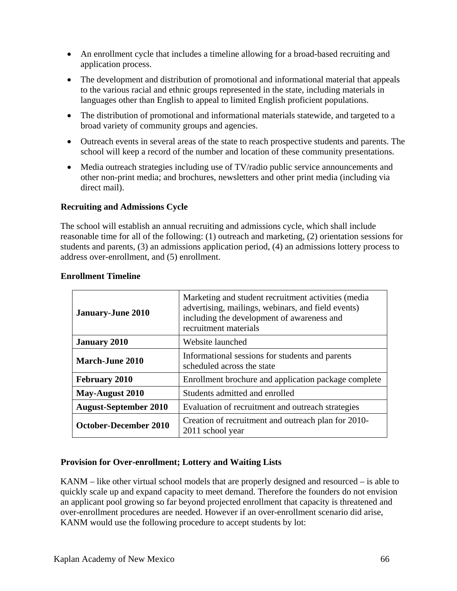- An enrollment cycle that includes a timeline allowing for a broad-based recruiting and application process.
- The development and distribution of promotional and informational material that appeals to the various racial and ethnic groups represented in the state, including materials in languages other than English to appeal to limited English proficient populations.
- The distribution of promotional and informational materials statewide, and targeted to a broad variety of community groups and agencies.
- Outreach events in several areas of the state to reach prospective students and parents. The school will keep a record of the number and location of these community presentations.
- Media outreach strategies including use of TV/radio public service announcements and other non-print media; and brochures, newsletters and other print media (including via direct mail).

### **Recruiting and Admissions Cycle**

The school will establish an annual recruiting and admissions cycle, which shall include reasonable time for all of the following: (1) outreach and marketing, (2) orientation sessions for students and parents, (3) an admissions application period, (4) an admissions lottery process to address over-enrollment, and (5) enrollment.

| Marketing and student recruitment activities (media<br>advertising, mailings, webinars, and field events)<br><b>January-June 2010</b><br>including the development of awareness and<br>recruitment materials |                                                                               |  |
|--------------------------------------------------------------------------------------------------------------------------------------------------------------------------------------------------------------|-------------------------------------------------------------------------------|--|
| <b>January 2010</b>                                                                                                                                                                                          | Website launched                                                              |  |
| <b>March-June 2010</b>                                                                                                                                                                                       | Informational sessions for students and parents<br>scheduled across the state |  |
| <b>February 2010</b>                                                                                                                                                                                         | Enrollment brochure and application package complete                          |  |
| May-August 2010                                                                                                                                                                                              | Students admitted and enrolled                                                |  |
| <b>August-September 2010</b>                                                                                                                                                                                 | Evaluation of recruitment and outreach strategies                             |  |
| <b>October-December 2010</b>                                                                                                                                                                                 | Creation of recruitment and outreach plan for 2010-<br>2011 school year       |  |

#### **Enrollment Timeline**

### **Provision for Over-enrollment; Lottery and Waiting Lists**

KANM – like other virtual school models that are properly designed and resourced – is able to quickly scale up and expand capacity to meet demand. Therefore the founders do not envision an applicant pool growing so far beyond projected enrollment that capacity is threatened and over-enrollment procedures are needed. However if an over-enrollment scenario did arise, KANM would use the following procedure to accept students by lot: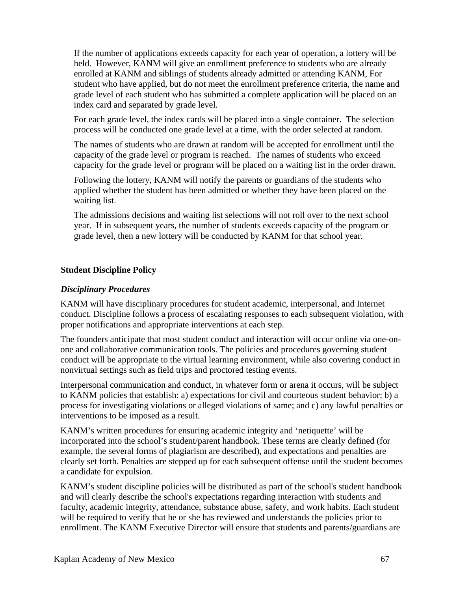If the number of applications exceeds capacity for each year of operation, a lottery will be held. However, KANM will give an enrollment preference to students who are already enrolled at KANM and siblings of students already admitted or attending KANM, For student who have applied, but do not meet the enrollment preference criteria, the name and grade level of each student who has submitted a complete application will be placed on an index card and separated by grade level.

For each grade level, the index cards will be placed into a single container. The selection process will be conducted one grade level at a time, with the order selected at random.

The names of students who are drawn at random will be accepted for enrollment until the capacity of the grade level or program is reached. The names of students who exceed capacity for the grade level or program will be placed on a waiting list in the order drawn.

Following the lottery, KANM will notify the parents or guardians of the students who applied whether the student has been admitted or whether they have been placed on the waiting list.

The admissions decisions and waiting list selections will not roll over to the next school year. If in subsequent years, the number of students exceeds capacity of the program or grade level, then a new lottery will be conducted by KANM for that school year.

#### **Student Discipline Policy**

#### *Disciplinary Procedures*

KANM will have disciplinary procedures for student academic, interpersonal, and Internet conduct. Discipline follows a process of escalating responses to each subsequent violation, with proper notifications and appropriate interventions at each step.

The founders anticipate that most student conduct and interaction will occur online via one-onone and collaborative communication tools. The policies and procedures governing student conduct will be appropriate to the virtual learning environment, while also covering conduct in nonvirtual settings such as field trips and proctored testing events.

Interpersonal communication and conduct, in whatever form or arena it occurs, will be subject to KANM policies that establish: a) expectations for civil and courteous student behavior; b) a process for investigating violations or alleged violations of same; and c) any lawful penalties or interventions to be imposed as a result.

KANM's written procedures for ensuring academic integrity and 'netiquette' will be incorporated into the school's student/parent handbook. These terms are clearly defined (for example, the several forms of plagiarism are described), and expectations and penalties are clearly set forth. Penalties are stepped up for each subsequent offense until the student becomes a candidate for expulsion.

KANM's student discipline policies will be distributed as part of the school's student handbook and will clearly describe the school's expectations regarding interaction with students and faculty, academic integrity, attendance, substance abuse, safety, and work habits. Each student will be required to verify that he or she has reviewed and understands the policies prior to enrollment. The KANM Executive Director will ensure that students and parents/guardians are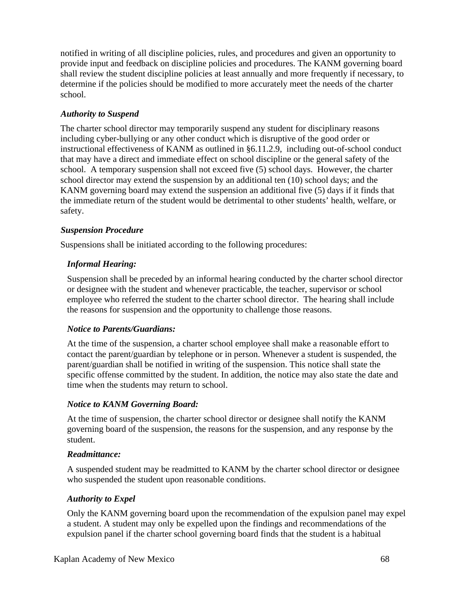notified in writing of all discipline policies, rules, and procedures and given an opportunity to provide input and feedback on discipline policies and procedures. The KANM governing board shall review the student discipline policies at least annually and more frequently if necessary, to determine if the policies should be modified to more accurately meet the needs of the charter school.

### *Authority to Suspend*

The charter school director may temporarily suspend any student for disciplinary reasons including cyber-bullying or any other conduct which is disruptive of the good order or instructional effectiveness of KANM as outlined in §6.11.2.9, including out-of-school conduct that may have a direct and immediate effect on school discipline or the general safety of the school. A temporary suspension shall not exceed five (5) school days. However, the charter school director may extend the suspension by an additional ten (10) school days; and the KANM governing board may extend the suspension an additional five (5) days if it finds that the immediate return of the student would be detrimental to other students' health, welfare, or safety.

### *Suspension Procedure*

Suspensions shall be initiated according to the following procedures:

### *Informal Hearing:*

Suspension shall be preceded by an informal hearing conducted by the charter school director or designee with the student and whenever practicable, the teacher, supervisor or school employee who referred the student to the charter school director. The hearing shall include the reasons for suspension and the opportunity to challenge those reasons.

### *Notice to Parents/Guardians:*

At the time of the suspension, a charter school employee shall make a reasonable effort to contact the parent/guardian by telephone or in person. Whenever a student is suspended, the parent/guardian shall be notified in writing of the suspension. This notice shall state the specific offense committed by the student. In addition, the notice may also state the date and time when the students may return to school.

## *Notice to KANM Governing Board:*

At the time of suspension, the charter school director or designee shall notify the KANM governing board of the suspension, the reasons for the suspension, and any response by the student.

### *Readmittance:*

A suspended student may be readmitted to KANM by the charter school director or designee who suspended the student upon reasonable conditions.

## *Authority to Expel*

Only the KANM governing board upon the recommendation of the expulsion panel may expel a student. A student may only be expelled upon the findings and recommendations of the expulsion panel if the charter school governing board finds that the student is a habitual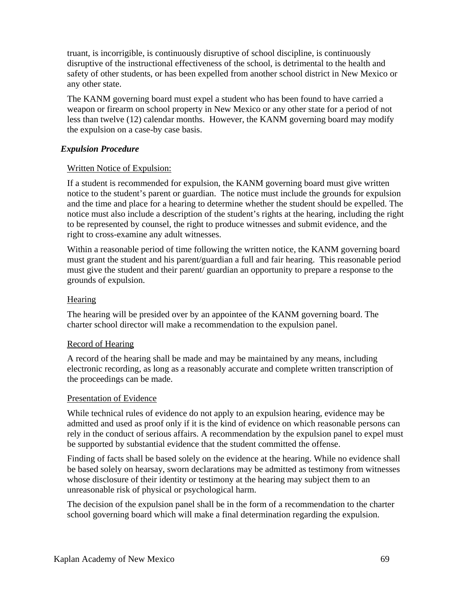truant, is incorrigible, is continuously disruptive of school discipline, is continuously disruptive of the instructional effectiveness of the school, is detrimental to the health and safety of other students, or has been expelled from another school district in New Mexico or any other state.

The KANM governing board must expel a student who has been found to have carried a weapon or firearm on school property in New Mexico or any other state for a period of not less than twelve (12) calendar months. However, the KANM governing board may modify the expulsion on a case-by case basis.

### *Expulsion Procedure*

### Written Notice of Expulsion:

If a student is recommended for expulsion, the KANM governing board must give written notice to the student's parent or guardian. The notice must include the grounds for expulsion and the time and place for a hearing to determine whether the student should be expelled. The notice must also include a description of the student's rights at the hearing, including the right to be represented by counsel, the right to produce witnesses and submit evidence, and the right to cross-examine any adult witnesses.

Within a reasonable period of time following the written notice, the KANM governing board must grant the student and his parent/guardian a full and fair hearing. This reasonable period must give the student and their parent/ guardian an opportunity to prepare a response to the grounds of expulsion.

#### **Hearing**

The hearing will be presided over by an appointee of the KANM governing board. The charter school director will make a recommendation to the expulsion panel.

### Record of Hearing

A record of the hearing shall be made and may be maintained by any means, including electronic recording, as long as a reasonably accurate and complete written transcription of the proceedings can be made.

#### Presentation of Evidence

While technical rules of evidence do not apply to an expulsion hearing, evidence may be admitted and used as proof only if it is the kind of evidence on which reasonable persons can rely in the conduct of serious affairs. A recommendation by the expulsion panel to expel must be supported by substantial evidence that the student committed the offense.

Finding of facts shall be based solely on the evidence at the hearing. While no evidence shall be based solely on hearsay, sworn declarations may be admitted as testimony from witnesses whose disclosure of their identity or testimony at the hearing may subject them to an unreasonable risk of physical or psychological harm.

The decision of the expulsion panel shall be in the form of a recommendation to the charter school governing board which will make a final determination regarding the expulsion.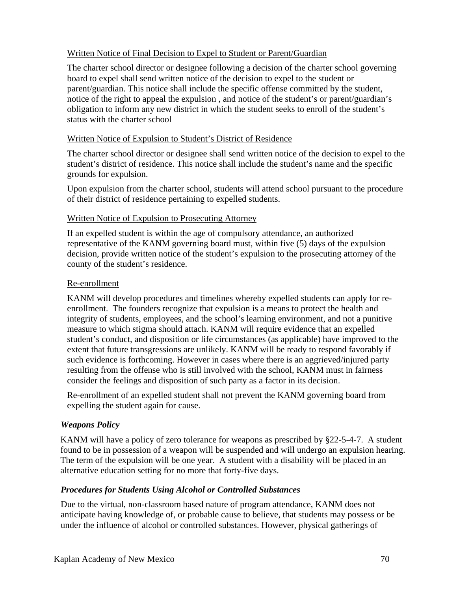### Written Notice of Final Decision to Expel to Student or Parent/Guardian

The charter school director or designee following a decision of the charter school governing board to expel shall send written notice of the decision to expel to the student or parent/guardian. This notice shall include the specific offense committed by the student, notice of the right to appeal the expulsion , and notice of the student's or parent/guardian's obligation to inform any new district in which the student seeks to enroll of the student's status with the charter school

#### Written Notice of Expulsion to Student's District of Residence

The charter school director or designee shall send written notice of the decision to expel to the student's district of residence. This notice shall include the student's name and the specific grounds for expulsion.

Upon expulsion from the charter school, students will attend school pursuant to the procedure of their district of residence pertaining to expelled students.

#### Written Notice of Expulsion to Prosecuting Attorney

If an expelled student is within the age of compulsory attendance, an authorized representative of the KANM governing board must, within five (5) days of the expulsion decision, provide written notice of the student's expulsion to the prosecuting attorney of the county of the student's residence.

#### Re-enrollment

KANM will develop procedures and timelines whereby expelled students can apply for reenrollment. The founders recognize that expulsion is a means to protect the health and integrity of students, employees, and the school's learning environment, and not a punitive measure to which stigma should attach. KANM will require evidence that an expelled student's conduct, and disposition or life circumstances (as applicable) have improved to the extent that future transgressions are unlikely. KANM will be ready to respond favorably if such evidence is forthcoming. However in cases where there is an aggrieved/injured party resulting from the offense who is still involved with the school, KANM must in fairness consider the feelings and disposition of such party as a factor in its decision.

Re-enrollment of an expelled student shall not prevent the KANM governing board from expelling the student again for cause.

### *Weapons Policy*

KANM will have a policy of zero tolerance for weapons as prescribed by §22-5-4-7. A student found to be in possession of a weapon will be suspended and will undergo an expulsion hearing. The term of the expulsion will be one year. A student with a disability will be placed in an alternative education setting for no more that forty-five days.

### *Procedures for Students Using Alcohol or Controlled Substances*

Due to the virtual, non-classroom based nature of program attendance, KANM does not anticipate having knowledge of, or probable cause to believe, that students may possess or be under the influence of alcohol or controlled substances. However, physical gatherings of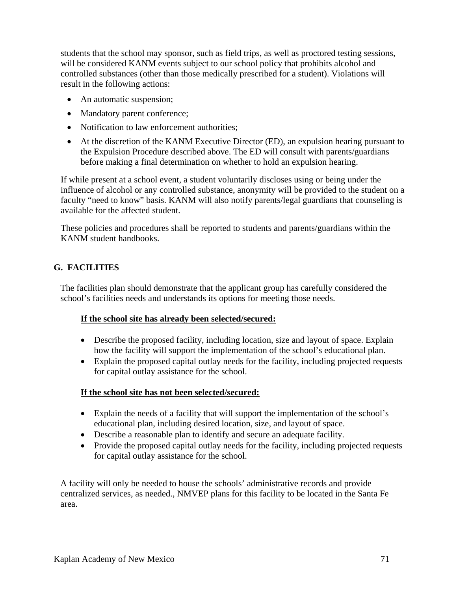students that the school may sponsor, such as field trips, as well as proctored testing sessions, will be considered KANM events subject to our school policy that prohibits alcohol and controlled substances (other than those medically prescribed for a student). Violations will result in the following actions:

- An automatic suspension;
- Mandatory parent conference;
- Notification to law enforcement authorities;
- At the discretion of the KANM Executive Director (ED), an expulsion hearing pursuant to the Expulsion Procedure described above. The ED will consult with parents/guardians before making a final determination on whether to hold an expulsion hearing.

If while present at a school event, a student voluntarily discloses using or being under the influence of alcohol or any controlled substance, anonymity will be provided to the student on a faculty "need to know" basis. KANM will also notify parents/legal guardians that counseling is available for the affected student.

These policies and procedures shall be reported to students and parents/guardians within the KANM student handbooks.

## **G. FACILITIES**

The facilities plan should demonstrate that the applicant group has carefully considered the school's facilities needs and understands its options for meeting those needs.

### **If the school site has already been selected/secured:**

- Describe the proposed facility, including location, size and layout of space. Explain how the facility will support the implementation of the school's educational plan.
- Explain the proposed capital outlay needs for the facility, including projected requests for capital outlay assistance for the school.

### **If the school site has not been selected/secured:**

- Explain the needs of a facility that will support the implementation of the school's educational plan, including desired location, size, and layout of space.
- Describe a reasonable plan to identify and secure an adequate facility.
- Provide the proposed capital outlay needs for the facility, including projected requests for capital outlay assistance for the school.

A facility will only be needed to house the schools' administrative records and provide centralized services, as needed., NMVEP plans for this facility to be located in the Santa Fe area.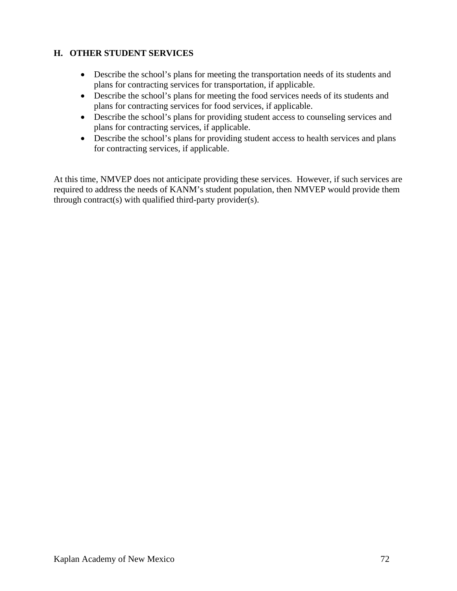# **H. OTHER STUDENT SERVICES**

- Describe the school's plans for meeting the transportation needs of its students and plans for contracting services for transportation, if applicable.
- Describe the school's plans for meeting the food services needs of its students and plans for contracting services for food services, if applicable.
- Describe the school's plans for providing student access to counseling services and plans for contracting services, if applicable.
- Describe the school's plans for providing student access to health services and plans for contracting services, if applicable.

At this time, NMVEP does not anticipate providing these services. However, if such services are required to address the needs of KANM's student population, then NMVEP would provide them through contract(s) with qualified third-party provider(s).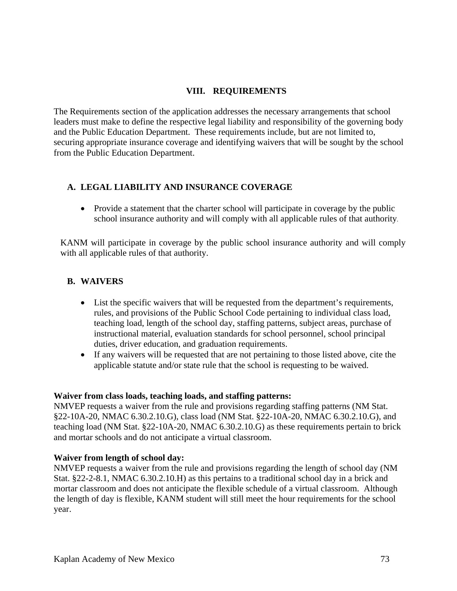## **VIII. REQUIREMENTS**

The Requirements section of the application addresses the necessary arrangements that school leaders must make to define the respective legal liability and responsibility of the governing body and the Public Education Department. These requirements include, but are not limited to, securing appropriate insurance coverage and identifying waivers that will be sought by the school from the Public Education Department.

## **A. LEGAL LIABILITY AND INSURANCE COVERAGE**

• Provide a statement that the charter school will participate in coverage by the public school insurance authority and will comply with all applicable rules of that authority.

KANM will participate in coverage by the public school insurance authority and will comply with all applicable rules of that authority.

# **B. WAIVERS**

- List the specific waivers that will be requested from the department's requirements, rules, and provisions of the Public School Code pertaining to individual class load, teaching load, length of the school day, staffing patterns, subject areas, purchase of instructional material, evaluation standards for school personnel, school principal duties, driver education, and graduation requirements.
- If any waivers will be requested that are not pertaining to those listed above, cite the applicable statute and/or state rule that the school is requesting to be waived.

#### **Waiver from class loads, teaching loads, and staffing patterns:**

NMVEP requests a waiver from the rule and provisions regarding staffing patterns (NM Stat. §22-10A-20, NMAC 6.30.2.10.G), class load (NM Stat. §22-10A-20, NMAC 6.30.2.10.G), and teaching load (NM Stat. §22-10A-20, NMAC 6.30.2.10.G) as these requirements pertain to brick and mortar schools and do not anticipate a virtual classroom.

## **Waiver from length of school day:**

NMVEP requests a waiver from the rule and provisions regarding the length of school day (NM Stat. §22-2-8.1, NMAC 6.30.2.10.H) as this pertains to a traditional school day in a brick and mortar classroom and does not anticipate the flexible schedule of a virtual classroom. Although the length of day is flexible, KANM student will still meet the hour requirements for the school year.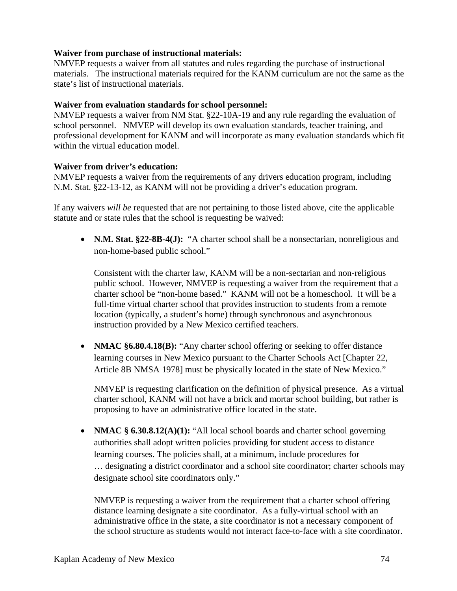### **Waiver from purchase of instructional materials:**

NMVEP requests a waiver from all statutes and rules regarding the purchase of instructional materials. The instructional materials required for the KANM curriculum are not the same as the state's list of instructional materials.

#### **Waiver from evaluation standards for school personnel:**

NMVEP requests a waiver from NM Stat. §22-10A-19 and any rule regarding the evaluation of school personnel. NMVEP will develop its own evaluation standards, teacher training, and professional development for KANM and will incorporate as many evaluation standards which fit within the virtual education model.

#### **Waiver from driver's education:**

NMVEP requests a waiver from the requirements of any drivers education program, including N.M. Stat. §22-13-12, as KANM will not be providing a driver's education program.

If any waivers *will be* requested that are not pertaining to those listed above, cite the applicable statute and or state rules that the school is requesting be waived:

• **N.M. Stat. §22-8B-4(J):** "A charter school shall be a nonsectarian, nonreligious and non-home-based public school."

Consistent with the charter law, KANM will be a non-sectarian and non-religious public school. However, NMVEP is requesting a waiver from the requirement that a charter school be "non-home based." KANM will not be a homeschool. It will be a full-time virtual charter school that provides instruction to students from a remote location (typically, a student's home) through synchronous and asynchronous instruction provided by a New Mexico certified teachers.

• **NMAC §6.80.4.18(B):** "Any charter school offering or seeking to offer distance learning courses in New Mexico pursuant to the Charter Schools Act [Chapter 22, Article 8B NMSA 1978] must be physically located in the state of New Mexico."

NMVEP is requesting clarification on the definition of physical presence. As a virtual charter school, KANM will not have a brick and mortar school building, but rather is proposing to have an administrative office located in the state.

• **NMAC § 6.30.8.12(A)(1):** "All local school boards and charter school governing authorities shall adopt written policies providing for student access to distance learning courses. The policies shall, at a minimum, include procedures for … designating a district coordinator and a school site coordinator; charter schools may designate school site coordinators only."

NMVEP is requesting a waiver from the requirement that a charter school offering distance learning designate a site coordinator. As a fully-virtual school with an administrative office in the state, a site coordinator is not a necessary component of the school structure as students would not interact face-to-face with a site coordinator.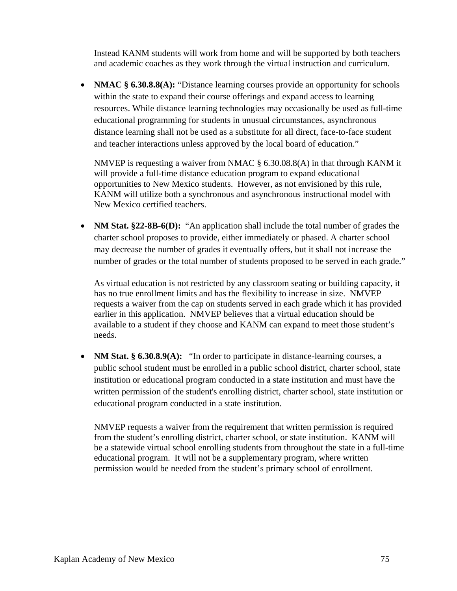Instead KANM students will work from home and will be supported by both teachers and academic coaches as they work through the virtual instruction and curriculum.

• **NMAC** § **6.30.8.8(A):** "Distance learning courses provide an opportunity for schools within the state to expand their course offerings and expand access to learning resources. While distance learning technologies may occasionally be used as full-time educational programming for students in unusual circumstances, asynchronous distance learning shall not be used as a substitute for all direct, face-to-face student and teacher interactions unless approved by the local board of education."

NMVEP is requesting a waiver from NMAC  $\S 6.30.08.8(A)$  in that through KANM it will provide a full-time distance education program to expand educational opportunities to New Mexico students. However, as not envisioned by this rule, KANM will utilize both a synchronous and asynchronous instructional model with New Mexico certified teachers.

• **NM Stat. §22-8B-6(D):** "An application shall include the total number of grades the charter school proposes to provide, either immediately or phased. A charter school may decrease the number of grades it eventually offers, but it shall not increase the number of grades or the total number of students proposed to be served in each grade."

As virtual education is not restricted by any classroom seating or building capacity, it has no true enrollment limits and has the flexibility to increase in size. NMVEP requests a waiver from the cap on students served in each grade which it has provided earlier in this application. NMVEP believes that a virtual education should be available to a student if they choose and KANM can expand to meet those student's needs.

• **NM Stat.** § **6.30.8.9(A):** "In order to participate in distance-learning courses, a public school student must be enrolled in a public school district, charter school, state institution or educational program conducted in a state institution and must have the written permission of the student's enrolling district, charter school, state institution or educational program conducted in a state institution.

NMVEP requests a waiver from the requirement that written permission is required from the student's enrolling district, charter school, or state institution. KANM will be a statewide virtual school enrolling students from throughout the state in a full-time educational program. It will not be a supplementary program, where written permission would be needed from the student's primary school of enrollment.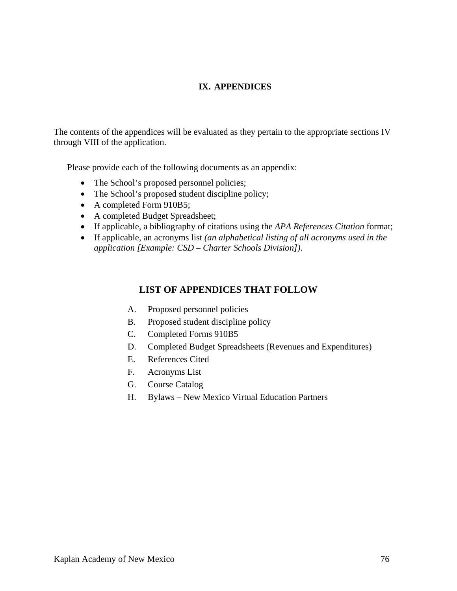## **IX. APPENDICES**

The contents of the appendices will be evaluated as they pertain to the appropriate sections IV through VIII of the application.

Please provide each of the following documents as an appendix:

- The School's proposed personnel policies;
- The School's proposed student discipline policy;
- A completed Form 910B5;
- A completed Budget Spreadsheet;
- If applicable, a bibliography of citations using the *APA References Citation* format;
- If applicable, an acronyms list *(an alphabetical listing of all acronyms used in the application [Example: CSD – Charter Schools Division])*.

## **LIST OF APPENDICES THAT FOLLOW**

- A. Proposed personnel policies
- B. Proposed student discipline policy
- C. Completed Forms 910B5
- D. Completed Budget Spreadsheets (Revenues and Expenditures)
- E. References Cited
- F. Acronyms List
- G. Course Catalog
- H. Bylaws New Mexico Virtual Education Partners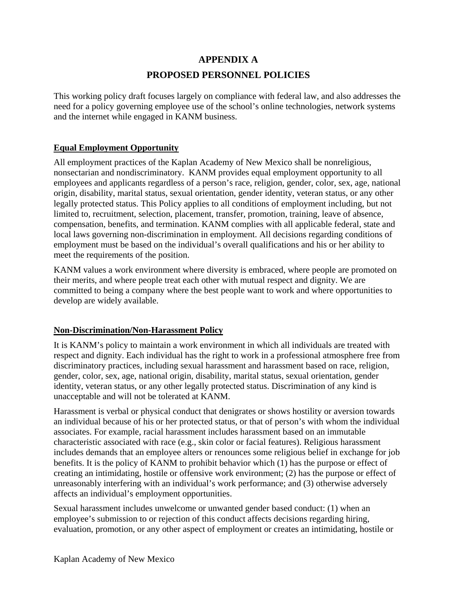# **APPENDIX A PROPOSED PERSONNEL POLICIES**

This working policy draft focuses largely on compliance with federal law, and also addresses the need for a policy governing employee use of the school's online technologies, network systems and the internet while engaged in KANM business.

# **Equal Employment Opportunity**

All employment practices of the Kaplan Academy of New Mexico shall be nonreligious, nonsectarian and nondiscriminatory. KANM provides equal employment opportunity to all employees and applicants regardless of a person's race, religion, gender, color, sex, age, national origin, disability, marital status, sexual orientation, gender identity, veteran status, or any other legally protected status. This Policy applies to all conditions of employment including, but not limited to, recruitment, selection, placement, transfer, promotion, training, leave of absence, compensation, benefits, and termination. KANM complies with all applicable federal, state and local laws governing non-discrimination in employment. All decisions regarding conditions of employment must be based on the individual's overall qualifications and his or her ability to meet the requirements of the position.

KANM values a work environment where diversity is embraced, where people are promoted on their merits, and where people treat each other with mutual respect and dignity. We are committed to being a company where the best people want to work and where opportunities to develop are widely available.

## **Non-Discrimination/Non-Harassment Policy**

It is KANM's policy to maintain a work environment in which all individuals are treated with respect and dignity. Each individual has the right to work in a professional atmosphere free from discriminatory practices, including sexual harassment and harassment based on race, religion, gender, color, sex, age, national origin, disability, marital status, sexual orientation, gender identity, veteran status, or any other legally protected status. Discrimination of any kind is unacceptable and will not be tolerated at KANM.

Harassment is verbal or physical conduct that denigrates or shows hostility or aversion towards an individual because of his or her protected status, or that of person's with whom the individual associates. For example, racial harassment includes harassment based on an immutable characteristic associated with race (e.g., skin color or facial features). Religious harassment includes demands that an employee alters or renounces some religious belief in exchange for job benefits. It is the policy of KANM to prohibit behavior which (1) has the purpose or effect of creating an intimidating, hostile or offensive work environment; (2) has the purpose or effect of unreasonably interfering with an individual's work performance; and (3) otherwise adversely affects an individual's employment opportunities.

Sexual harassment includes unwelcome or unwanted gender based conduct: (1) when an employee's submission to or rejection of this conduct affects decisions regarding hiring, evaluation, promotion, or any other aspect of employment or creates an intimidating, hostile or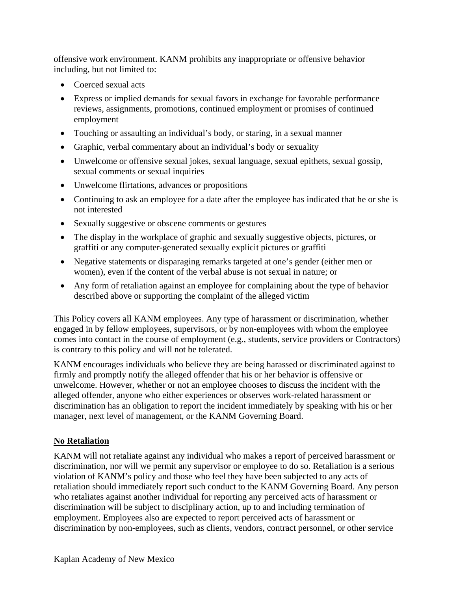offensive work environment. KANM prohibits any inappropriate or offensive behavior including, but not limited to:

- Coerced sexual acts
- Express or implied demands for sexual favors in exchange for favorable performance reviews, assignments, promotions, continued employment or promises of continued employment
- Touching or assaulting an individual's body, or staring, in a sexual manner
- Graphic, verbal commentary about an individual's body or sexuality
- Unwelcome or offensive sexual jokes, sexual language, sexual epithets, sexual gossip, sexual comments or sexual inquiries
- Unwelcome flirtations, advances or propositions
- Continuing to ask an employee for a date after the employee has indicated that he or she is not interested
- Sexually suggestive or obscene comments or gestures
- The display in the workplace of graphic and sexually suggestive objects, pictures, or graffiti or any computer-generated sexually explicit pictures or graffiti
- Negative statements or disparaging remarks targeted at one's gender (either men or women), even if the content of the verbal abuse is not sexual in nature; or
- Any form of retaliation against an employee for complaining about the type of behavior described above or supporting the complaint of the alleged victim

This Policy covers all KANM employees. Any type of harassment or discrimination, whether engaged in by fellow employees, supervisors, or by non-employees with whom the employee comes into contact in the course of employment (e.g., students, service providers or Contractors) is contrary to this policy and will not be tolerated.

KANM encourages individuals who believe they are being harassed or discriminated against to firmly and promptly notify the alleged offender that his or her behavior is offensive or unwelcome. However, whether or not an employee chooses to discuss the incident with the alleged offender, anyone who either experiences or observes work-related harassment or discrimination has an obligation to report the incident immediately by speaking with his or her manager, next level of management, or the KANM Governing Board.

# **No Retaliation**

KANM will not retaliate against any individual who makes a report of perceived harassment or discrimination, nor will we permit any supervisor or employee to do so. Retaliation is a serious violation of KANM's policy and those who feel they have been subjected to any acts of retaliation should immediately report such conduct to the KANM Governing Board. Any person who retaliates against another individual for reporting any perceived acts of harassment or discrimination will be subject to disciplinary action, up to and including termination of employment. Employees also are expected to report perceived acts of harassment or discrimination by non-employees, such as clients, vendors, contract personnel, or other service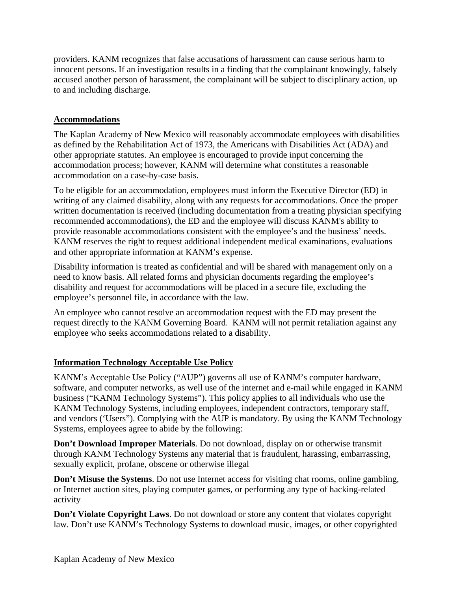providers. KANM recognizes that false accusations of harassment can cause serious harm to innocent persons. If an investigation results in a finding that the complainant knowingly, falsely accused another person of harassment, the complainant will be subject to disciplinary action, up to and including discharge.

## **Accommodations**

The Kaplan Academy of New Mexico will reasonably accommodate employees with disabilities as defined by the Rehabilitation Act of 1973, the Americans with Disabilities Act (ADA) and other appropriate statutes. An employee is encouraged to provide input concerning the accommodation process; however, KANM will determine what constitutes a reasonable accommodation on a case-by-case basis.

To be eligible for an accommodation, employees must inform the Executive Director (ED) in writing of any claimed disability, along with any requests for accommodations. Once the proper written documentation is received (including documentation from a treating physician specifying recommended accommodations), the ED and the employee will discuss KANM's ability to provide reasonable accommodations consistent with the employee's and the business' needs. KANM reserves the right to request additional independent medical examinations, evaluations and other appropriate information at KANM's expense.

Disability information is treated as confidential and will be shared with management only on a need to know basis. All related forms and physician documents regarding the employee's disability and request for accommodations will be placed in a secure file, excluding the employee's personnel file, in accordance with the law.

An employee who cannot resolve an accommodation request with the ED may present the request directly to the KANM Governing Board. KANM will not permit retaliation against any employee who seeks accommodations related to a disability.

## **Information Technology Acceptable Use Policy**

KANM's Acceptable Use Policy ("AUP") governs all use of KANM's computer hardware, software, and computer networks, as well use of the internet and e-mail while engaged in KANM business ("KANM Technology Systems"). This policy applies to all individuals who use the KANM Technology Systems, including employees, independent contractors, temporary staff, and vendors ('Users"). Complying with the AUP is mandatory. By using the KANM Technology Systems, employees agree to abide by the following:

**Don't Download Improper Materials**. Do not download, display on or otherwise transmit through KANM Technology Systems any material that is fraudulent, harassing, embarrassing, sexually explicit, profane, obscene or otherwise illegal

**Don't Misuse the Systems**. Do not use Internet access for visiting chat rooms, online gambling, or Internet auction sites, playing computer games, or performing any type of hacking-related activity

**Don't Violate Copyright Laws**. Do not download or store any content that violates copyright law. Don't use KANM's Technology Systems to download music, images, or other copyrighted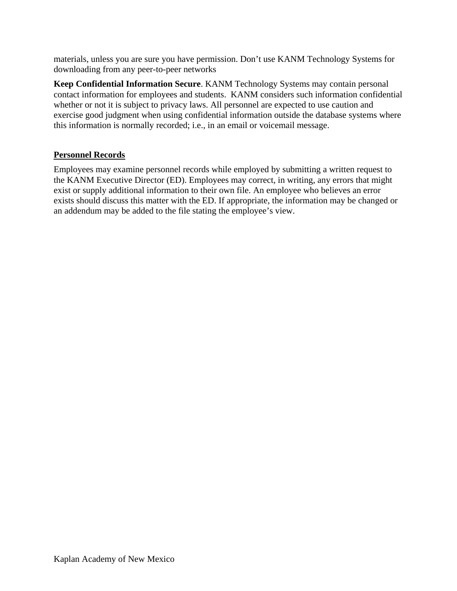materials, unless you are sure you have permission. Don't use KANM Technology Systems for downloading from any peer-to-peer networks

**Keep Confidential Information Secure**. KANM Technology Systems may contain personal contact information for employees and students. KANM considers such information confidential whether or not it is subject to privacy laws. All personnel are expected to use caution and exercise good judgment when using confidential information outside the database systems where this information is normally recorded; i.e., in an email or voicemail message.

## **Personnel Records**

Employees may examine personnel records while employed by submitting a written request to the KANM Executive Director (ED). Employees may correct, in writing, any errors that might exist or supply additional information to their own file. An employee who believes an error exists should discuss this matter with the ED. If appropriate, the information may be changed or an addendum may be added to the file stating the employee's view.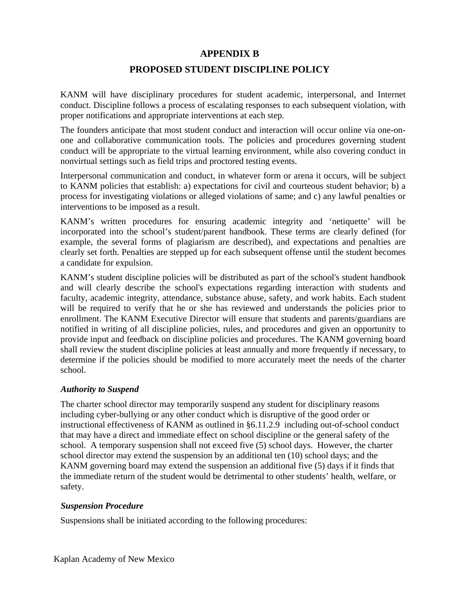# **APPENDIX B**

# **PROPOSED STUDENT DISCIPLINE POLICY**

KANM will have disciplinary procedures for student academic, interpersonal, and Internet conduct. Discipline follows a process of escalating responses to each subsequent violation, with proper notifications and appropriate interventions at each step.

The founders anticipate that most student conduct and interaction will occur online via one-onone and collaborative communication tools. The policies and procedures governing student conduct will be appropriate to the virtual learning environment, while also covering conduct in nonvirtual settings such as field trips and proctored testing events.

Interpersonal communication and conduct, in whatever form or arena it occurs, will be subject to KANM policies that establish: a) expectations for civil and courteous student behavior; b) a process for investigating violations or alleged violations of same; and c) any lawful penalties or interventions to be imposed as a result.

KANM's written procedures for ensuring academic integrity and 'netiquette' will be incorporated into the school's student/parent handbook. These terms are clearly defined (for example, the several forms of plagiarism are described), and expectations and penalties are clearly set forth. Penalties are stepped up for each subsequent offense until the student becomes a candidate for expulsion.

KANM's student discipline policies will be distributed as part of the school's student handbook and will clearly describe the school's expectations regarding interaction with students and faculty, academic integrity, attendance, substance abuse, safety, and work habits. Each student will be required to verify that he or she has reviewed and understands the policies prior to enrollment. The KANM Executive Director will ensure that students and parents/guardians are notified in writing of all discipline policies, rules, and procedures and given an opportunity to provide input and feedback on discipline policies and procedures. The KANM governing board shall review the student discipline policies at least annually and more frequently if necessary, to determine if the policies should be modified to more accurately meet the needs of the charter school.

#### *Authority to Suspend*

The charter school director may temporarily suspend any student for disciplinary reasons including cyber-bullying or any other conduct which is disruptive of the good order or instructional effectiveness of KANM as outlined in §6.11.2.9 including out-of-school conduct that may have a direct and immediate effect on school discipline or the general safety of the school. A temporary suspension shall not exceed five (5) school days. However, the charter school director may extend the suspension by an additional ten (10) school days; and the KANM governing board may extend the suspension an additional five (5) days if it finds that the immediate return of the student would be detrimental to other students' health, welfare, or safety.

#### *Suspension Procedure*

Suspensions shall be initiated according to the following procedures: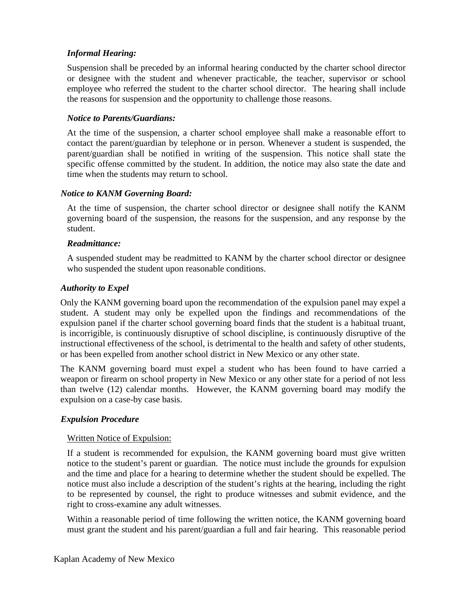## *Informal Hearing:*

Suspension shall be preceded by an informal hearing conducted by the charter school director or designee with the student and whenever practicable, the teacher, supervisor or school employee who referred the student to the charter school director. The hearing shall include the reasons for suspension and the opportunity to challenge those reasons.

### *Notice to Parents/Guardians:*

At the time of the suspension, a charter school employee shall make a reasonable effort to contact the parent/guardian by telephone or in person. Whenever a student is suspended, the parent/guardian shall be notified in writing of the suspension. This notice shall state the specific offense committed by the student. In addition, the notice may also state the date and time when the students may return to school.

### *Notice to KANM Governing Board:*

At the time of suspension, the charter school director or designee shall notify the KANM governing board of the suspension, the reasons for the suspension, and any response by the student.

#### *Readmittance:*

A suspended student may be readmitted to KANM by the charter school director or designee who suspended the student upon reasonable conditions.

### *Authority to Expel*

Only the KANM governing board upon the recommendation of the expulsion panel may expel a student. A student may only be expelled upon the findings and recommendations of the expulsion panel if the charter school governing board finds that the student is a habitual truant, is incorrigible, is continuously disruptive of school discipline, is continuously disruptive of the instructional effectiveness of the school, is detrimental to the health and safety of other students, or has been expelled from another school district in New Mexico or any other state.

The KANM governing board must expel a student who has been found to have carried a weapon or firearm on school property in New Mexico or any other state for a period of not less than twelve (12) calendar months. However, the KANM governing board may modify the expulsion on a case-by case basis.

## *Expulsion Procedure*

#### Written Notice of Expulsion:

If a student is recommended for expulsion, the KANM governing board must give written notice to the student's parent or guardian. The notice must include the grounds for expulsion and the time and place for a hearing to determine whether the student should be expelled. The notice must also include a description of the student's rights at the hearing, including the right to be represented by counsel, the right to produce witnesses and submit evidence, and the right to cross-examine any adult witnesses.

Within a reasonable period of time following the written notice, the KANM governing board must grant the student and his parent/guardian a full and fair hearing. This reasonable period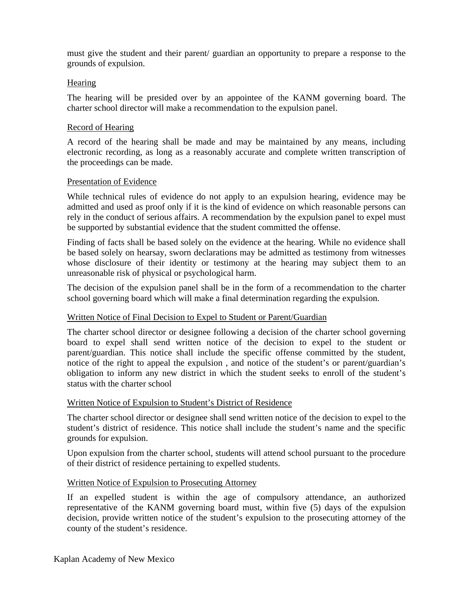must give the student and their parent/ guardian an opportunity to prepare a response to the grounds of expulsion.

#### **Hearing**

The hearing will be presided over by an appointee of the KANM governing board. The charter school director will make a recommendation to the expulsion panel.

#### Record of Hearing

A record of the hearing shall be made and may be maintained by any means, including electronic recording, as long as a reasonably accurate and complete written transcription of the proceedings can be made.

### Presentation of Evidence

While technical rules of evidence do not apply to an expulsion hearing, evidence may be admitted and used as proof only if it is the kind of evidence on which reasonable persons can rely in the conduct of serious affairs. A recommendation by the expulsion panel to expel must be supported by substantial evidence that the student committed the offense.

Finding of facts shall be based solely on the evidence at the hearing. While no evidence shall be based solely on hearsay, sworn declarations may be admitted as testimony from witnesses whose disclosure of their identity or testimony at the hearing may subject them to an unreasonable risk of physical or psychological harm.

The decision of the expulsion panel shall be in the form of a recommendation to the charter school governing board which will make a final determination regarding the expulsion.

#### Written Notice of Final Decision to Expel to Student or Parent/Guardian

The charter school director or designee following a decision of the charter school governing board to expel shall send written notice of the decision to expel to the student or parent/guardian. This notice shall include the specific offense committed by the student, notice of the right to appeal the expulsion , and notice of the student's or parent/guardian's obligation to inform any new district in which the student seeks to enroll of the student's status with the charter school

## Written Notice of Expulsion to Student's District of Residence

The charter school director or designee shall send written notice of the decision to expel to the student's district of residence. This notice shall include the student's name and the specific grounds for expulsion.

Upon expulsion from the charter school, students will attend school pursuant to the procedure of their district of residence pertaining to expelled students.

## Written Notice of Expulsion to Prosecuting Attorney

If an expelled student is within the age of compulsory attendance, an authorized representative of the KANM governing board must, within five (5) days of the expulsion decision, provide written notice of the student's expulsion to the prosecuting attorney of the county of the student's residence.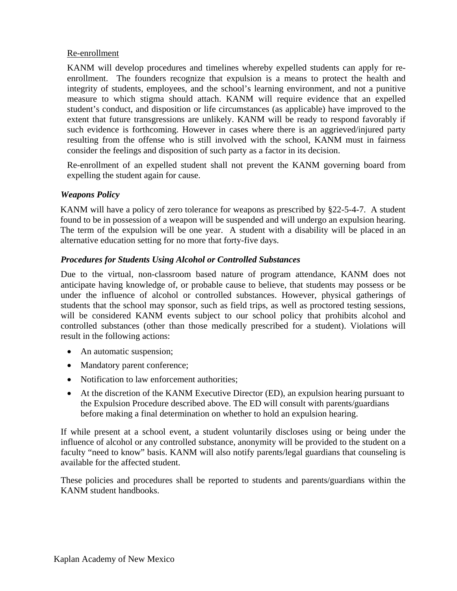## Re-enrollment

KANM will develop procedures and timelines whereby expelled students can apply for reenrollment. The founders recognize that expulsion is a means to protect the health and integrity of students, employees, and the school's learning environment, and not a punitive measure to which stigma should attach. KANM will require evidence that an expelled student's conduct, and disposition or life circumstances (as applicable) have improved to the extent that future transgressions are unlikely. KANM will be ready to respond favorably if such evidence is forthcoming. However in cases where there is an aggrieved/injured party resulting from the offense who is still involved with the school, KANM must in fairness consider the feelings and disposition of such party as a factor in its decision.

Re-enrollment of an expelled student shall not prevent the KANM governing board from expelling the student again for cause.

## *Weapons Policy*

KANM will have a policy of zero tolerance for weapons as prescribed by §22-5-4-7. A student found to be in possession of a weapon will be suspended and will undergo an expulsion hearing. The term of the expulsion will be one year. A student with a disability will be placed in an alternative education setting for no more that forty-five days.

## *Procedures for Students Using Alcohol or Controlled Substances*

Due to the virtual, non-classroom based nature of program attendance, KANM does not anticipate having knowledge of, or probable cause to believe, that students may possess or be under the influence of alcohol or controlled substances. However, physical gatherings of students that the school may sponsor, such as field trips, as well as proctored testing sessions, will be considered KANM events subject to our school policy that prohibits alcohol and controlled substances (other than those medically prescribed for a student). Violations will result in the following actions:

- An automatic suspension;
- Mandatory parent conference;
- Notification to law enforcement authorities;
- At the discretion of the KANM Executive Director (ED), an expulsion hearing pursuant to the Expulsion Procedure described above. The ED will consult with parents/guardians before making a final determination on whether to hold an expulsion hearing.

If while present at a school event, a student voluntarily discloses using or being under the influence of alcohol or any controlled substance, anonymity will be provided to the student on a faculty "need to know" basis. KANM will also notify parents/legal guardians that counseling is available for the affected student.

These policies and procedures shall be reported to students and parents/guardians within the KANM student handbooks.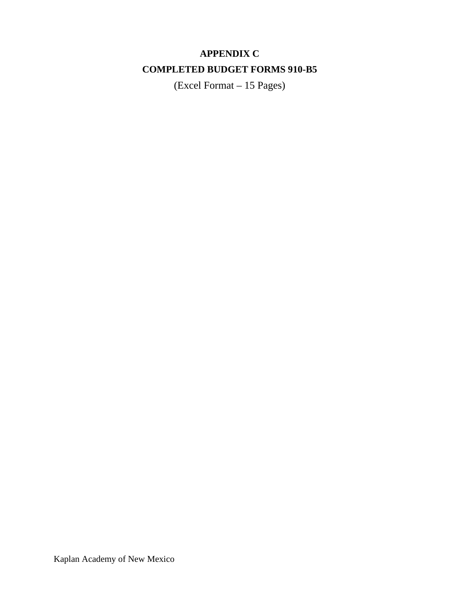# **APPENDIX C COMPLETED BUDGET FORMS 910-B5**

(Excel Format – 15 Pages)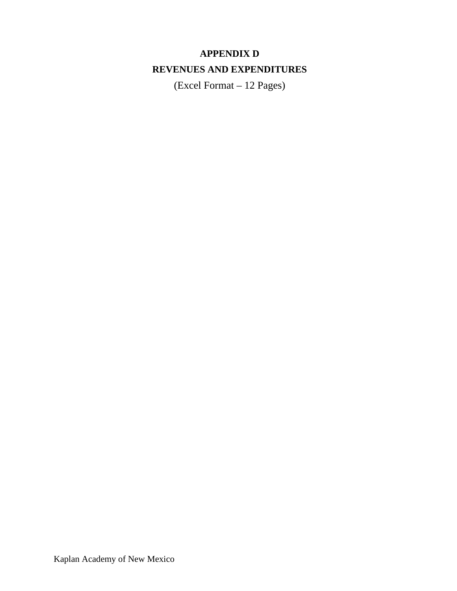# **APPENDIX D REVENUES AND EXPENDITURES**

(Excel Format – 12 Pages)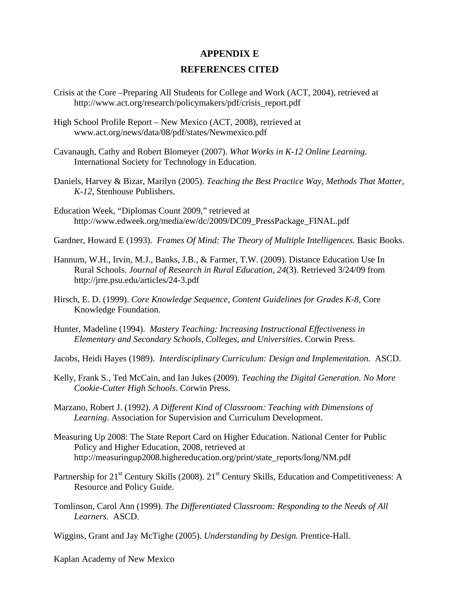#### **APPENDIX E**

#### **REFERENCES CITED**

- Crisis at the Core –Preparing All Students for College and Work (ACT, 2004), retrieved at http://www.act.org/research/policymakers/pdf/crisis\_report.pdf
- High School Profile Report New Mexico (ACT, 2008), retrieved at www.act.org/news/data/08/pdf/states/Newmexico.pdf
- Cavanaugh, Cathy and Robert Blomeyer (2007). *What Works in K-12 Online Learning.*  International Society for Technology in Education.
- Daniels, Harvey & Bizar, Marilyn (2005). *Teaching the Best Practice Way, Methods That Matter, K-12,* Stenhouse Publishers.
- Education Week, "Diplomas Count 2009," retrieved at http://www.edweek.org/media/ew/dc/2009/DC09\_PressPackage\_FINAL.pdf
- Gardner, Howard E (1993). *Frames Of Mind: The Theory of Multiple Intelligences.* Basic Books.
- Hannum, W.H., Irvin, M.J., Banks, J.B., & Farmer, T.W. (2009). Distance Education Use In Rural Schools. *Journal of Research in Rural Education, 24*(3). Retrieved 3/24/09 from http://jrre.psu.edu/articles/24-3.pdf
- Hirsch, E. D. (1999). *Core Knowledge Sequence, Content Guidelines for Grades K-8*, Core Knowledge Foundation.
- Hunter, Madeline (1994). *Mastery Teaching: Increasing Instructional Effectiveness in Elementary and Secondary Schools, Colleges, and Universities.* Corwin Press.

Jacobs, Heidi Hayes (1989). *Interdisciplinary Curriculum: Design and Implementation.* ASCD.

- Kelly, Frank S., Ted McCain, and Ian Jukes (2009). *Teaching the Digital Generation. No More Cookie-Cutter High Schools*. Corwin Press.
- Marzano, Robert J. (1992). *A Different Kind of Classroom: Teaching with Dimensions of Learning*. Association for Supervision and Curriculum Development.
- Measuring Up 2008: The State Report Card on Higher Education. National Center for Public Policy and Higher Education, 2008, retrieved at http://measuringup2008.highereducation.org/print/state\_reports/long/NM.pdf
- Partnership for 21<sup>st</sup> Century Skills (2008). 21<sup>st</sup> Century Skills, Education and Competitiveness: A Resource and Policy Guide.
- Tomlinson, Carol Ann (1999). *The Differentiated Classroom: Responding to the Needs of All Learners.* ASCD.
- Wiggins, Grant and Jay McTighe (2005). *Understanding by Design.* Prentice-Hall.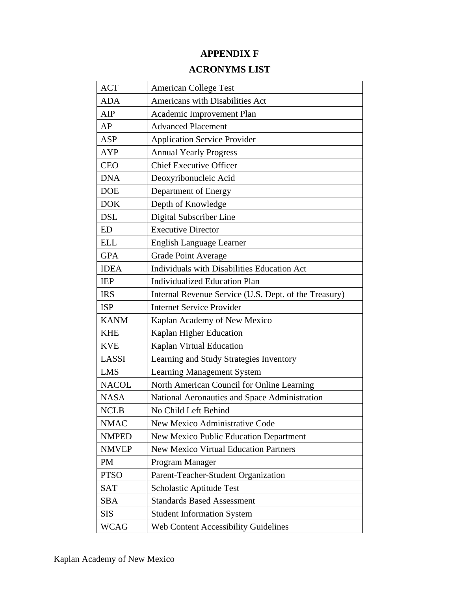# **APPENDIX F**

# **ACRONYMS LIST**

| <b>ACT</b>   | <b>American College Test</b>                          |
|--------------|-------------------------------------------------------|
| <b>ADA</b>   | Americans with Disabilities Act                       |
| AIP          | Academic Improvement Plan                             |
| AP           | <b>Advanced Placement</b>                             |
| <b>ASP</b>   | <b>Application Service Provider</b>                   |
| AYP          | <b>Annual Yearly Progress</b>                         |
| <b>CEO</b>   | <b>Chief Executive Officer</b>                        |
| <b>DNA</b>   | Deoxyribonucleic Acid                                 |
| <b>DOE</b>   | Department of Energy                                  |
| <b>DOK</b>   | Depth of Knowledge                                    |
| <b>DSL</b>   | Digital Subscriber Line                               |
| ED           | <b>Executive Director</b>                             |
| <b>ELL</b>   | <b>English Language Learner</b>                       |
| <b>GPA</b>   | <b>Grade Point Average</b>                            |
| <b>IDEA</b>  | Individuals with Disabilities Education Act           |
| <b>IEP</b>   | <b>Individualized Education Plan</b>                  |
| <b>IRS</b>   | Internal Revenue Service (U.S. Dept. of the Treasury) |
| <b>ISP</b>   | <b>Internet Service Provider</b>                      |
| <b>KANM</b>  | Kaplan Academy of New Mexico                          |
| <b>KHE</b>   | Kaplan Higher Education                               |
| <b>KVE</b>   | Kaplan Virtual Education                              |
| LASSI        | Learning and Study Strategies Inventory               |
| <b>LMS</b>   | <b>Learning Management System</b>                     |
| <b>NACOL</b> | North American Council for Online Learning            |
| <b>NASA</b>  | National Aeronautics and Space Administration         |
| <b>NCLB</b>  | No Child Left Behind                                  |
| <b>NMAC</b>  | New Mexico Administrative Code                        |
| <b>NMPED</b> | <b>New Mexico Public Education Department</b>         |
| <b>NMVEP</b> | <b>New Mexico Virtual Education Partners</b>          |
| PM           | Program Manager                                       |
| <b>PTSO</b>  | Parent-Teacher-Student Organization                   |
| <b>SAT</b>   | Scholastic Aptitude Test                              |
| <b>SBA</b>   | <b>Standards Based Assessment</b>                     |
| <b>SIS</b>   | <b>Student Information System</b>                     |
| <b>WCAG</b>  | <b>Web Content Accessibility Guidelines</b>           |
|              |                                                       |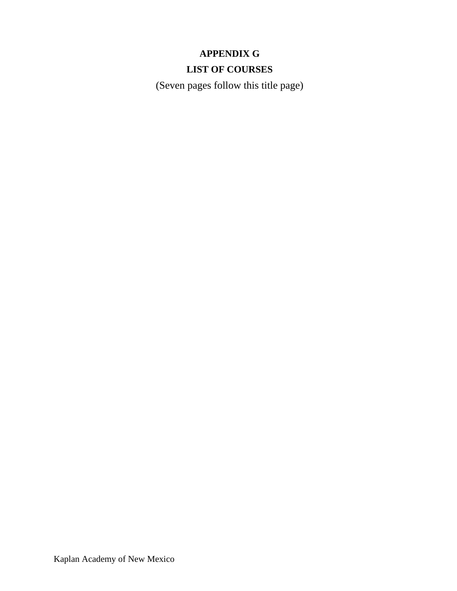# **APPENDIX G LIST OF COURSES**

(Seven pages follow this title page)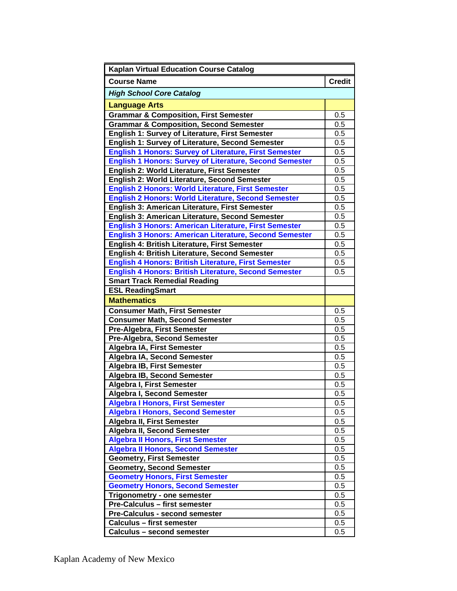| <b>Kaplan Virtual Education Course Catalog</b>                 |               |  |
|----------------------------------------------------------------|---------------|--|
| <b>Course Name</b>                                             | <b>Credit</b> |  |
| <b>High School Core Catalog</b>                                |               |  |
| <b>Language Arts</b>                                           |               |  |
| <b>Grammar &amp; Composition, First Semester</b>               |               |  |
| <b>Grammar &amp; Composition, Second Semester</b>              |               |  |
| English 1: Survey of Literature, First Semester                | 0.5           |  |
| English 1: Survey of Literature, Second Semester               | 0.5           |  |
| <b>English 1 Honors: Survey of Literature, First Semester</b>  | 0.5           |  |
| <b>English 1 Honors: Survey of Literature, Second Semester</b> | 0.5           |  |
| English 2: World Literature, First Semester                    | 0.5           |  |
| English 2: World Literature, Second Semester                   | 0.5           |  |
| <b>English 2 Honors: World Literature, First Semester</b>      | 0.5           |  |
| <b>English 2 Honors: World Literature, Second Semester</b>     | 0.5           |  |
| English 3: American Literature, First Semester                 | 0.5           |  |
| English 3: American Literature, Second Semester                | 0.5           |  |
| <b>English 3 Honors: American Literature, First Semester</b>   | 0.5           |  |
| <b>English 3 Honors: American Literature, Second Semester</b>  | 0.5           |  |
| English 4: British Literature, First Semester                  | 0.5           |  |
| English 4: British Literature, Second Semester                 | 0.5           |  |
| <b>English 4 Honors: British Literature, First Semester</b>    | 0.5           |  |
| <b>English 4 Honors: British Literature, Second Semester</b>   | 0.5           |  |
| <b>Smart Track Remedial Reading</b>                            |               |  |
| <b>ESL ReadingSmart</b>                                        |               |  |
| <b>Mathematics</b>                                             |               |  |
| <b>Consumer Math, First Semester</b>                           | 0.5           |  |
| <b>Consumer Math, Second Semester</b>                          | 0.5           |  |
| Pre-Algebra, First Semester                                    | 0.5           |  |
| Pre-Algebra, Second Semester                                   | 0.5           |  |
| Algebra IA, First Semester                                     |               |  |
| Algebra IA, Second Semester                                    |               |  |
| <b>Algebra IB, First Semester</b>                              |               |  |
| <b>Algebra IB, Second Semester</b>                             | 0.5           |  |
| Algebra I, First Semester                                      | 0.5           |  |
| Algebra I, Second Semester                                     | 0.5           |  |
| <b>Algebra I Honors, First Semester</b>                        | 0.5           |  |
| <b>Algebra I Honors, Second Semester</b>                       | 0.5           |  |
| <b>Algebra II, First Semester</b>                              | 0.5           |  |
| Algebra II, Second Semester                                    | 0.5           |  |
| <b>Algebra II Honors, First Semester</b>                       | 0.5           |  |
| <b>Algebra II Honors, Second Semester</b>                      | 0.5           |  |
| <b>Geometry, First Semester</b>                                | 0.5           |  |
| <b>Geometry, Second Semester</b>                               | 0.5           |  |
| <b>Geometry Honors, First Semester</b>                         | 0.5           |  |
| <b>Geometry Honors, Second Semester</b>                        | 0.5           |  |
| Trigonometry - one semester                                    | 0.5           |  |
| Pre-Calculus - first semester                                  | 0.5           |  |
| Pre-Calculus - second semester                                 | 0.5           |  |
| <b>Calculus - first semester</b>                               | 0.5           |  |
| Calculus - second semester                                     | 0.5           |  |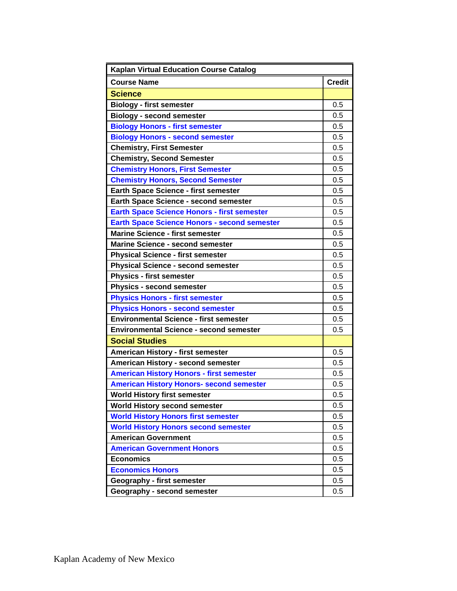| <b>Kaplan Virtual Education Course Catalog</b>      |               |  |
|-----------------------------------------------------|---------------|--|
| <b>Course Name</b>                                  | <b>Credit</b> |  |
| <b>Science</b>                                      |               |  |
| <b>Biology - first semester</b>                     |               |  |
| <b>Biology - second semester</b>                    |               |  |
| <b>Biology Honors - first semester</b>              | 0.5           |  |
| <b>Biology Honors - second semester</b>             | 0.5           |  |
| <b>Chemistry, First Semester</b>                    | 0.5           |  |
| <b>Chemistry, Second Semester</b>                   | 0.5           |  |
| <b>Chemistry Honors, First Semester</b>             | 0.5           |  |
| <b>Chemistry Honors, Second Semester</b>            | 0.5           |  |
| <b>Earth Space Science - first semester</b>         | 0.5           |  |
| Earth Space Science - second semester               | 0.5           |  |
| <b>Earth Space Science Honors - first semester</b>  | 0.5           |  |
| <b>Earth Space Science Honors - second semester</b> | 0.5           |  |
| <b>Marine Science - first semester</b>              | 0.5           |  |
| <b>Marine Science - second semester</b>             | 0.5           |  |
| <b>Physical Science - first semester</b>            | 0.5           |  |
| <b>Physical Science - second semester</b>           | 0.5           |  |
| <b>Physics - first semester</b>                     | 0.5           |  |
| <b>Physics - second semester</b>                    | 0.5           |  |
| <b>Physics Honors - first semester</b>              | 0.5           |  |
| <b>Physics Honors - second semester</b>             | 0.5           |  |
| <b>Environmental Science - first semester</b>       | 0.5           |  |
| <b>Environmental Science - second semester</b>      |               |  |
| <b>Social Studies</b>                               |               |  |
| American History - first semester                   | 0.5           |  |
| American History - second semester                  | 0.5           |  |
| <b>American History Honors - first semester</b>     | 0.5           |  |
| <b>American History Honors- second semester</b>     | 0.5           |  |
| <b>World History first semester</b>                 | 0.5           |  |
| World History second semester                       | 0.5           |  |
| <b>World History Honors first semester</b>          | 0.5           |  |
| <b>World History Honors second semester</b>         | 0.5           |  |
| <b>American Government</b>                          | 0.5           |  |
| <b>American Government Honors</b>                   | 0.5           |  |
| <b>Economics</b>                                    | 0.5           |  |
| <b>Economics Honors</b>                             |               |  |
| Geography - first semester                          |               |  |
| Geography - second semester                         | 0.5           |  |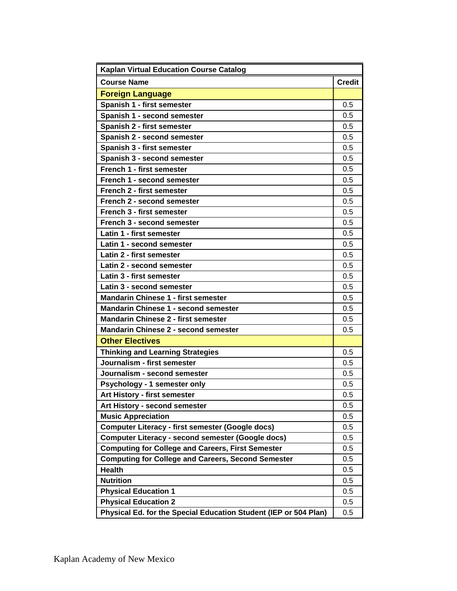| <b>Kaplan Virtual Education Course Catalog</b>                   |               |  |
|------------------------------------------------------------------|---------------|--|
| <b>Course Name</b>                                               | <b>Credit</b> |  |
| <b>Foreign Language</b>                                          |               |  |
| Spanish 1 - first semester                                       | 0.5           |  |
| Spanish 1 - second semester                                      | 0.5           |  |
| Spanish 2 - first semester                                       | 0.5           |  |
| Spanish 2 - second semester                                      | 0.5           |  |
| Spanish 3 - first semester                                       | 0.5           |  |
| Spanish 3 - second semester                                      | 0.5           |  |
| French 1 - first semester                                        | 0.5           |  |
| French 1 - second semester                                       | 0.5           |  |
| French 2 - first semester                                        | 0.5           |  |
| French 2 - second semester                                       | 0.5           |  |
| French 3 - first semester                                        | 0.5           |  |
| French 3 - second semester                                       | 0.5           |  |
| Latin 1 - first semester                                         | 0.5           |  |
| Latin 1 - second semester                                        | 0.5           |  |
| Latin 2 - first semester                                         | 0.5           |  |
| Latin 2 - second semester                                        | 0.5           |  |
| Latin 3 - first semester                                         | 0.5           |  |
| Latin 3 - second semester                                        | 0.5           |  |
| <b>Mandarin Chinese 1 - first semester</b>                       | 0.5           |  |
| <b>Mandarin Chinese 1 - second semester</b>                      | 0.5           |  |
| <b>Mandarin Chinese 2 - first semester</b>                       | 0.5           |  |
| <b>Mandarin Chinese 2 - second semester</b>                      |               |  |
| <b>Other Electives</b>                                           |               |  |
| <b>Thinking and Learning Strategies</b>                          | 0.5           |  |
| Journalism - first semester                                      | 0.5           |  |
| Journalism - second semester                                     | 0.5           |  |
| Psychology - 1 semester only                                     | 0.5           |  |
| Art History - first semester                                     | 0.5           |  |
| Art History - second semester                                    | 0.5           |  |
| <b>Music Appreciation</b>                                        | 0.5           |  |
| <b>Computer Literacy - first semester (Google docs)</b>          | 0.5           |  |
| <b>Computer Literacy - second semester (Google docs)</b>         | 0.5           |  |
| <b>Computing for College and Careers, First Semester</b>         | 0.5           |  |
| <b>Computing for College and Careers, Second Semester</b>        | 0.5           |  |
| <b>Health</b>                                                    | 0.5           |  |
| <b>Nutrition</b>                                                 | 0.5           |  |
| <b>Physical Education 1</b>                                      | 0.5           |  |
| <b>Physical Education 2</b>                                      | 0.5           |  |
| Physical Ed. for the Special Education Student (IEP or 504 Plan) | 0.5           |  |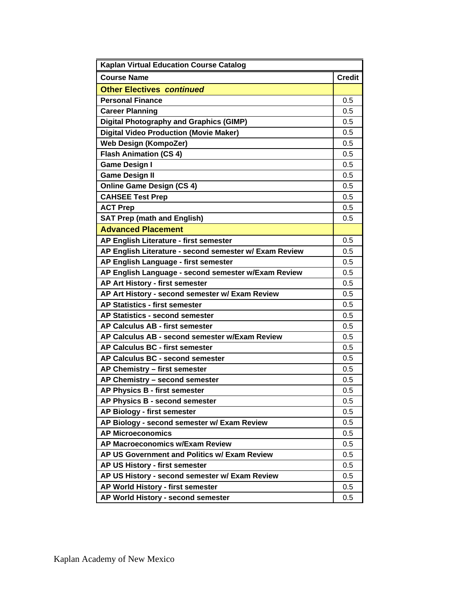| <b>Kaplan Virtual Education Course Catalog</b>         |               |  |
|--------------------------------------------------------|---------------|--|
| <b>Course Name</b>                                     | <b>Credit</b> |  |
| <b>Other Electives continued</b>                       |               |  |
| <b>Personal Finance</b>                                | 0.5           |  |
| <b>Career Planning</b>                                 | 0.5           |  |
| <b>Digital Photography and Graphics (GIMP)</b>         | 0.5           |  |
| <b>Digital Video Production (Movie Maker)</b>          | 0.5           |  |
| <b>Web Design (KompoZer)</b>                           | 0.5           |  |
| <b>Flash Animation (CS 4)</b>                          | 0.5           |  |
| <b>Game Design I</b>                                   | 0.5           |  |
| <b>Game Design II</b>                                  | 0.5           |  |
| <b>Online Game Design (CS 4)</b>                       | 0.5           |  |
| <b>CAHSEE Test Prep</b>                                | 0.5           |  |
| <b>ACT Prep</b>                                        | 0.5           |  |
| <b>SAT Prep (math and English)</b>                     | 0.5           |  |
| <b>Advanced Placement</b>                              |               |  |
| AP English Literature - first semester                 | 0.5           |  |
| AP English Literature - second semester w/ Exam Review | 0.5           |  |
| AP English Language - first semester                   | 0.5           |  |
| AP English Language - second semester w/Exam Review    | 0.5           |  |
| AP Art History - first semester                        | 0.5           |  |
| AP Art History - second semester w/ Exam Review        | 0.5           |  |
| <b>AP Statistics - first semester</b>                  | 0.5           |  |
| AP Statistics - second semester                        | 0.5           |  |
| AP Calculus AB - first semester                        |               |  |
| AP Calculus AB - second semester w/Exam Review         | 0.5           |  |
| AP Calculus BC - first semester                        | 0.5           |  |
| AP Calculus BC - second semester                       | 0.5           |  |
| AP Chemistry - first semester                          | 0.5           |  |
| AP Chemistry - second semester                         | 0.5           |  |
| AP Physics B - first semester                          | 0.5           |  |
| AP Physics B - second semester                         | 0.5           |  |
| AP Biology - first semester                            | 0.5           |  |
| AP Biology - second semester w/ Exam Review            | 0.5           |  |
| <b>AP Microeconomics</b>                               | 0.5           |  |
| AP Macroeconomics w/Exam Review                        | 0.5           |  |
| AP US Government and Politics w/ Exam Review           | 0.5           |  |
| AP US History - first semester                         | 0.5           |  |
| AP US History - second semester w/ Exam Review         | 0.5           |  |
| AP World History - first semester                      | 0.5           |  |
| AP World History - second semester                     | 0.5           |  |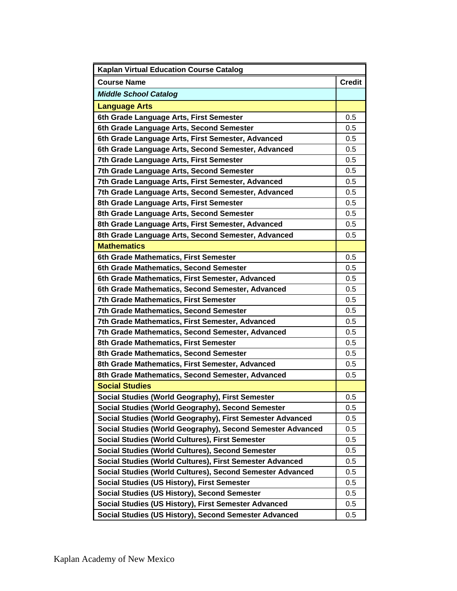| <b>Kaplan Virtual Education Course Catalog</b>             |               |
|------------------------------------------------------------|---------------|
| <b>Course Name</b>                                         | <b>Credit</b> |
| <b>Middle School Catalog</b>                               |               |
| <b>Language Arts</b>                                       |               |
| 6th Grade Language Arts, First Semester                    | 0.5           |
| 6th Grade Language Arts, Second Semester                   | 0.5           |
| 6th Grade Language Arts, First Semester, Advanced          | 0.5           |
| 6th Grade Language Arts, Second Semester, Advanced         | 0.5           |
| 7th Grade Language Arts, First Semester                    | 0.5           |
| 7th Grade Language Arts, Second Semester                   | 0.5           |
| 7th Grade Language Arts, First Semester, Advanced          | 0.5           |
| 7th Grade Language Arts, Second Semester, Advanced         | 0.5           |
| 8th Grade Language Arts, First Semester                    | 0.5           |
| 8th Grade Language Arts, Second Semester                   | 0.5           |
| 8th Grade Language Arts, First Semester, Advanced          | 0.5           |
| 8th Grade Language Arts, Second Semester, Advanced         | 0.5           |
| <b>Mathematics</b>                                         |               |
| 6th Grade Mathematics, First Semester                      | 0.5           |
| 6th Grade Mathematics, Second Semester                     | 0.5           |
| 6th Grade Mathematics, First Semester, Advanced            | 0.5           |
| 6th Grade Mathematics, Second Semester, Advanced           | 0.5           |
| <b>7th Grade Mathematics, First Semester</b>               | 0.5           |
| 7th Grade Mathematics, Second Semester                     | 0.5           |
| 7th Grade Mathematics, First Semester, Advanced            | 0.5           |
| 7th Grade Mathematics, Second Semester, Advanced           | 0.5           |
| 8th Grade Mathematics, First Semester                      | 0.5           |
| 8th Grade Mathematics, Second Semester                     | 0.5           |
| 8th Grade Mathematics, First Semester, Advanced            | 0.5           |
| 8th Grade Mathematics, Second Semester, Advanced           | 0.5           |
| <b>Social Studies</b>                                      |               |
| Social Studies (World Geography), First Semester           | 0.5           |
| Social Studies (World Geography), Second Semester          | 0.5           |
| Social Studies (World Geography), First Semester Advanced  | 0.5           |
| Social Studies (World Geography), Second Semester Advanced | 0.5           |
| <b>Social Studies (World Cultures), First Semester</b>     | 0.5           |
| Social Studies (World Cultures), Second Semester           | 0.5           |
| Social Studies (World Cultures), First Semester Advanced   | 0.5           |
| Social Studies (World Cultures), Second Semester Advanced  | 0.5           |
| Social Studies (US History), First Semester                | 0.5           |
| Social Studies (US History), Second Semester               | 0.5           |
| Social Studies (US History), First Semester Advanced       | 0.5           |
| Social Studies (US History), Second Semester Advanced      | 0.5           |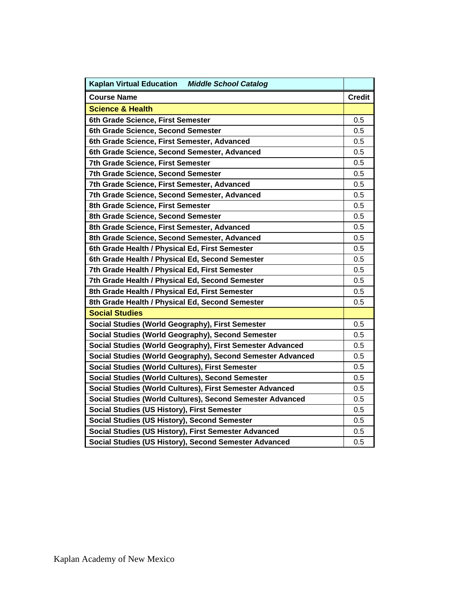| Kaplan Virtual Education Middle School Catalog             |               |
|------------------------------------------------------------|---------------|
| <b>Course Name</b>                                         | <b>Credit</b> |
| <b>Science &amp; Health</b>                                |               |
| 6th Grade Science, First Semester                          | 0.5           |
| 6th Grade Science, Second Semester                         | 0.5           |
| 6th Grade Science, First Semester, Advanced                | 0.5           |
| 6th Grade Science, Second Semester, Advanced               | 0.5           |
| 7th Grade Science, First Semester                          | 0.5           |
| 7th Grade Science, Second Semester                         | 0.5           |
| 7th Grade Science, First Semester, Advanced                | 0.5           |
| 7th Grade Science, Second Semester, Advanced               | 0.5           |
| 8th Grade Science, First Semester                          | 0.5           |
| 8th Grade Science, Second Semester                         | 0.5           |
| 8th Grade Science, First Semester, Advanced                | 0.5           |
| 8th Grade Science, Second Semester, Advanced               | 0.5           |
| 6th Grade Health / Physical Ed, First Semester             | 0.5           |
| 6th Grade Health / Physical Ed, Second Semester            | 0.5           |
| 7th Grade Health / Physical Ed, First Semester             | 0.5           |
| 7th Grade Health / Physical Ed, Second Semester            | 0.5           |
| 8th Grade Health / Physical Ed, First Semester             | 0.5           |
| 8th Grade Health / Physical Ed, Second Semester            | 0.5           |
| <b>Social Studies</b>                                      |               |
| Social Studies (World Geography), First Semester           | 0.5           |
| Social Studies (World Geography), Second Semester          | 0.5           |
| Social Studies (World Geography), First Semester Advanced  | 0.5           |
| Social Studies (World Geography), Second Semester Advanced | 0.5           |
| Social Studies (World Cultures), First Semester            | 0.5           |
| Social Studies (World Cultures), Second Semester           | 0.5           |
| Social Studies (World Cultures), First Semester Advanced   | 0.5           |
| Social Studies (World Cultures), Second Semester Advanced  | 0.5           |
| Social Studies (US History), First Semester                | 0.5           |
| Social Studies (US History), Second Semester               | 0.5           |
| Social Studies (US History), First Semester Advanced       | 0.5           |
| Social Studies (US History), Second Semester Advanced      | 0.5           |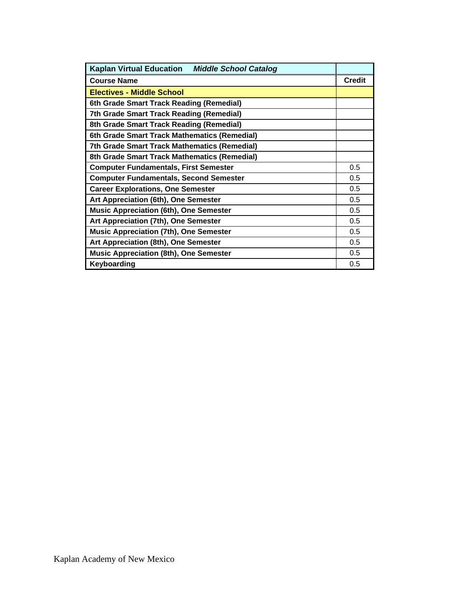| <b>Kaplan Virtual Education</b><br><b>Middle School Catalog</b> |               |  |
|-----------------------------------------------------------------|---------------|--|
| <b>Course Name</b>                                              | <b>Credit</b> |  |
| <b>Electives - Middle School</b>                                |               |  |
| 6th Grade Smart Track Reading (Remedial)                        |               |  |
| 7th Grade Smart Track Reading (Remedial)                        |               |  |
| 8th Grade Smart Track Reading (Remedial)                        |               |  |
| 6th Grade Smart Track Mathematics (Remedial)                    |               |  |
| 7th Grade Smart Track Mathematics (Remedial)                    |               |  |
| 8th Grade Smart Track Mathematics (Remedial)                    |               |  |
| <b>Computer Fundamentals, First Semester</b>                    | 0.5           |  |
| <b>Computer Fundamentals, Second Semester</b>                   | 0.5           |  |
| <b>Career Explorations, One Semester</b>                        | 0.5           |  |
| Art Appreciation (6th), One Semester                            | 0.5           |  |
| <b>Music Appreciation (6th), One Semester</b>                   | 0.5           |  |
| Art Appreciation (7th), One Semester                            | 0.5           |  |
| <b>Music Appreciation (7th), One Semester</b>                   | 0.5           |  |
| Art Appreciation (8th), One Semester                            |               |  |
| <b>Music Appreciation (8th), One Semester</b>                   | 0.5           |  |
| Keyboarding                                                     | 0.5           |  |